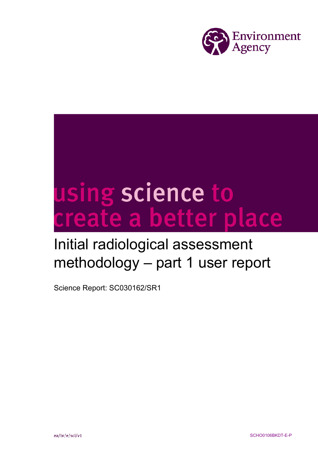

# using science to<br>create a better place

# Initial radiological assessment methodology – part 1 user report

Science Report: SC030162/SR1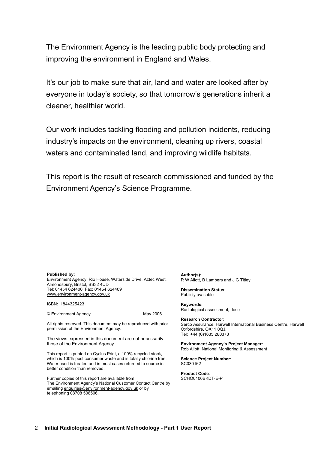The Environment Agency is the leading public body protecting and improving the environment in England and Wales.

It's our job to make sure that air, land and water are looked after by everyone in today's society, so that tomorrow's generations inherit a cleaner, healthier world.

Our work includes tackling flooding and pollution incidents, reducing industry's impacts on the environment, cleaning up rivers, coastal waters and contaminated land, and improving wildlife habitats.

This report is the result of research commissioned and funded by the Environment Agency's Science Programme.

#### **Published by:**

Environment Agency, Rio House, Waterside Drive, Aztec West, Almondsbury, Bristol, BS32 4UD Tel: 01454 624400 Fax: 01454 624409 www.environment-agency.gov.uk

ISBN: 1844325423

© Environment Agency May 2006

All rights reserved. This document may be reproduced with prior permission of the Environment Agency.

The views expressed in this document are not necessarily those of the Environment Agency.

This report is printed on Cyclus Print, a 100% recycled stock, which is 100% post consumer waste and is totally chlorine free. Water used is treated and in most cases returned to source in better condition than removed.

Further copies of this report are available from: The Environment Agency's National Customer Contact Centre by emailing enquiries@environment-agency.gov.uk or by telephoning 08708 506506.

**Author(s):** R W Allott, B Lambers and J G Titley

**Dissemination Status:** Publicly available

**Keywords:** Radiological assessment, dose

**Research Contractor:** Serco Assurance, Harwell International Business Centre, Harwell Oxfordshire, OX11 0QJ. Tel: +44 (0)1635 280373

**Environment Agency's Project Manager:** Rob Allott, National Monitoring & Assessment

**Science Project Number:** SC030162

**Product Code**: SCHO0106BKDT-E-P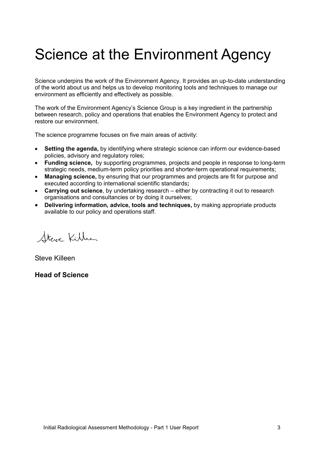# Science at the Environment Agency

Science underpins the work of the Environment Agency. It provides an up-to-date understanding of the world about us and helps us to develop monitoring tools and techniques to manage our environment as efficiently and effectively as possible.

The work of the Environment Agency's Science Group is a key ingredient in the partnership between research, policy and operations that enables the Environment Agency to protect and restore our environment.

The science programme focuses on five main areas of activity:

- **Setting the agenda,** by identifying where strategic science can inform our evidence-based policies, advisory and regulatory roles;
- **Funding science,** by supporting programmes, projects and people in response to long-term strategic needs, medium-term policy priorities and shorter-term operational requirements;
- **Managing science,** by ensuring that our programmes and projects are fit for purpose and executed according to international scientific standards**;**
- **Carrying out science**, by undertaking research either by contracting it out to research organisations and consultancies or by doing it ourselves;
- **Delivering information, advice, tools and techniques,** by making appropriate products available to our policy and operations staff.

Steve Killeen

Steve Killeen

**Head of Science**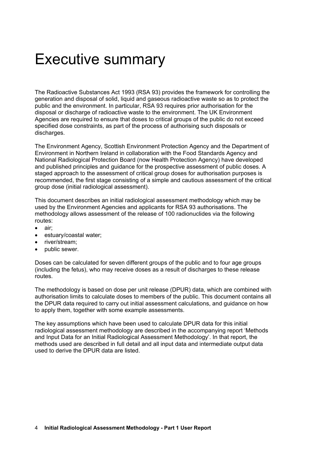# Executive summary

The Radioactive Substances Act 1993 (RSA 93) provides the framework for controlling the generation and disposal of solid, liquid and gaseous radioactive waste so as to protect the public and the environment. In particular, RSA 93 requires prior authorisation for the disposal or discharge of radioactive waste to the environment. The UK Environment Agencies are required to ensure that doses to critical groups of the public do not exceed specified dose constraints, as part of the process of authorising such disposals or discharges.

The Environment Agency, Scottish Environment Protection Agency and the Department of Environment in Northern Ireland in collaboration with the Food Standards Agency and National Radiological Protection Board (now Health Protection Agency) have developed and published principles and guidance for the prospective assessment of public doses. A staged approach to the assessment of critical group doses for authorisation purposes is recommended, the first stage consisting of a simple and cautious assessment of the critical group dose (initial radiological assessment).

This document describes an initial radiological assessment methodology which may be used by the Environment Agencies and applicants for RSA 93 authorisations. The methodology allows assessment of the release of 100 radionuclides via the following routes:

- air;
- estuary/coastal water;
- river/stream;
- public sewer.

Doses can be calculated for seven different groups of the public and to four age groups (including the fetus), who may receive doses as a result of discharges to these release routes.

The methodology is based on dose per unit release (DPUR) data, which are combined with authorisation limits to calculate doses to members of the public. This document contains all the DPUR data required to carry out initial assessment calculations, and guidance on how to apply them, together with some example assessments.

The key assumptions which have been used to calculate DPUR data for this initial radiological assessment methodology are described in the accompanying report 'Methods and Input Data for an Initial Radiological Assessment Methodology'. In that report, the methods used are described in full detail and all input data and intermediate output data used to derive the DPUR data are listed.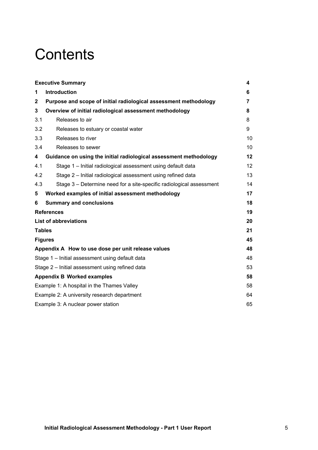# **Contents**

|                                    | <b>Executive Summary</b>                                             | 4  |  |  |
|------------------------------------|----------------------------------------------------------------------|----|--|--|
| 1                                  | <b>Introduction</b>                                                  | 6  |  |  |
| $\mathbf{2}$                       | Purpose and scope of initial radiological assessment methodology     | 7  |  |  |
| 3                                  | Overview of initial radiological assessment methodology              | 8  |  |  |
| 3.1                                | Releases to air                                                      | 8  |  |  |
| 3.2                                | Releases to estuary or coastal water                                 | 9  |  |  |
| 3.3                                | Releases to river                                                    | 10 |  |  |
| 3.4                                | Releases to sewer                                                    | 10 |  |  |
| 4                                  | Guidance on using the initial radiological assessment methodology    | 12 |  |  |
| 4.1                                | Stage 1 - Initial radiological assessment using default data         | 12 |  |  |
| 4.2                                | Stage 2 – Initial radiological assessment using refined data         | 13 |  |  |
| 4.3                                | Stage 3 – Determine need for a site-specific radiological assessment | 14 |  |  |
| 5                                  | Worked examples of initial assessment methodology                    | 17 |  |  |
| 6                                  | <b>Summary and conclusions</b>                                       | 18 |  |  |
|                                    | <b>References</b>                                                    | 19 |  |  |
|                                    | <b>List of abbreviations</b>                                         | 20 |  |  |
| <b>Tables</b>                      |                                                                      | 21 |  |  |
|                                    | <b>Figures</b>                                                       | 45 |  |  |
|                                    | Appendix A How to use dose per unit release values                   | 48 |  |  |
|                                    | Stage 1 - Initial assessment using default data                      | 48 |  |  |
|                                    | Stage 2 - Initial assessment using refined data                      | 53 |  |  |
| <b>Appendix B Worked examples</b>  |                                                                      |    |  |  |
|                                    | Example 1: A hospital in the Thames Valley                           | 58 |  |  |
|                                    | Example 2: A university research department                          | 64 |  |  |
| Example 3: A nuclear power station |                                                                      |    |  |  |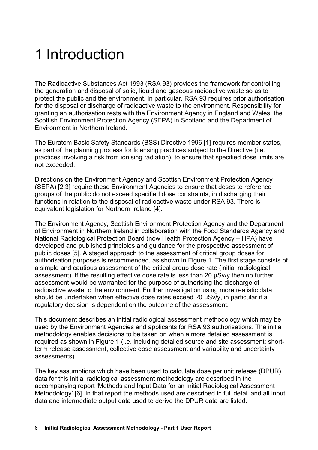# 1 Introduction

The Radioactive Substances Act 1993 (RSA 93) provides the framework for controlling the generation and disposal of solid, liquid and gaseous radioactive waste so as to protect the public and the environment. In particular, RSA 93 requires prior authorisation for the disposal or discharge of radioactive waste to the environment. Responsibility for granting an authorisation rests with the Environment Agency in England and Wales, the Scottish Environment Protection Agency (SEPA) in Scotland and the Department of Environment in Northern Ireland.

The Euratom Basic Safety Standards (BSS) Directive 1996 [1] requires member states, as part of the planning process for licensing practices subject to the Directive (i.e. practices involving a risk from ionising radiation), to ensure that specified dose limits are not exceeded.

Directions on the Environment Agency and Scottish Environment Protection Agency (SEPA) [2,3] require these Environment Agencies to ensure that doses to reference groups of the public do not exceed specified dose constraints, in discharging their functions in relation to the disposal of radioactive waste under RSA 93. There is equivalent legislation for Northern Ireland [4].

The Environment Agency, Scottish Environment Protection Agency and the Department of Environment in Northern Ireland in collaboration with the Food Standards Agency and National Radiological Protection Board (now Health Protection Agency – HPA) have developed and published principles and guidance for the prospective assessment of public doses [5]. A staged approach to the assessment of critical group doses for authorisation purposes is recommended, as shown in Figure 1. The first stage consists of a simple and cautious assessment of the critical group dose rate (initial radiological assessment). If the resulting effective dose rate is less than 20 µSv/y then no further assessment would be warranted for the purpose of authorising the discharge of radioactive waste to the environment. Further investigation using more realistic data should be undertaken when effective dose rates exceed 20 µSv/y, in particular if a regulatory decision is dependent on the outcome of the assessment.

This document describes an initial radiological assessment methodology which may be used by the Environment Agencies and applicants for RSA 93 authorisations. The initial methodology enables decisions to be taken on when a more detailed assessment is required as shown in Figure 1 (i.e. including detailed source and site assessment; shortterm release assessment, collective dose assessment and variability and uncertainty assessments).

The key assumptions which have been used to calculate dose per unit release (DPUR) data for this initial radiological assessment methodology are described in the accompanying report 'Methods and Input Data for an Initial Radiological Assessment Methodology' [6]. In that report the methods used are described in full detail and all input data and intermediate output data used to derive the DPUR data are listed.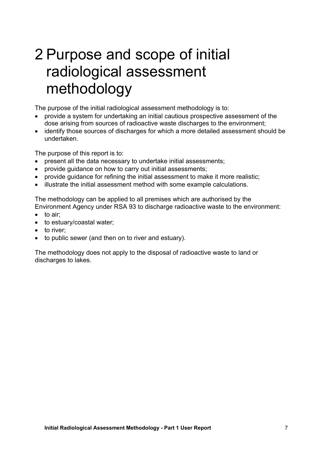# 2 Purpose and scope of initial radiological assessment methodology

The purpose of the initial radiological assessment methodology is to:

- provide a system for undertaking an initial cautious prospective assessment of the dose arising from sources of radioactive waste discharges to the environment;
- identify those sources of discharges for which a more detailed assessment should be undertaken.

The purpose of this report is to:

- present all the data necessary to undertake initial assessments;
- provide guidance on how to carry out initial assessments;
- provide guidance for refining the initial assessment to make it more realistic;
- illustrate the initial assessment method with some example calculations.

The methodology can be applied to all premises which are authorised by the Environment Agency under RSA 93 to discharge radioactive waste to the environment:

- to air:
- to estuary/coastal water;
- to river;
- to public sewer (and then on to river and estuary).

The methodology does not apply to the disposal of radioactive waste to land or discharges to lakes.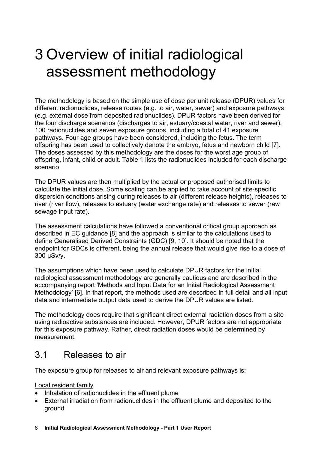# 3 Overview of initial radiological assessment methodology

The methodology is based on the simple use of dose per unit release (DPUR) values for different radionuclides, release routes (e.g. to air, water, sewer) and exposure pathways (e.g. external dose from deposited radionuclides). DPUR factors have been derived for the four discharge scenarios (discharges to air, estuary/coastal water, river and sewer), 100 radionuclides and seven exposure groups, including a total of 41 exposure pathways. Four age groups have been considered, including the fetus. The term offspring has been used to collectively denote the embryo, fetus and newborn child [7]. The doses assessed by this methodology are the doses for the worst age group of offspring, infant, child or adult. Table 1 lists the radionuclides included for each discharge scenario.

The DPUR values are then multiplied by the actual or proposed authorised limits to calculate the initial dose. Some scaling can be applied to take account of site-specific dispersion conditions arising during releases to air (different release heights), releases to river (river flow), releases to estuary (water exchange rate) and releases to sewer (raw sewage input rate).

The assessment calculations have followed a conventional critical group approach as described in EC guidance [8] and the approach is similar to the calculations used to define Generalised Derived Constraints (GDC) [9, 10]. It should be noted that the endpoint for GDCs is different, being the annual release that would give rise to a dose of 300 µSv/y.

The assumptions which have been used to calculate DPUR factors for the initial radiological assessment methodology are generally cautious and are described in the accompanying report 'Methods and Input Data for an Initial Radiological Assessment Methodology' [6]. In that report, the methods used are described in full detail and all input data and intermediate output data used to derive the DPUR values are listed.

The methodology does require that significant direct external radiation doses from a site using radioactive substances are included. However, DPUR factors are not appropriate for this exposure pathway. Rather, direct radiation doses would be determined by measurement.

## 3.1 Releases to air

The exposure group for releases to air and relevant exposure pathways is:

Local resident family

- Inhalation of radionuclides in the effluent plume
- External irradiation from radionuclides in the effluent plume and deposited to the ground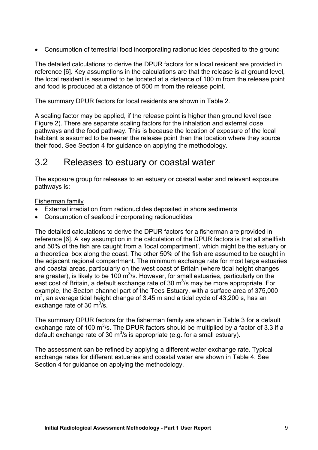• Consumption of terrestrial food incorporating radionuclides deposited to the ground

The detailed calculations to derive the DPUR factors for a local resident are provided in reference [6]. Key assumptions in the calculations are that the release is at ground level, the local resident is assumed to be located at a distance of 100 m from the release point and food is produced at a distance of 500 m from the release point.

The summary DPUR factors for local residents are shown in Table 2.

A scaling factor may be applied, if the release point is higher than ground level (see Figure 2). There are separate scaling factors for the inhalation and external dose pathways and the food pathway. This is because the location of exposure of the local habitant is assumed to be nearer the release point than the location where they source their food. See Section 4 for guidance on applying the methodology.

## 3.2 Releases to estuary or coastal water

The exposure group for releases to an estuary or coastal water and relevant exposure pathways is:

#### Fisherman family

- External irradiation from radionuclides deposited in shore sediments
- Consumption of seafood incorporating radionuclides

The detailed calculations to derive the DPUR factors for a fisherman are provided in reference [6]. A key assumption in the calculation of the DPUR factors is that all shellfish and 50% of the fish are caught from a 'local compartment', which might be the estuary or a theoretical box along the coast. The other 50% of the fish are assumed to be caught in the adjacent regional compartment. The minimum exchange rate for most large estuaries and coastal areas, particularly on the west coast of Britain (where tidal height changes are greater), is likely to be 100  $m^3/s$ . However, for small estuaries, particularly on the east cost of Britain, a default exchange rate of 30  $m^3/s$  may be more appropriate. For example, the Seaton channel part of the Tees Estuary, with a surface area of 375,000  $m<sup>2</sup>$ , an average tidal height change of 3.45 m and a tidal cycle of 43,200 s, has an exchange rate of 30  $\text{m}^3\text{/s}$ .

The summary DPUR factors for the fisherman family are shown in Table 3 for a default exchange rate of 100  $m^3/s$ . The DPUR factors should be multiplied by a factor of 3.3 if a default exchange rate of 30  $m^3/s$  is appropriate (e.g. for a small estuary).

The assessment can be refined by applying a different water exchange rate. Typical exchange rates for different estuaries and coastal water are shown in Table 4. See Section 4 for guidance on applying the methodology.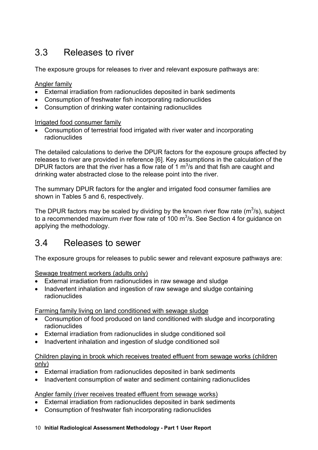## 3.3 Releases to river

The exposure groups for releases to river and relevant exposure pathways are:

Angler family

- External irradiation from radionuclides deposited in bank sediments
- Consumption of freshwater fish incorporating radionuclides
- Consumption of drinking water containing radionuclides

Irrigated food consumer family

• Consumption of terrestrial food irrigated with river water and incorporating radionuclides

The detailed calculations to derive the DPUR factors for the exposure groups affected by releases to river are provided in reference [6]. Key assumptions in the calculation of the DPUR factors are that the river has a flow rate of 1  $m^3/s$  and that fish are caught and drinking water abstracted close to the release point into the river.

The summary DPUR factors for the angler and irrigated food consumer families are shown in Tables 5 and 6, respectively.

The DPUR factors may be scaled by dividing by the known river flow rate ( $m^3/s$ ), subject to a recommended maximum river flow rate of 100  $\mathrm{m}^3$ /s. See Section 4 for guidance on applying the methodology.

## 3.4 Releases to sewer

The exposure groups for releases to public sewer and relevant exposure pathways are:

Sewage treatment workers (adults only)

- External irradiation from radionuclides in raw sewage and sludge
- Inadvertent inhalation and ingestion of raw sewage and sludge containing radionuclides

Farming family living on land conditioned with sewage sludge

- Consumption of food produced on land conditioned with sludge and incorporating radionuclides
- External irradiation from radionuclides in sludge conditioned soil
- Inadvertent inhalation and ingestion of sludge conditioned soil

#### Children playing in brook which receives treated effluent from sewage works (children only)

- External irradiation from radionuclides deposited in bank sediments
- Inadvertent consumption of water and sediment containing radionuclides

#### Angler family (river receives treated effluent from sewage works)

- External irradiation from radionuclides deposited in bank sediments
- Consumption of freshwater fish incorporating radionuclides
- 10 **Initial Radiological Assessment Methodology Part 1 User Report**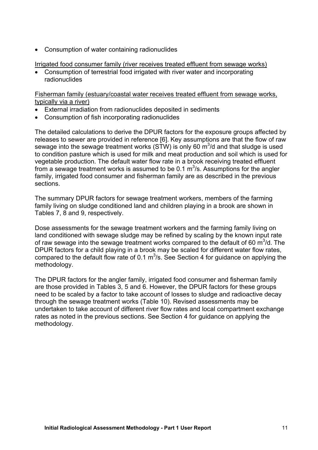• Consumption of water containing radionuclides

Irrigated food consumer family (river receives treated effluent from sewage works)

• Consumption of terrestrial food irrigated with river water and incorporating radionuclides

Fisherman family (estuary/coastal water receives treated effluent from sewage works, typically via a river)

- External irradiation from radionuclides deposited in sediments
- Consumption of fish incorporating radionuclides

The detailed calculations to derive the DPUR factors for the exposure groups affected by releases to sewer are provided in reference [6]. Key assumptions are that the flow of raw sewage into the sewage treatment works (STW) is only 60  $m^3/d$  and that sludge is used to condition pasture which is used for milk and meat production and soil which is used for vegetable production. The default water flow rate in a brook receiving treated effluent from a sewage treatment works is assumed to be 0.1  $\mathrm{m}^3$ /s. Assumptions for the angler family, irrigated food consumer and fisherman family are as described in the previous sections.

The summary DPUR factors for sewage treatment workers, members of the farming family living on sludge conditioned land and children playing in a brook are shown in Tables 7, 8 and 9, respectively.

Dose assessments for the sewage treatment workers and the farming family living on land conditioned with sewage sludge may be refined by scaling by the known input rate of raw sewage into the sewage treatment works compared to the default of 60  $\text{m}^3$ /d. The DPUR factors for a child playing in a brook may be scaled for different water flow rates, compared to the default flow rate of 0.1  $m^3/s$ . See Section 4 for guidance on applying the methodology.

The DPUR factors for the angler family, irrigated food consumer and fisherman family are those provided in Tables 3, 5 and 6. However, the DPUR factors for these groups need to be scaled by a factor to take account of losses to sludge and radioactive decay through the sewage treatment works (Table 10). Revised assessments may be undertaken to take account of different river flow rates and local compartment exchange rates as noted in the previous sections. See Section 4 for guidance on applying the methodology.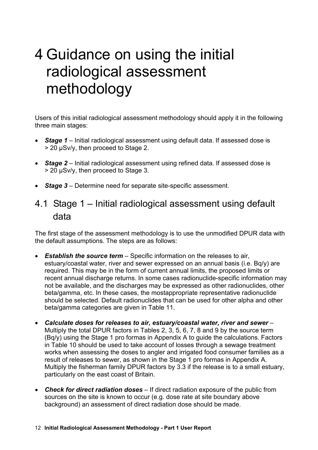# 4 Guidance on using the initial radiological assessment methodology

Users of this initial radiological assessment methodology should apply it in the following three main stages:

- *Stage 1* Initial radiological assessment using default data. If assessed dose is > 20 µSv/y, then proceed to Stage 2.
- *Stage 2* Initial radiological assessment using refined data. If assessed dose is > 20 µSv/y, then proceed to Stage 3.
- *Stage 3* Determine need for separate site-specific assessment.

## 4.1 Stage 1 – Initial radiological assessment using default data

The first stage of the assessment methodology is to use the unmodified DPUR data with the default assumptions. The steps are as follows:

- *Establish the source term* Specific information on the releases to air, estuary/coastal water, river and sewer expressed on an annual basis (i.e. Bq/y) are required. This may be in the form of current annual limits, the proposed limits or recent annual discharge returns. In some cases radionuclide-specific information may not be available, and the discharges may be expressed as other radionuclides, other beta/gamma, etc. In these cases, the mostappropriate representative radionuclide should be selected. Default radionuclides that can be used for other alpha and other beta/gamma categories are given in Table 11.
- *Calculate doses for releases to air, estuary/coastal water, river and sewer* Multiply the total DPUR factors in Tables 2, 3, 5, 6, 7, 8 and 9 by the source term (Bq/y) using the Stage 1 pro formas in Appendix A to guide the calculations. Factors in Table 10 should be used to take account of losses through a sewage treatment works when assessing the doses to angler and irrigated food consumer families as a result of releases to sewer, as shown in the Stage 1 pro formas in Appendix A. Multiply the fisherman family DPUR factors by 3.3 if the release is to a small estuary, particularly on the east coast of Britain.
- *Check for direct radiation doses* If direct radiation exposure of the public from sources on the site is known to occur (e.g. dose rate at site boundary above background) an assessment of direct radiation dose should be made.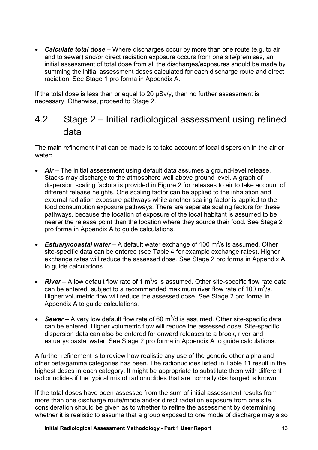• *Calculate total dose* – Where discharges occur by more than one route (e.g. to air and to sewer) and/or direct radiation exposure occurs from one site/premises, an initial assessment of total dose from all the discharges/exposures should be made by summing the initial assessment doses calculated for each discharge route and direct radiation. See Stage 1 pro forma in Appendix A.

If the total dose is less than or equal to 20 µSv/y, then no further assessment is necessary. Otherwise, proceed to Stage 2.

## 4.2 Stage 2 – Initial radiological assessment using refined data

The main refinement that can be made is to take account of local dispersion in the air or water:

- *Air* The initial assessment using default data assumes a ground-level release. Stacks may discharge to the atmosphere well above ground level. A graph of dispersion scaling factors is provided in Figure 2 for releases to air to take account of different release heights. One scaling factor can be applied to the inhalation and external radiation exposure pathways while another scaling factor is applied to the food consumption exposure pathways. There are separate scaling factors for these pathways, because the location of exposure of the local habitant is assumed to be nearer the release point than the location where they source their food. See Stage 2 pro forma in Appendix A to guide calculations.
- Estuary/coastal water A default water exchange of 100 m<sup>3</sup>/s is assumed. Other site-specific data can be entered (see Table 4 for example exchange rates). Higher exchange rates will reduce the assessed dose. See Stage 2 pro forma in Appendix A to guide calculations.
- **River** A low default flow rate of 1  $m^3$ /s is assumed. Other site-specific flow rate data can be entered, subject to a recommended maximum river flow rate of 100  $m^3/s$ . Higher volumetric flow will reduce the assessed dose. See Stage 2 pro forma in Appendix A to guide calculations.
- Sewer A very low default flow rate of 60 m<sup>3</sup>/d is assumed. Other site-specific data can be entered. Higher volumetric flow will reduce the assessed dose. Site-specific dispersion data can also be entered for onward releases to a brook, river and estuary/coastal water. See Stage 2 pro forma in Appendix A to guide calculations.

A further refinement is to review how realistic any use of the generic other alpha and other beta/gamma categories has been. The radionuclides listed in Table 11 result in the highest doses in each category. It might be appropriate to substitute them with different radionuclides if the typical mix of radionuclides that are normally discharged is known.

If the total doses have been assessed from the sum of initial assessment results from more than one discharge route/mode and/or direct radiation exposure from one site, consideration should be given as to whether to refine the assessment by determining whether it is realistic to assume that a group exposed to one mode of discharge may also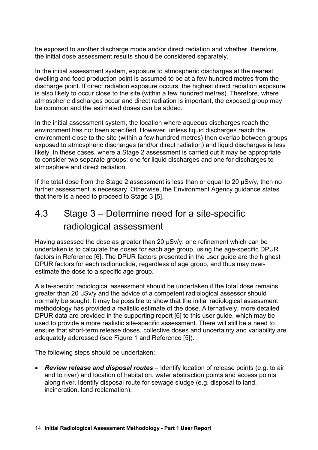be exposed to another discharge mode and/or direct radiation and whether, therefore, the initial dose assessment results should be considered separately.

In the initial assessment system, exposure to atmospheric discharges at the nearest dwelling and food production point is assumed to be at a few hundred metres from the discharge point. If direct radiation exposure occurs, the highest direct radiation exposure is also likely to occur close to the site (within a few hundred metres). Therefore, where atmospheric discharges occur and direct radiation is important, the exposed group may be common and the estimated doses can be added.

In the initial assessment system, the location where aqueous discharges reach the environment has not been specified. However, unless liquid discharges reach the environment close to the site (within a few hundred metres) then overlap between groups exposed to atmospheric discharges (and/or direct radiation) and liquid discharges is less likely. In these cases, where a Stage 2 assessment is carried out it may be appropriate to consider two separate groups: one for liquid discharges and one for discharges to atmosphere and direct radiation.

If the total dose from the Stage 2 assessment is less than or equal to 20 µSv/y, then no further assessment is necessary. Otherwise, the Environment Agency guidance states that there is a need to proceed to Stage 3 [5].

## 4.3 Stage 3 – Determine need for a site-specific radiological assessment

Having assessed the dose as greater than 20 µSv/y, one refinement which can be undertaken is to calculate the doses for each age group, using the age-specific DPUR factors in Reference [6]. The DPUR factors presented in the user guide are the highest DPUR factors for each radionuclide, regardless of age group, and thus may overestimate the dose to a specific age group.

A site-specific radiological assessment should be undertaken if the total dose remains greater than 20 µSv/y and the advice of a competent radiological assessor should normally be sought. It may be possible to show that the initial radiological assessment methodology has provided a realistic estimate of the dose. Alternatively, more detailed DPUR data are provided in the supporting report [6] to this user guide, which may be used to provide a more realistic site-specific assessment. There will still be a need to ensure that short-term release doses, collective doses and uncertainty and variability are adequately addressed (see Figure 1 and Reference [5]).

The following steps should be undertaken:

• *Review release and disposal routes* – Identify location of release points (e.g. to air and to river) and location of habitation, water abstraction points and access points along river. Identify disposal route for sewage sludge (e.g. disposal to land, incineration, land reclamation).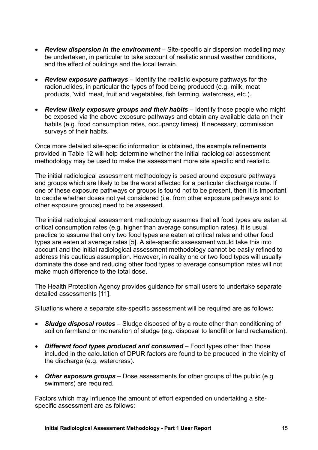- *Review dispersion in the environment* Site-specific air dispersion modelling may be undertaken, in particular to take account of realistic annual weather conditions, and the effect of buildings and the local terrain.
- *Review exposure pathways* Identify the realistic exposure pathways for the radionuclides, in particular the types of food being produced (e.g. milk, meat products, 'wild' meat, fruit and vegetables, fish farming, watercress, etc.).
- *Review likely exposure groups and their habits* Identify those people who might be exposed via the above exposure pathways and obtain any available data on their habits (e.g. food consumption rates, occupancy times). If necessary, commission surveys of their habits.

Once more detailed site-specific information is obtained, the example refinements provided in Table 12 will help determine whether the initial radiological assessment methodology may be used to make the assessment more site specific and realistic.

The initial radiological assessment methodology is based around exposure pathways and groups which are likely to be the worst affected for a particular discharge route. If one of these exposure pathways or groups is found not to be present, then it is important to decide whether doses not yet considered (i.e. from other exposure pathways and to other exposure groups) need to be assessed.

The initial radiological assessment methodology assumes that all food types are eaten at critical consumption rates (e.g. higher than average consumption rates). It is usual practice to assume that only two food types are eaten at critical rates and other food types are eaten at average rates [5]. A site-specific assessment would take this into account and the initial radiological assessment methodology cannot be easily refined to address this cautious assumption. However, in reality one or two food types will usually dominate the dose and reducing other food types to average consumption rates will not make much difference to the total dose.

The Health Protection Agency provides guidance for small users to undertake separate detailed assessments [11].

Situations where a separate site-specific assessment will be required are as follows:

- *Sludge disposal routes* Sludge disposed of by a route other than conditioning of soil on farmland or incineration of sludge (e.g. disposal to landfill or land reclamation).
- *Different food types produced and consumed* Food types other than those included in the calculation of DPUR factors are found to be produced in the vicinity of the discharge (e.g. watercress).
- *Other exposure groups* Dose assessments for other groups of the public (e.g. swimmers) are required.

Factors which may influence the amount of effort expended on undertaking a sitespecific assessment are as follows: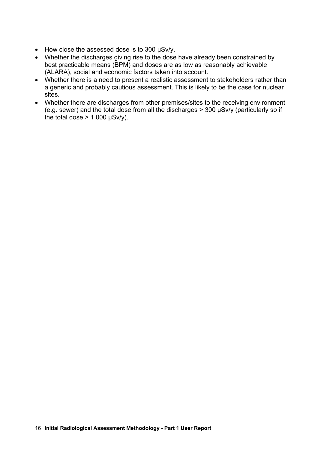- How close the assessed dose is to 300 µSv/y.
- Whether the discharges giving rise to the dose have already been constrained by best practicable means (BPM) and doses are as low as reasonably achievable (ALARA), social and economic factors taken into account.
- Whether there is a need to present a realistic assessment to stakeholders rather than a generic and probably cautious assessment. This is likely to be the case for nuclear sites.
- Whether there are discharges from other premises/sites to the receiving environment (e.g. sewer) and the total dose from all the discharges > 300 µSv/y (particularly so if the total dose  $> 1,000 \mu Sv/y$ ).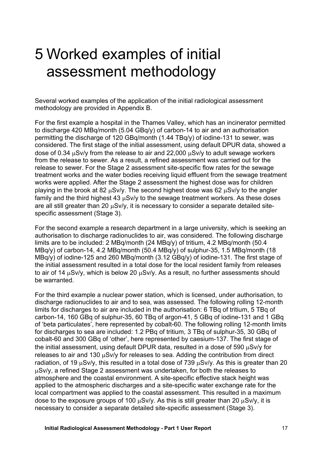# 5 Worked examples of initial assessment methodology

Several worked examples of the application of the initial radiological assessment methodology are provided in Appendix B.

For the first example a hospital in the Thames Valley, which has an incinerator permitted to discharge 420 MBq/month (5.04 GBq/y) of carbon-14 to air and an authorisation permitting the discharge of 120 GBq/month (1.44 TBq/y) of iodine-131 to sewer, was considered. The first stage of the initial assessment, using default DPUR data, showed a dose of 0.34  $\mu$ Sv/y from the release to air and 22,000  $\mu$ Sv/y to adult sewage workers from the release to sewer. As a result, a refined assessment was carried out for the release to sewer. For the Stage 2 assessment site-specific flow rates for the sewage treatment works and the water bodies receiving liquid effluent from the sewage treatment works were applied. After the Stage 2 assessment the highest dose was for children playing in the brook at 82 µSv/y. The second highest dose was 62 µSv/y to the angler family and the third highest 43 µSv/y to the sewage treatment workers. As these doses are all still greater than 20  $\mu$ Sv/y, it is necessary to consider a separate detailed sitespecific assessment (Stage 3).

For the second example a research department in a large university, which is seeking an authorisation to discharge radionuclides to air, was considered. The following discharge limits are to be included: 2 MBq/month (24 MBq/y) of tritium, 4.2 MBq/month (50.4 MBq/y) of carbon-14, 4.2 MBq/month (50.4 MBq/y) of sulphur-35, 1.5 MBq/month (18 MBq/y) of iodine-125 and 260 MBq/month (3.12 GBq/y) of iodine-131. The first stage of the initial assessment resulted in a total dose for the local resident family from releases to air of 14 uSv/y, which is below 20 uSv/y. As a result, no further assessments should be warranted.

For the third example a nuclear power station, which is licensed, under authorisation, to discharge radionuclides to air and to sea, was assessed. The following rolling 12-month limits for discharges to air are included in the authorisation: 6 TBq of tritium, 5 TBq of carbon-14, 160 GBq of sulphur-35, 60 TBq of argon-41, 5 GBq of iodine-131 and 1 GBq of 'beta particulates', here represented by cobalt-60. The following rolling 12-month limits for discharges to sea are included: 1.2 PBq of tritium, 3 TBq of sulphur-35, 30 GBq of cobalt-60 and 300 GBq of 'other', here represented by caesium-137. The first stage of the initial assessment, using default DPUR data, resulted in a dose of 590  $\mu$ Sv/y for releases to air and 130  $\mu$ Sv/y for releases to sea. Adding the contribution from direct radiation, of 19  $\mu$ Sv/y, this resulted in a total dose of 739  $\mu$ Sv/y. As this is greater than 20 µSv/y, a refined Stage 2 assessment was undertaken, for both the releases to atmosphere and the coastal environment. A site-specific effective stack height was applied to the atmospheric discharges and a site-specific water exchange rate for the local compartment was applied to the coastal assessment. This resulted in a maximum dose to the exposure groups of 100 µSv/y. As this is still greater than 20 µSv/y, it is necessary to consider a separate detailed site-specific assessment (Stage 3).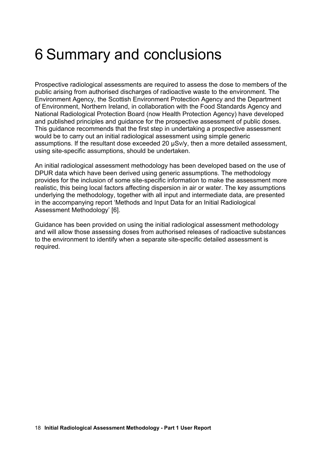# 6 Summary and conclusions

Prospective radiological assessments are required to assess the dose to members of the public arising from authorised discharges of radioactive waste to the environment. The Environment Agency, the Scottish Environment Protection Agency and the Department of Environment, Northern Ireland, in collaboration with the Food Standards Agency and National Radiological Protection Board (now Health Protection Agency) have developed and published principles and guidance for the prospective assessment of public doses. This guidance recommends that the first step in undertaking a prospective assessment would be to carry out an initial radiological assessment using simple generic assumptions. If the resultant dose exceeded 20 µSv/y, then a more detailed assessment, using site-specific assumptions, should be undertaken.

An initial radiological assessment methodology has been developed based on the use of DPUR data which have been derived using generic assumptions. The methodology provides for the inclusion of some site-specific information to make the assessment more realistic, this being local factors affecting dispersion in air or water. The key assumptions underlying the methodology, together with all input and intermediate data, are presented in the accompanying report 'Methods and Input Data for an Initial Radiological Assessment Methodology' [6].

Guidance has been provided on using the initial radiological assessment methodology and will allow those assessing doses from authorised releases of radioactive substances to the environment to identify when a separate site-specific detailed assessment is required.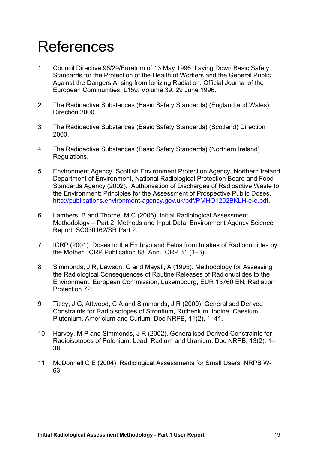# References

- 1 Council Directive 96/29/Euratom of 13 May 1996. Laying Down Basic Safety Standards for the Protection of the Health of Workers and the General Public Against the Dangers Arising from Ionizing Radiation. Official Journal of the European Communities, L159, Volume 39, 29 June 1996.
- 2 The Radioactive Substances (Basic Safety Standards) (England and Wales) Direction 2000.
- 3 The Radioactive Substances (Basic Safety Standards) (Scotland) Direction 2000.
- 4 The Radioactive Substances (Basic Safety Standards) (Northern Ireland) Regulations.
- 5 Environment Agency, Scottish Environment Protection Agency, Northern Ireland Department of Environment, National Radiological Protection Board and Food Standards Agency (2002). Authorisation of Discharges of Radioactive Waste to the Environment: Principles for the Assessment of Prospective Public Doses. [http://publications.environment-agency.gov.uk/pdf/PMHO1202BKLH-e-e.pdf.](http://publications.environment-agency.gov.uk/pdf/PMHO1202BKLH-e-e.pdf)
- 6 Lambers, B and Thorne, M C (2006). Initial Radiological Assessment Methodology – Part 2 Methods and Input Data. Environment Agency Science Report, SC030162/SR Part 2.
- 7 ICRP (2001). Doses to the Embryo and Fetus from Intakes of Radionuclides by the Mother. ICRP Publication 88. Ann. ICRP 31 (1–3).
- 8 Simmonds, J R, Lawson, G and Mayall, A (1995). Methodology for Assessing the Radiological Consequences of Routine Releases of Radionuclides to the Environment. European Commission, Luxembourg, EUR 15760 EN, Radiation Protection 72.
- 9 Titley, J G, Attwood, C A and Simmonds, J R (2000). Generalised Derived Constraints for Radioisotopes of Strontium, Ruthenium, Iodine, Caesium, Plutonium, Americium and Curium. Doc NRPB, 11(2), 1–41.
- 10 Harvey, M P and Simmonds, J R (2002). Generalised Derived Constraints for Radioisotopes of Polonium, Lead, Radium and Uranium. Doc NRPB, 13(2), 1– 38.
- 11 McDonnell C E (2004). Radiological Assessments for Small Users. NRPB W-63.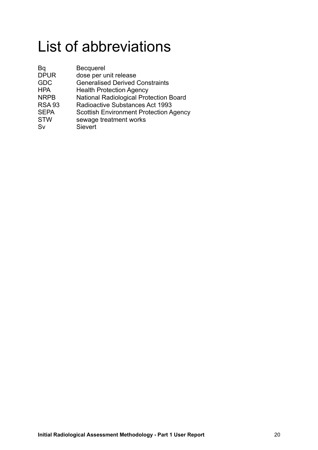# List of abbreviations

| Bq            | <b>Becquerel</b>                              |
|---------------|-----------------------------------------------|
| <b>DPUR</b>   | dose per unit release                         |
| <b>GDC</b>    | <b>Generalised Derived Constraints</b>        |
| <b>HPA</b>    | <b>Health Protection Agency</b>               |
| <b>NRPB</b>   | <b>National Radiological Protection Board</b> |
| <b>RSA 93</b> | Radioactive Substances Act 1993               |
| <b>SEPA</b>   | <b>Scottish Environment Protection Agency</b> |
| <b>STW</b>    | sewage treatment works                        |
| Sv            | Sievert                                       |
|               |                                               |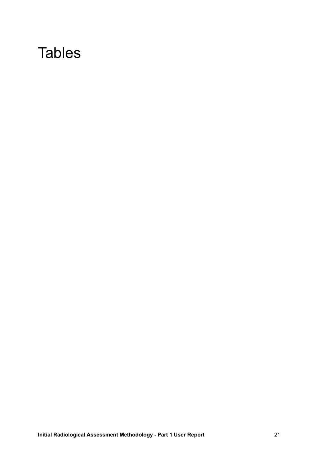## **Tables**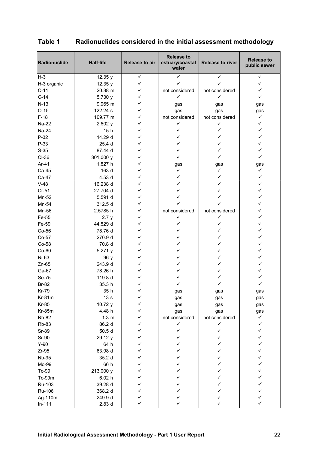| Radionuclide        | <b>Half-life</b> | Release to air | <b>Release to</b><br>estuary/coastal<br>water | <b>Release to river</b> | <b>Release to</b><br>public sewer |
|---------------------|------------------|----------------|-----------------------------------------------|-------------------------|-----------------------------------|
| $H-3$               | 12.35 y          | ✓              | ✓                                             | ✓                       | ✓                                 |
| H-3 organic         | 12.35 y          | ✓              | ✓                                             |                         | ✓                                 |
| $C-11$              | 20.38 m          | ✓              | not considered                                | not considered          | ✓                                 |
| $C-14$              | 5,730 y          | ✓              | $\checkmark$                                  | $\checkmark$            | ✓                                 |
| $N-13$              | 9.965 m          | ✓              | gas                                           | gas                     | gas                               |
| $O-15$              | 122.24 s         | ✓              | gas                                           | gas                     | gas                               |
| $F-18$              | 109.77 m         | ✓              | not considered                                | not considered          | $\checkmark$                      |
| Na-22               | 2.602y           | ✓              | ✓                                             | ✓                       | ✓                                 |
| Na-24               | 15h              | ✓              | ✓                                             | ✓                       | ✓                                 |
| $P-32$              | 14.29 d          | ✓              | $\checkmark$                                  | ✓                       | ✓                                 |
| P-33                | 25.4 d           | ✓              | ✓                                             | ✓                       | ✓                                 |
| $S-35$              | 87.44 d          | ✓              | ✓                                             | ✓                       | ✓                                 |
| CI-36               | 301,000 y        | ✓              | ✓                                             | ✓                       | ✓                                 |
| Ar-41               | 1.827 h          | ✓              | gas                                           | gas                     | gas                               |
| Ca-45               | 163 d            | ✓              | $\checkmark$                                  | $\checkmark$            | $\checkmark$                      |
| Ca-47               | 4.53 d           | ✓              | ✓                                             | ✓                       | ✓                                 |
| $V-48$              | 16.238 d         | ✓              | ✓                                             | ✓                       | ✓                                 |
| Cr-51               | 27.704 d         | ✓              | ✓                                             | ✓                       | ✓                                 |
| Mn-52               | 5.591 d          | ✓              | ✓                                             | ✓                       | $\checkmark$                      |
| Mn-54               | 312.5 d          | ✓              | ✓                                             |                         | ✓                                 |
| Mn-56               | 2.5785 h         | ✓              | not considered                                | not considered          | ✓                                 |
| Fe-55               | 2.7y             | ✓              | ✓                                             | ✓                       | ✓                                 |
| Fe-59               | 44.529 d         | ✓              | $\checkmark$                                  | ✓                       | ✓                                 |
| Co-56               | 78.76 d          | ✓              | $\checkmark$                                  | ✓                       | ✓                                 |
| Co-57               | 270.9 d          | ✓              | ✓                                             | ✓                       | ✓                                 |
| Co-58               | 70.8 d           | ✓              | ✓                                             | ✓                       | ✓                                 |
| Co-60               | 5.271 y          | ✓              | ✓                                             | ✓                       | ✓                                 |
| Ni-63               |                  | ✓              | ✓                                             | ✓                       | ✓                                 |
| $Zn-65$             | 96 y<br>243.9 d  | ✓              | ✓                                             | ✓                       | ✓                                 |
|                     |                  | ✓              | ✓                                             | ✓                       | ✓                                 |
| Ga-67               | 78.26 h          | ✓              | ✓                                             | ✓                       |                                   |
| Se-75               | 119.8 d          | ✓              | ✓                                             |                         | ✓<br>✓                            |
| <b>Br-82</b>        | 35.3 h           |                |                                               |                         |                                   |
| <b>Kr-79</b>        | 35 h             |                | gas                                           | gas                     | gas                               |
| Kr-81m              | 13s              | ✓<br>✓         | gas                                           | gas                     | gas                               |
| <b>Kr-85</b>        | 10.72 y          | ✓              | gas                                           | gas                     | gas                               |
| <b>Kr-85m</b>       | 4.48 h           |                | gas                                           | gas                     | gas                               |
| <b>Rb-82</b>        | 1.3 <sub>m</sub> | ✓              | not considered                                | not considered          | ✓                                 |
| <b>Rb-83</b>        | 86.2 d           | ✓              | $\checkmark$                                  | ✓<br>✓                  | ✓                                 |
| <b>Sr-89</b>        | 50.5 d           | ✓              | ✓                                             |                         | ✓                                 |
| <b>Sr-90</b>        | 29.12 y          | ✓              | ✓                                             | ✓                       | ✓                                 |
| $Y-90$              | 64 h             | ✓              | ✓                                             | ✓                       | ✓                                 |
| $Zr-95$             | 63.98 d          | ✓              | ✓                                             | ✓                       | ✓                                 |
| <b>Nb-95</b>        | 35.2 d           | ✓              | $\checkmark$                                  | ✓                       | ✓                                 |
| Mo-99               | 66 h             | ✓              | $\checkmark$                                  | ✓                       | ✓                                 |
| Tc-99               | 213,000 y        | ✓              | ✓                                             | ✓                       | ✓                                 |
| Tc-99m              | 6.02h            | ✓              | ✓                                             | ✓                       | ✓                                 |
| Ru-103              | 39.28 d          | ✓              | ✓                                             | ✓                       | ✓                                 |
| <b>Ru-106</b>       | 368.2 d          | ✓              | ✓                                             | ✓                       | ✓                                 |
| Ag-110m<br>$In-111$ | 249.9 d<br>2.83d | ✓<br>✓         | ✓<br>✓                                        | ✓<br>$\checkmark$       | ✓<br>✓                            |

### **Table 1 Radionuclides considered in the initial assessment methodology**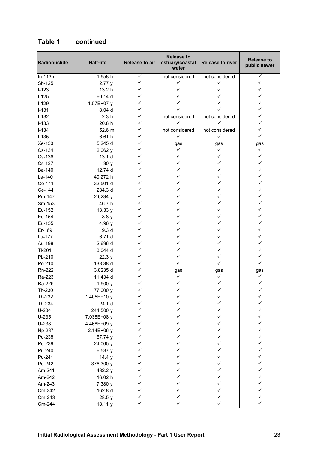| Radionuclide  | <b>Half-life</b>  | Release to air | <b>Release to</b><br>estuary/coastal<br>water | Release to river | <b>Release to</b><br>public sewer |
|---------------|-------------------|----------------|-----------------------------------------------|------------------|-----------------------------------|
| $In-113m$     | 1.658 h           | $\checkmark$   | not considered                                | not considered   | ✓                                 |
| Sb-125        | 2.77y             | ✓              | ✓                                             | ✓                | ✓                                 |
| $I-123$       | 13.2 h            | ✓              | ✓                                             | ✓                | ✓                                 |
| $I-125$       | 60.14 d           | ✓              | ✓                                             |                  | ✓                                 |
| $I-129$       | 1.57E+07 y        | ✓              | ✓                                             |                  | ✓                                 |
| $I-131$       | 8.04 d            | ✓              | ✓                                             |                  | ✓                                 |
| $I-132$       | 2.3h              | ✓              | not considered                                | not considered   | ✓                                 |
| $I-133$       | 20.8 h            | ✓              | ✓                                             | ✓                | ✓                                 |
| $I-134$       | 52.6 m            | ✓              | not considered                                | not considered   | ✓                                 |
| $I-135$       | 6.61h             | ✓              | ✓                                             | $\checkmark$     | ✓                                 |
| Xe-133        | 5.245 d           | ✓              | gas                                           | gas              | gas                               |
| Cs-134        | 2.062y            | ✓              | $\checkmark$                                  | ✓                | $\checkmark$                      |
| Cs-136        | 13.1 <sub>d</sub> | ✓              | $\checkmark$                                  | ✓                | ✓                                 |
| Cs-137        | 30y               | ✓              | ✓                                             | ✓                | ✓                                 |
| Ba-140        | 12.74 d           | ✓              | ✓                                             | ✓                | ✓                                 |
| La-140        | 40.272 h          | ✓              | ✓                                             | ✓                | ✓                                 |
| Ce-141        | 32.501 d          | ✓              | ✓                                             | ✓                | ✓                                 |
| Ce-144        | 284.3 d           | ✓              | ✓                                             | ✓                | ✓                                 |
| Pm-147        | 2.6234y           | ✓              | ✓                                             | ✓                | ✓                                 |
| Sm-153        | 46.7 h            | ✓              | ✓                                             | ✓                | ✓                                 |
| Eu-152        | 13.33 y           | ✓              | ✓                                             | ✓                | ✓                                 |
| Eu-154        | 8.8y              | ✓              | ✓                                             | ✓                | ✓                                 |
| Eu-155        | 4.96 y            | ✓              | ✓                                             | ✓                | ✓                                 |
| Er-169        | 9.3 <sub>d</sub>  | ✓              | ✓                                             | ✓                | ✓                                 |
| Lu-177        | 6.71 d            | ✓              | $\checkmark$                                  | ✓                | ✓                                 |
| Au-198        | 2.696 d           | ✓              | ✓                                             | ✓                | ✓                                 |
| TI-201        | 3.044 d           | ✓              | ✓                                             | ✓                | ✓                                 |
| Pb-210        | 22.3 y            | ✓              | ✓                                             | ✓                | ✓                                 |
| Po-210        | 138.38 d          | ✓              | $\checkmark$                                  | ✓                | ✓                                 |
| Rn-222        | 3.8235 d          | ✓              | gas                                           | gas              | gas                               |
| Ra-223        | 11.434 d          | ✓              | ✓                                             | ✓                | ✓                                 |
| Ra-226        | 1,600y            | ✓              | ✓                                             |                  |                                   |
| Th-230        | 77,000 y          |                |                                               |                  |                                   |
| Th-232        | 1.405E+10 y       | ✓              | ✓                                             | ✓                | ✓                                 |
| Th-234        | 24.1 d            | ✓              | ✓                                             |                  | ✓                                 |
| $U-234$       | 244,500 y         | ✓              | ✓                                             |                  | ✓                                 |
| $U-235$       | 7.038E+08 y       | ✓              | $\checkmark$                                  | ✓                | ✓                                 |
| U-238         | 4.468E+09 y       | ✓              | ✓                                             | ✓                | ✓                                 |
| <b>Np-237</b> | 2.14E+06 y        | ✓              | ✓                                             | ✓                | ✓                                 |
| Pu-238        | 87.74 y           | ✓              | ✓                                             | ✓                | ✓                                 |
| Pu-239        | 24,065 y          | ✓              | ✓                                             | ✓                | ✓                                 |
| Pu-240        | 6,537 y           | ✓              | ✓                                             | ✓                | ✓                                 |
| Pu-241        | 14.4 y            | ✓              | ✓                                             | ✓                | ✓                                 |
| Pu-242        | 376,300 y         | ✓              | ✓                                             | ✓                | ✓                                 |
| Am-241        | 432.2 y           | ✓              | ✓                                             | ✓                | ✓                                 |
| Am-242        | 16.02 h           | ✓              | ✓                                             | ✓                | ✓                                 |
| Am-243        | 7,380 y           | ✓              | ✓                                             |                  | ✓                                 |
| Cm-242        | 162.8 d           | ✓              | ✓                                             |                  | ✓                                 |
| Cm-243        | 28.5 y            | ✓              | ✓                                             | ✓                | ✓                                 |
| Cm-244        | 18.11 y           | ✓              | ✓                                             | ✓                | ✓                                 |

#### **Table 1 continued**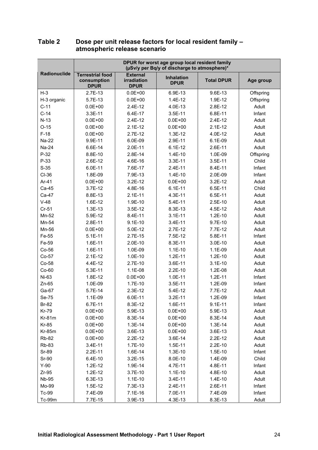|              | DPUR for worst age group local resident family<br>(µSv/y per Bq/y of discharge to atmosphere)* |                                               |                                  |                   |           |  |
|--------------|------------------------------------------------------------------------------------------------|-----------------------------------------------|----------------------------------|-------------------|-----------|--|
| Radionuclide | <b>Terrestrial food</b><br>consumption<br><b>DPUR</b>                                          | <b>External</b><br>irradiation<br><b>DPUR</b> | <b>Inhalation</b><br><b>DPUR</b> | <b>Total DPUR</b> | Age group |  |
| $H-3$        | 2.7E-13                                                                                        | $0.0E + 00$                                   | 6.9E-13                          | 9.6E-13           | Offspring |  |
| H-3 organic  | 5.7E-13                                                                                        | $0.0E + 00$                                   | 1.4E-12                          | 1.9E-12           | Offspring |  |
| $C-11$       | $0.0E + 00$                                                                                    | 2.4E-12                                       | 4.0E-13                          | 2.8E-12           | Adult     |  |
| $C-14$       | 3.3E-11                                                                                        | 6.4E-17                                       | 3.5E-11                          | 6.8E-11           | Infant    |  |
| $N-13$       | $0.0E + 00$                                                                                    | 2.4E-12                                       | $0.0E + 00$                      | $2.4E-12$         | Adult     |  |
| $O-15$       | $0.0E + 00$                                                                                    | $2.1E-12$                                     | $0.0E + 00$                      | $2.1E-12$         | Adult     |  |
| $F-18$       | $0.0E + 00$                                                                                    | $2.7E-12$                                     | $1.3E-12$                        | 4.0E-12           | Adult     |  |
| Na-22        | 9.9E-11                                                                                        | 6.0E-09                                       | 2.9E-11                          | 6.1E-09           | Adult     |  |
| Na-24        | 6.6E-14                                                                                        | 2.0E-11                                       | $6.1E-12$                        | 2.6E-11           | Adult     |  |
| $P-32$       | 8.8E-10                                                                                        | 2.8E-14                                       | $1.4E-10$                        | 1.0E-09           | Offspring |  |
| P-33         | 2.6E-12                                                                                        | 4.6E-16                                       | 3.3E-11                          | 3.5E-11           | Child     |  |
| $S-35$       | 6.0E-11                                                                                        | 7.6E-17                                       | 2.4E-11                          | 8.4E-11           | Infant    |  |
| CI-36        | 1.8E-09                                                                                        | 7.9E-13                                       | 1.4E-10                          | 2.0E-09           | Infant    |  |
| Ar-41        | $0.0E + 00$                                                                                    | $3.2E-12$                                     | $0.0E + 00$                      | $3.2E-12$         | Adult     |  |
| Ca-45        | $3.7E-12$                                                                                      | 4.8E-16                                       | $6.1E-11$                        | 6.5E-11           | Child     |  |
| Ca-47        | 8.8E-13                                                                                        | $2.1E-11$                                     | 4.3E-11                          | 6.5E-11           | Adult     |  |
| $V-48$       | 1.6E-12                                                                                        | 1.9E-10                                       | 5.4E-11                          | 2.5E-10           | Adult     |  |
| $Cr-51$      | $1.3E-13$                                                                                      | 3.5E-12                                       | 8.3E-13                          | 4.5E-12           | Adult     |  |
| Mn-52        | 5.9E-12                                                                                        | 8.4E-11                                       | $3.1E-11$                        | $1.2E-10$         | Adult     |  |
| Mn-54        | 2.8E-11                                                                                        | $9.1E-10$                                     | 3.4E-11                          | 9.7E-10           | Adult     |  |
| Mn-56        | $0.0E + 00$                                                                                    | 5.0E-12                                       | $2.7E-12$                        | 7.7E-12           | Adult     |  |
| Fe-55        | $5.1E-11$                                                                                      | 2.7E-15                                       | 7.5E-12                          | 5.8E-11           | Infant    |  |
| Fe-59        | 1.6E-11                                                                                        | 2.0E-10                                       | 8.3E-11                          | 3.0E-10           | Adult     |  |
| $Co-56$      | 1.6E-11                                                                                        | 1.0E-09                                       | $1.1E-10$                        | 1.1E-09           | Adult     |  |
| Co-57        | $2.1E-12$                                                                                      | 1.0E-10                                       | $1.2E-11$                        | $1.2E-10$         | Adult     |  |
| Co-58        | 4.4E-12                                                                                        | 2.7E-10                                       | 3.6E-11                          | $3.1E-10$         | Adult     |  |
| $Co-60$      | 5.3E-11                                                                                        | 1.1E-08                                       | $2.2E-10$                        | 1.2E-08           | Adult     |  |
| Ni-63        | 1.8E-12                                                                                        | $0.0E + 00$                                   | 1.0E-11                          | $1.2E-11$         | Infant    |  |
| $Zn-65$      | 1.0E-09                                                                                        | 1.7E-10                                       | 3.5E-11                          | 1.2E-09           | Infant    |  |
| Ga-67        | 5.7E-14                                                                                        | 2.3E-12                                       | 5.4E-12                          | 7.7E-12           | Adult     |  |
| Se-75        | 1.1E-09                                                                                        | 6.0E-11                                       | $3.2E-11$                        | 1.2E-09           | Infant    |  |
| Br-82        | 6.7E-11                                                                                        | 8.3E-12                                       | 1.6E-11                          | $9.1E-11$         | Infant    |  |
| <b>Kr-79</b> | $0.0E + 00$                                                                                    | 5.9E-13                                       | $0.0E + 00$                      | 5.9E-13           | Adult     |  |
| $Kr-81m$     | $0.0E + 00$                                                                                    | 8.3E-14                                       | $0.0E + 00$                      | 8.3E-14           | Adult     |  |
| Kr-85        | $0.0E + 00$                                                                                    | 1.3E-14                                       | $0.0E + 00$                      | $1.3E-14$         | Adult     |  |
| $Kr-85m$     | $0.0E + 00$                                                                                    | 3.6E-13                                       | $0.0E + 00$                      | 3.6E-13           | Adult     |  |
| <b>Rb-82</b> | $0.0E + 00$                                                                                    | 2.2E-12                                       | 3.6E-14                          | 2.2E-12           | Adult     |  |
| <b>Rb-83</b> | 3.4E-11                                                                                        | 1.7E-10                                       | $1.5E-11$                        | 2.2E-10           | Adult     |  |
| Sr-89        | 2.2E-11                                                                                        | 1.6E-14                                       | $1.3E-10$                        | 1.5E-10           | Infant    |  |
| Sr-90        | 6.4E-10                                                                                        | $3.2E-15$                                     | 8.0E-10                          | 1.4E-09           | Child     |  |
| $Y-90$       | $1.2E-12$                                                                                      | 1.9E-14                                       | 4.7E-11                          | 4.8E-11           | Infant    |  |
| $Zr-95$      | $1.2E-12$                                                                                      | 3.7E-10                                       | $1.1E-10$                        | 4.8E-10           | Adult     |  |
| Nb-95        | 6.3E-13                                                                                        | $1.1E-10$                                     | $3.4E-11$                        | $1.4E-10$         | Adult     |  |
| Mo-99        | 1.5E-12                                                                                        | 7.3E-13                                       | 2.4E-11                          | 2.6E-11           | Infant    |  |
| Tc-99        | 7.4E-09                                                                                        | 7.1E-16                                       | 7.0E-11                          | 7.4E-09           | Infant    |  |
| Tc-99m       | 7.7E-15                                                                                        | 3.9E-13                                       | 4.3E-13                          | 8.3E-13           | Adult     |  |

#### **Table 2 Dose per unit release factors for local resident family – atmospheric release scenario**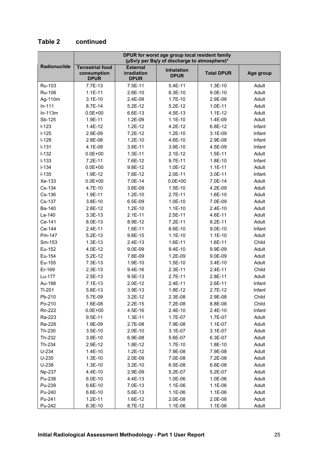| DPUR for worst age group local resident family<br>(µSv/y per Bq/y of discharge to atmosphere)* |                                                       |                                               |                                  |                   |           |
|------------------------------------------------------------------------------------------------|-------------------------------------------------------|-----------------------------------------------|----------------------------------|-------------------|-----------|
| Radionuclide                                                                                   | <b>Terrestrial food</b><br>consumption<br><b>DPUR</b> | <b>External</b><br>irradiation<br><b>DPUR</b> | <b>Inhalation</b><br><b>DPUR</b> | <b>Total DPUR</b> | Age group |
| Ru-103                                                                                         | 7.7E-13                                               | 7.5E-11                                       | 5.4E-11                          | $1.3E-10$         | Adult     |
| Ru-106                                                                                         | $1.1E-11$                                             | 2.6E-10                                       | 6.3E-10                          | 9.0E-10           | Adult     |
| Ag-110m                                                                                        | $3.1E-10$                                             | 2.4E-09                                       | $1.7E-10$                        | 2.9E-09           | Adult     |
| $In-111$                                                                                       | 8.7E-14                                               | $5.2E-12$                                     | $5.2E-12$                        | $1.0E-11$         | Adult     |
| $In-113m$                                                                                      | $0.0E + 00$                                           | 6.6E-13                                       | 4.5E-13                          | $1.1E-12$         | Adult     |
| Sb-125                                                                                         | 1.9E-11                                               | 1.2E-09                                       | $1.1E-10$                        | 1.4E-09           | Adult     |
| $I-123$                                                                                        | 1.4E-12                                               | $1.2E-12$                                     | 4.2E-12                          | 6.8E-12           | Infant    |
| $I-125$                                                                                        | 2.9E-09                                               | 7.2E-12                                       | $1.2E-10$                        | 3.1E-09           | Infant    |
| $I-129$                                                                                        | 2.8E-08                                               | $1.2E-10$                                     | 4.6E-10                          | 2.9E-08           | Infant    |
| $I - 131$                                                                                      | 4.1E-09                                               | 3.8E-11                                       | 3.9E-10                          | 4.5E-09           | Infant    |
| $I-132$                                                                                        | $0.0E + 00$                                           | $1.3E-11$                                     | $2.1E-12$                        | $1.5E-11$         | Adult     |
| $I-133$                                                                                        | $7.2E-11$                                             | 7.6E-12                                       | 9.7E-11                          | 1.8E-10           | Infant    |
| $I - 134$                                                                                      | $0.0E + 00$                                           | 9.8E-12                                       | 1.0E-12                          | $1.1E-11$         | Adult     |
| $I-135$                                                                                        | 1.9E-12                                               | 7.8E-12                                       | 2.0E-11                          | 3.0E-11           | Infant    |
| Xe-133                                                                                         | $0.0E + 00$                                           | 7.0E-14                                       | $0.0E + 00$                      | 7.0E-14           | Adult     |
| Cs-134                                                                                         | 4.7E-10                                               | 3.6E-09                                       | $1.5E-10$                        | 4.2E-09           | Adult     |
| Cs-136                                                                                         | 1.9E-11                                               | $1.2E-10$                                     | $2.7E-11$                        | 1.6E-10           | Adult     |
| Cs-137                                                                                         | 3.8E-10                                               | 6.5E-09                                       | 1.0E-10                          | 7.0E-09           | Adult     |
| Ba-140                                                                                         | 2.8E-12                                               | $1.2E-10$                                     | $1.1E-10$                        | 2.4E-10           | Adult     |
| La-140                                                                                         | 3.3E-13                                               | $2.1E-11$                                     | 2.5E-11                          | 4.6E-11           | Adult     |
| Ce-141                                                                                         | 8.0E-13                                               | 8.9E-12                                       | 7.2E-11                          | 8.2E-11           | Adult     |
| Ce-144                                                                                         | 2.4E-11                                               | 1.6E-11                                       | 8.6E-10                          | 9.0E-10           | Infant    |
| Pm-147                                                                                         | $5.2E-13$                                             | 9.8E-15                                       | $1.1E-10$                        | $1.1E-10$         | Adult     |
| Sm-153                                                                                         | $1.3E-13$                                             | 2.4E-13                                       | 1.6E-11                          | 1.6E-11           | Child     |
| Eu-152                                                                                         | 4.0E-12                                               | 9.0E-09                                       | 9.4E-10                          | 9.9E-09           | Adult     |
| Eu-154                                                                                         | $5.2E-12$                                             | 7.8E-09                                       | 1.2E-09                          | 9.0E-09           | Adult     |
| Eu-155                                                                                         | 7.3E-13                                               | 1.9E-10                                       | $1.5E-10$                        | 3.4E-10           | Adult     |
| Er-169                                                                                         | $2.3E-13$                                             | 9.4E-16                                       | 2.3E-11                          | 2.4E-11           | Child     |
| Lu-177                                                                                         | $2.5E-13$                                             | 9.5E-13                                       | 2.7E-11                          | 2.8E-11           | Adult     |
| Au-198                                                                                         | $7.1E-13$                                             | 2.0E-12                                       | 2.4E-11                          | 2.6E-11           | Infant    |
| TI-201                                                                                         | 5.8E-13                                               | 3.9E-13                                       | 1.8E-12                          | 2.7E-12           | Infant    |
| Pb-210                                                                                         | 5.7E-09                                               | 3.2E-12                                       | 2.3E-08                          | 2.9E-08           | Child     |
| Po-210                                                                                         | 1.6E-08                                               | $2.2E-15$                                     | 7.2E-08                          | 8.8E-08           | Child     |
| Rn-222                                                                                         | $0.0E + 00$                                           | 4.5E-16                                       | $2.4E-10$                        | $2.4E-10$         | Infant    |
| Ra-223                                                                                         | 9.5E-11                                               | $1.3E-11$                                     | 1.7E-07                          | 1.7E-07           | Adult     |
| Ra-226                                                                                         | 1.9E-09                                               | 2.7E-08                                       | 7.9E-08                          | $1.1E-07$         | Adult     |
| Th-230                                                                                         | 3.5E-10                                               | 2.0E-10                                       | 3.1E-07                          | 3.1E-07           | Adult     |
| Th-232                                                                                         | 3.9E-10                                               | 6.9E-08                                       | 5.6E-07                          | 6.3E-07           | Adult     |
| Th-234                                                                                         | 2.9E-12                                               | 1.8E-12                                       | $1.7E-10$                        | 1.8E-10           | Adult     |
| $U-234$                                                                                        | 1.4E-10                                               | $1.2E-12$                                     | 7.9E-08                          | 7.9E-08           | Adult     |
| $U-235$                                                                                        | $1.3E-10$                                             | 2.0E-09                                       | 7.0E-08                          | 7.2E-08           | Adult     |
| U-238                                                                                          | 1.3E-10                                               | 3.2E-10                                       | 6.5E-08                          | 6.6E-08           | Adult     |
| Np-237                                                                                         | 4.4E-10                                               | 2.9E-09                                       | 5.2E-07                          | 5.2E-07           | Adult     |
| Pu-238                                                                                         | 6.0E-10                                               | 4.4E-13                                       | 1.0E-06                          | 1.0E-06           | Adult     |
| Pu-239                                                                                         | 6.6E-10                                               | 7.0E-13                                       | 1.1E-06                          | 1.1E-06           | Adult     |
| Pu-240                                                                                         | 6.6E-10                                               | 5.6E-13                                       | 1.1E-06                          | 1.1E-06           | Adult     |
| Pu-241                                                                                         | $1.2E-11$                                             | 1.6E-12                                       | 2.0E-08                          | 2.0E-08           | Adult     |
| Pu-242                                                                                         | $6.3E-10$                                             | 8.7E-12                                       | 1.1E-06                          | 1.1E-06           | Adult     |

## **Table 2 continued**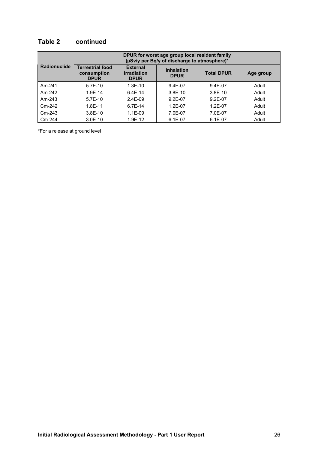#### **Table 2 continued**

|                     |                                                       |                                               | DPUR for worst age group local resident family<br>(µSv/y per Bq/y of discharge to atmosphere)* |                   |           |
|---------------------|-------------------------------------------------------|-----------------------------------------------|------------------------------------------------------------------------------------------------|-------------------|-----------|
| <b>Radionuclide</b> | <b>Terrestrial food</b><br>consumption<br><b>DPUR</b> | <b>External</b><br>irradiation<br><b>DPUR</b> | <b>Inhalation</b><br><b>DPUR</b>                                                               | <b>Total DPUR</b> | Age group |
| Am-241              | $5.7E-10$                                             | $1.3E-10$                                     | $9.4E - 07$                                                                                    | $9.4E - 07$       | Adult     |
| Am-242              | $1.9F-14$                                             | $6.4F-14$                                     | $3.8E-10$                                                                                      | $3.8E-10$         | Adult     |
| Am-243              | $5.7E-10$                                             | $2.4E-09$                                     | $9.2E - 07$                                                                                    | $9.2E-07$         | Adult     |
| $Cm-242$            | 1.8F-11                                               | $6.7E-14$                                     | $1.2F - 07$                                                                                    | $1.2E - 07$       | Adult     |
| Cm-243              | $3.8E - 10$                                           | $1.1E-09$                                     | 7.0E-07                                                                                        | 7.0E-07           | Adult     |
| Cm-244              | $3.0E-10$                                             | 1.9E-12                                       | $6.1E-07$                                                                                      | 6.1E-07           | Adult     |

\*For a release at ground level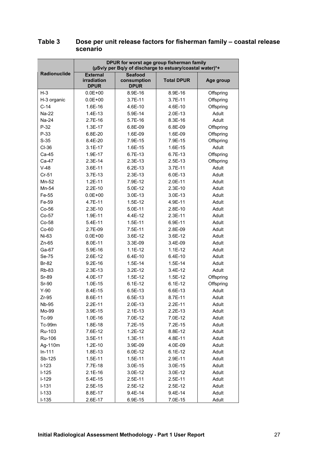|                     | DPUR for worst age group fisherman family<br>(µSv/y per Bq/y of discharge to estuary/coastal water)*+ |                                              |                   |           |  |  |  |
|---------------------|-------------------------------------------------------------------------------------------------------|----------------------------------------------|-------------------|-----------|--|--|--|
| <b>Radionuclide</b> | <b>External</b><br>irradiation<br><b>DPUR</b>                                                         | <b>Seafood</b><br>consumption<br><b>DPUR</b> | <b>Total DPUR</b> | Age group |  |  |  |
| $H-3$               | $0.0E + 00$                                                                                           | 8.9E-16                                      | 8.9E-16           | Offspring |  |  |  |
| H-3 organic         | $0.0E + 00$                                                                                           | 3.7E-11                                      | 3.7E-11           | Offspring |  |  |  |
| $C-14$              | 1.6E-16                                                                                               | 4.6E-10                                      | 4.6E-10           | Offspring |  |  |  |
| Na-22               | 1.4E-13                                                                                               | 5.9E-14                                      | 2.0E-13           | Adult     |  |  |  |
| Na-24               | 2.7E-16                                                                                               | 5.7E-16                                      | 8.3E-16           | Adult     |  |  |  |
| $P-32$              | 1.3E-17                                                                                               | 6.8E-09                                      | 6.8E-09           | Offspring |  |  |  |
| $P-33$              | 6.8E-20                                                                                               | 1.6E-09                                      | 1.6E-09           | Offspring |  |  |  |
| $S-35$              | 8.4E-20                                                                                               | 7.9E-15                                      | 7.9E-15           | Offspring |  |  |  |
| $CI-36$             | $3.1E-17$                                                                                             | 1.6E-15                                      | 1.6E-15           | Adult     |  |  |  |
| Ca-45               | 1.9E-17                                                                                               | 6.7E-13                                      | 6.7E-13           | Offspring |  |  |  |
| Ca-47               | $2.3E-14$                                                                                             | 2.3E-13                                      | $2.5E-13$         | Offspring |  |  |  |
| $V-48$              | 3.6E-11                                                                                               | 6.2E-13                                      | 3.7E-11           | Adult     |  |  |  |
| $Cr-51$             | 3.7E-13                                                                                               | 2.3E-13                                      | 6.0E-13           | Adult     |  |  |  |
| Mn-52               | $1.2E-11$                                                                                             | 7.9E-12                                      | 2.0E-11           | Adult     |  |  |  |
| Mn-54               | $2.2E-10$                                                                                             | 5.0E-12                                      | $2.3E-10$         | Adult     |  |  |  |
| Fe-55               | $0.0E + 00$                                                                                           | 3.0E-13                                      | 3.0E-13           | Adult     |  |  |  |
| Fe-59               | 4.7E-11                                                                                               | 1.5E-12                                      | 4.9E-11           | Adult     |  |  |  |
| $Co-56$             | $2.3E-10$                                                                                             | 5.0E-11                                      | 2.8E-10           | Adult     |  |  |  |
| $Co-57$             | 1.9E-11                                                                                               | 4.4E-12                                      | 2.3E-11           | Adult     |  |  |  |
| Co-58               | 5.4E-11                                                                                               | 1.5E-11                                      | 6.9E-11           | Adult     |  |  |  |
| $Co-60$             | 2.7E-09                                                                                               | 7.5E-11                                      | 2.8E-09           | Adult     |  |  |  |
| Ni-63               | $0.0E + 00$                                                                                           | 3.6E-12                                      | 3.6E-12           | Adult     |  |  |  |
| Zn-65               | 8.0E-11                                                                                               | 3.3E-09                                      | 3.4E-09           | Adult     |  |  |  |
| Ga-67               | 5.9E-16                                                                                               | $1.1E-12$                                    | $1.1E-12$         | Adult     |  |  |  |
| Se-75               | 2.6E-12                                                                                               | 6.4E-10                                      | $6.4E-10$         | Adult     |  |  |  |
| <b>Br-82</b>        | $9.2E-16$                                                                                             | 1.5E-14                                      | $1.5E-14$         | Adult     |  |  |  |
| Rb-83               | $2.3E-13$                                                                                             | 3.2E-12                                      | 3.4E-12           | Adult     |  |  |  |
| <b>Sr-89</b>        | 4.0E-17                                                                                               | $1.5E-12$                                    | 1.5E-12           | Offspring |  |  |  |
| Sr-90               | 1.0E-15                                                                                               | $6.1E-12$                                    | $6.1E-12$         | Offspring |  |  |  |
| $Y-90$              | 8.4E-15                                                                                               | 6.5E-13                                      | 6.6E-13           | Adult     |  |  |  |
| $Zr-95$             | 8.6E-11                                                                                               | 6.5E-13                                      | 8.7E-11           | Adult     |  |  |  |
| Nb-95               | $2.2E-11$                                                                                             | $2.0E-13$                                    | $2.2E-11$         | Adult     |  |  |  |
| Mo-99               | 3.9E-15                                                                                               | $2.1E-13$                                    | 2.2E-13           | Adult     |  |  |  |
| Tc-99               | 1.0E-16                                                                                               | 7.0E-12                                      | 7.0E-12           | Adult     |  |  |  |
| Tc-99m              | 1.8E-18                                                                                               | $7.2E-15$                                    | 7.2E-15           | Adult     |  |  |  |
| Ru-103              | 7.6E-12                                                                                               | $1.2E-12$                                    | 8.8E-12           | Adult     |  |  |  |
| Ru-106              | $3.5E-11$                                                                                             | $1.3E-11$                                    | 4.8E-11           | Adult     |  |  |  |
| Ag-110m             | $1.2E-10$                                                                                             | 3.9E-09                                      | 4.0E-09           | Adult     |  |  |  |
| $In-111$            | 1.8E-13                                                                                               | 6.0E-12                                      | $6.1E-12$         | Adult     |  |  |  |
| Sb-125              | 1.5E-11                                                                                               | $1.5E-11$                                    | 2.9E-11           | Adult     |  |  |  |
| $I-123$             | 7.7E-18                                                                                               | 3.0E-15                                      | 3.0E-15           | Adult     |  |  |  |
| $I-125$             | $2.1E-16$                                                                                             | 3.0E-12                                      | 3.0E-12           | Adult     |  |  |  |
| $I-129$             | 5.4E-15                                                                                               | 2.5E-11                                      | $2.5E-11$         | Adult     |  |  |  |
| $I-131$             | $2.5E-15$                                                                                             | $2.5E-12$                                    | $2.5E-12$         | Adult     |  |  |  |
| $I-133$             | 8.8E-17                                                                                               | 9.4E-14                                      | 9.4E-14           | Adult     |  |  |  |
| $I-135$             | 2.6E-17                                                                                               | 6.9E-15                                      | 7.0E-15           | Adult     |  |  |  |

#### **Table 3 Dose per unit release factors for fisherman family – coastal release scenario**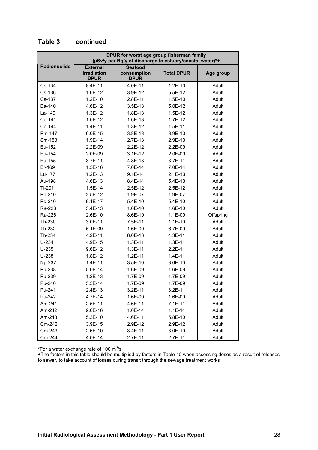|              | DPUR for worst age group fisherman family<br>(µSv/y per Bq/y of discharge to estuary/coastal water)*+ |                                              |                   |           |  |  |  |
|--------------|-------------------------------------------------------------------------------------------------------|----------------------------------------------|-------------------|-----------|--|--|--|
| Radionuclide | <b>External</b><br>irradiation<br><b>DPUR</b>                                                         | <b>Seafood</b><br>consumption<br><b>DPUR</b> | <b>Total DPUR</b> | Age group |  |  |  |
| Cs-134       | 8.4E-11                                                                                               | 4.0E-11                                      | $1.2E-10$         | Adult     |  |  |  |
| Cs-136       | 1.6E-12                                                                                               | 3.9E-12                                      | 5.5E-12           | Adult     |  |  |  |
| Cs-137       | $1.2E-10$                                                                                             | 2.8E-11                                      | $1.5E-10$         | Adult     |  |  |  |
| Ba-140       | 4.6E-12                                                                                               | $3.5E-13$                                    | 5.0E-12           | Adult     |  |  |  |
| La-140       | $1.3E-12$                                                                                             | 1.8E-13                                      | $1.5E-12$         | Adult     |  |  |  |
| Ce-141       | 1.6E-12                                                                                               | 1.6E-13                                      | $1.7E-12$         | Adult     |  |  |  |
| Ce-144       | 1.4E-11                                                                                               | $1.3E-12$                                    | $1.5E-11$         | Adult     |  |  |  |
| Pm-147       | 6.0E-15                                                                                               | 3.8E-13                                      | 3.9E-13           | Adult     |  |  |  |
| Sm-153       | 1.9E-14                                                                                               | $2.7E-13$                                    | 2.9E-13           | Adult     |  |  |  |
| Eu-152       | 2.2E-09                                                                                               | $2.2E-12$                                    | 2.2E-09           | Adult     |  |  |  |
| Eu-154       | 2.0E-09                                                                                               | $3.1E-12$                                    | 2.0E-09           | Adult     |  |  |  |
| Eu-155       | 3.7E-11                                                                                               | 4.8E-13                                      | 3.7E-11           | Adult     |  |  |  |
| Er-169       | $1.5E-16$                                                                                             | 7.0E-14                                      | 7.0E-14           | Adult     |  |  |  |
| Lu-177       | $1.2E-13$                                                                                             | $9.1E-14$                                    | $2.1E-13$         | Adult     |  |  |  |
| Au-198       | 4.6E-13                                                                                               | 8.4E-14                                      | 5.4E-13           | Adult     |  |  |  |
| $TI-201$     | $1.5E-14$                                                                                             | $2.5E-12$                                    | 2.5E-12           | Adult     |  |  |  |
| Pb-210       | $2.5E-12$                                                                                             | 1.9E-07                                      | 1.9E-07           | Adult     |  |  |  |
| Po-210       | $9.1E-17$                                                                                             | 5.4E-10                                      | 5.4E-10           | Adult     |  |  |  |
| Ra-223       | 5.4E-13                                                                                               | 1.6E-10                                      | 1.6E-10           | Adult     |  |  |  |
| Ra-226       | 2.6E-10                                                                                               | 8.6E-10                                      | 1.1E-09           | Offspring |  |  |  |
| Th-230       | 3.0E-11                                                                                               | 7.5E-11                                      | $1.1E-10$         | Adult     |  |  |  |
| Th-232       | 5.1E-09                                                                                               | 1.6E-09                                      | 6.7E-09           | Adult     |  |  |  |
| Th-234       | 4.2E-11                                                                                               | 8.6E-13                                      | 4.3E-11           | Adult     |  |  |  |
| $U-234$      | 4.9E-15                                                                                               | $1.3E-11$                                    | $1.3E-11$         | Adult     |  |  |  |
| $U-235$      | 9.6E-12                                                                                               | $1.3E-11$                                    | 2.2E-11           | Adult     |  |  |  |
| $U-238$      | 1.8E-12                                                                                               | $1.2E-11$                                    | 1.4E-11           | Adult     |  |  |  |
| Np-237       | $1.4E-11$                                                                                             | $3.5E-10$                                    | 3.6E-10           | Adult     |  |  |  |
| Pu-238       | 5.0E-14                                                                                               | 1.6E-09                                      | 1.6E-09           | Adult     |  |  |  |
| Pu-239       | $1.2E-13$                                                                                             | 1.7E-09                                      | 1.7E-09           | Adult     |  |  |  |
| Pu-240       | 5.3E-14                                                                                               | 1.7E-09                                      | 1.7E-09           | Adult     |  |  |  |
| Pu-241       | 2.4E-13                                                                                               | 3.2E-11                                      | 3.2E-11           | Adult     |  |  |  |
| Pu-242       | 4.7E-14                                                                                               | 1.6E-09                                      | 1.6E-09           | Adult     |  |  |  |
| Am-241       | 2.5E-11                                                                                               | 4.6E-11                                      | $7.1E-11$         | Adult     |  |  |  |
| Am-242       | $9.6E-16$                                                                                             | 1.0E-14                                      | $1.1E-14$         | Adult     |  |  |  |
| Am-243       | 5.3E-10                                                                                               | 4.6E-11                                      | 5.8E-10           | Adult     |  |  |  |
| Cm-242       | 3.9E-15                                                                                               | 2.9E-12                                      | 2.9E-12           | Adult     |  |  |  |
| Cm-243       | 2.6E-10                                                                                               | $3.4E-11$                                    | $3.0E-10$         | Adult     |  |  |  |
| Cm-244       | 4.0E-14                                                                                               | 2.7E-11                                      | 2.7E-11           | Adult     |  |  |  |

**Table 3 continued**

\*For a water exchange rate of 100 m<sup>3</sup>/s

+The factors in this table should be multiplied by factors in Table 10 when assessing doses as a result of releases to sewer, to take account of losses during transit through the sewage treatment works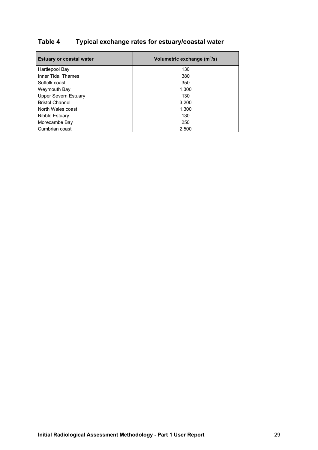## **Table 4 Typical exchange rates for estuary/coastal water**

| <b>Estuary or coastal water</b> | Volumetric exchange (m <sup>3</sup> /s) |
|---------------------------------|-----------------------------------------|
| Hartlepool Bay                  | 130                                     |
| Inner Tidal Thames              | 380                                     |
| Suffolk coast                   | 350                                     |
| Weymouth Bay                    | 1,300                                   |
| Upper Severn Estuary            | 130                                     |
| <b>Bristol Channel</b>          | 3,200                                   |
| North Wales coast               | 1,300                                   |
| <b>Ribble Estuary</b>           | 130                                     |
| Morecambe Bay                   | 250                                     |
| Cumbrian coast                  | 2.500                                   |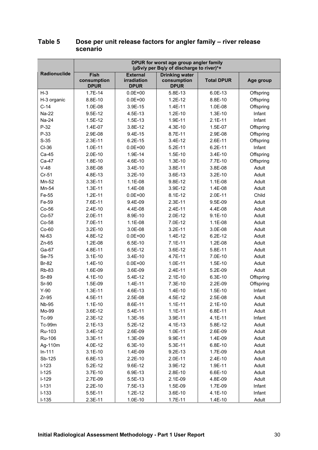|              | DPUR for worst age group angler family<br>(µSv/y per Bq/y of discharge to river)*+ |                            |                            |                   |           |  |
|--------------|------------------------------------------------------------------------------------|----------------------------|----------------------------|-------------------|-----------|--|
| Radionuclide | <b>Fish</b>                                                                        | <b>External</b>            | <b>Drinking water</b>      |                   |           |  |
|              | consumption<br><b>DPUR</b>                                                         | irradiation<br><b>DPUR</b> | consumption<br><b>DPUR</b> | <b>Total DPUR</b> | Age group |  |
| $H-3$        | $1.7E-14$                                                                          | $0.0E + 00$                | 5.8E-13                    | 6.0E-13           | Offspring |  |
| H-3 organic  | 8.8E-10                                                                            | $0.0E + 00$                | $1.2E-12$                  | 8.8E-10           | Offspring |  |
| $C-14$       | 1.0E-08                                                                            | 3.9E-15                    | $1.4E-11$                  | 1.0E-08           | Offspring |  |
| Na-22        | $9.5E-12$                                                                          | 4.5E-13                    | $1.2E-10$                  | $1.3E-10$         | Infant    |  |
| Na-24        | $1.5E-12$                                                                          | 1.5E-13                    | 1.9E-11                    | $2.1E-11$         | Infant    |  |
| $P-32$       | 1.4E-07                                                                            | 3.8E-12                    | 4.3E-10                    | 1.5E-07           | Offspring |  |
| P-33         | 2.9E-08                                                                            | 9.4E-15                    | 8.7E-11                    | 2.9E-08           | Offspring |  |
| $S-35$       | 2.3E-11                                                                            | $6.2E-15$                  | 3.4E-12                    | 2.6E-11           | Offspring |  |
| $CI-36$      | 1.0E-11                                                                            | $0.0E + 00$                | $5.2E-11$                  | $6.2E-11$         | Infant    |  |
| Ca-45        | $2.0E-10$                                                                          | 1.9E-14                    | 1.5E-10                    | 3.4E-10           | Offspring |  |
| Ca-47        | 1.8E-10                                                                            | 4.6E-10                    | 1.3E-10                    | 7.7E-10           | Offspring |  |
| $V-48$       | 3.8E-08                                                                            | 3.4E-10                    | 3.8E-11                    | 3.8E-08           | Adult     |  |
| $Cr-51$      | 4.8E-13                                                                            | $3.2E-10$                  | 3.6E-13                    | $3.2E-10$         | Adult     |  |
| Mn-52        | 3.3E-11                                                                            | 1.1E-08                    | 9.8E-12                    | 1.1E-08           | Adult     |  |
| Mn-54        | $1.3E-11$                                                                          | 1.4E-08                    | 3.9E-12                    | 1.4E-08           | Adult     |  |
| Fe-55        | $1.2E-11$                                                                          | $0.0E + 00$                | 8.1E-12                    | 2.0E-11           | Child     |  |
| Fe-59        | 7.6E-11                                                                            | 9.4E-09                    | 2.3E-11                    | 9.5E-09           | Adult     |  |
| $Co-56$      | 2.4E-10                                                                            | 4.4E-08                    | 2.4E-11                    | 4.4E-08           | Adult     |  |
| Co-57        | 2.0E-11                                                                            | 8.9E-10                    | 2.0E-12                    | $9.1E-10$         | Adult     |  |
| Co-58        | 7.0E-11                                                                            | 1.1E-08                    | 7.0E-12                    | 1.1E-08           | Adult     |  |
| $Co-60$      | $3.2E-10$                                                                          | 3.0E-08                    | $3.2E-11$                  | 3.0E-08           | Adult     |  |
| Ni-63        | 4.8E-12                                                                            | $0.0E + 00$                | 1.4E-12                    | $6.2E-12$         | Adult     |  |
| Zn-65        | 1.2E-08                                                                            | 6.5E-10                    | $7.1E-11$                  | 1.2E-08           | Adult     |  |
| Ga-67        | 4.8E-11                                                                            | 6.5E-12                    | 3.6E-12                    | 5.8E-11           | Adult     |  |
| Se-75        | $3.1E-10$                                                                          | 3.4E-10                    | 4.7E-11                    | 7.0E-10           | Adult     |  |
| <b>Br-82</b> | 1.4E-10                                                                            | $0.0E + 00$                | $1.0E-11$                  | $1.5E-10$         | Adult     |  |
| <b>Rb-83</b> | 1.6E-09                                                                            | 3.6E-09                    | 2.4E-11                    | 5.2E-09           | Adult     |  |
| Sr-89        | 4.1E-10                                                                            | 5.4E-12                    | $2.1E-10$                  | 6.3E-10           | Offspring |  |
| Sr-90        | 1.5E-09                                                                            | $1.4E-11$                  | 7.3E-10                    | 2.2E-09           | Offspring |  |
| $Y-90$       | $1.3E-11$                                                                          | 4.6E-13                    | $1.4E-10$                  | 1.5E-10           | Infant    |  |
| $Zr-95$      | 4.5E-11                                                                            | 2.5E-08                    | 4.5E-12                    | 2.5E-08           | Adult     |  |
| Nb-95        | $1.1E-10$                                                                          | 8.6E-11                    | $1.1E-11$                  | $2.1E-10$         | Adult     |  |
| Mo-99        | 3.6E-12                                                                            | 5.4E-11                    | $1.1E-11$                  | 6.8E-11           | Adult     |  |
| Tc-99        | 2.3E-12                                                                            | 1.3E-16                    | 3.9E-11                    | 4.1E-11           | Infant    |  |
| Tc-99m       | $2.1E-13$                                                                          | $5.2E-12$                  | 4.1E-13                    | 5.8E-12           | Adult     |  |
| Ru-103       | 3.4E-12                                                                            | 2.6E-09                    | 1.0E-11                    | 2.6E-09           | Adult     |  |
| Ru-106       | 3.3E-11                                                                            | 1.3E-09                    | 9.9E-11                    | 1.4E-09           | Adult     |  |
| Ag-110m      | 4.0E-12                                                                            | 6.3E-10                    | 5.3E-11                    | 6.8E-10           | Adult     |  |
| $In-111$     | $3.1E-10$                                                                          | 1.4E-09                    | $9.2E-13$                  | 1.7E-09           | Adult     |  |
| Sb-125       | 6.8E-13                                                                            | $2.2E-10$                  | 2.0E-11                    | $2.4E-10$         | Adult     |  |
| $I-123$      | 5.2E-12                                                                            | 9.6E-12                    | 3.9E-12                    | 1.9E-11           | Adult     |  |
| $I-125$      | 3.7E-10                                                                            | 6.9E-13                    | 2.8E-10                    | 6.6E-10           | Adult     |  |
| $I-129$      | 2.7E-09                                                                            | 5.5E-13                    | 2.1E-09                    | 4.8E-09           | Adult     |  |
| $I-131$      | $2.2E-10$                                                                          | 7.5E-13                    | 1.5E-09                    | 1.7E-09           | Infant    |  |
| $I-133$      | 5.5E-11                                                                            | 1.2E-12                    | 3.6E-10                    | 4.1E-10           | Infant    |  |
| $I-135$      | $2.3E-11$                                                                          | $1.0E-10$                  | $1.7E-11$                  | 1.4E-10           | Adult     |  |

#### **Table 5 Dose per unit release factors for angler family – river release scenario**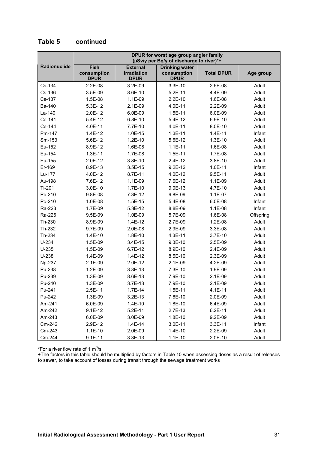|               |                                           |                                               | DPUR for worst age group angler family<br>(µSv/y per Bq/y of discharge to river)*+ |                   |           |
|---------------|-------------------------------------------|-----------------------------------------------|------------------------------------------------------------------------------------|-------------------|-----------|
| Radionuclide  | <b>Fish</b><br>consumption<br><b>DPUR</b> | <b>External</b><br>irradiation<br><b>DPUR</b> | <b>Drinking water</b><br>consumption<br><b>DPUR</b>                                | <b>Total DPUR</b> | Age group |
| Cs-134        | 2.2E-08                                   | 3.2E-09                                       | 3.3E-10                                                                            | 2.5E-08           | Adult     |
| Cs-136        | 3.5E-09                                   | 8.6E-10                                       | $5.2E-11$                                                                          | 4.4E-09           | Adult     |
| Cs-137        | 1.5E-08                                   | 1.1E-09                                       | $2.2E-10$                                                                          | 1.6E-08           | Adult     |
| Ba-140        | 5.3E-12                                   | 2.1E-09                                       | 4.0E-11                                                                            | 2.2E-09           | Adult     |
| La-140        | $2.0E-12$                                 | 6.0E-09                                       | $1.5E-11$                                                                          | 6.0E-09           | Adult     |
| Ce-141        | 5.4E-12                                   | $6.8E-10$                                     | $5.4E-12$                                                                          | 6.9E-10           | Adult     |
| Ce-144        | 4.0E-11                                   | 7.7E-10                                       | 4.0E-11                                                                            | 8.5E-10           | Adult     |
| Pm-147        | 1.4E-12                                   | 1.0E-15                                       | $1.3E-11$                                                                          | $1.4E-11$         | Infant    |
| Sm-153        | 5.6E-12                                   | $1.2E-10$                                     | 5.6E-12                                                                            | $1.3E-10$         | Adult     |
| Eu-152        | 8.9E-12                                   | 1.6E-08                                       | $1.1E-11$                                                                          | 1.6E-08           | Adult     |
| Eu-154        | $1.3E-11$                                 | 1.7E-08                                       | $1.5E-11$                                                                          | 1.7E-08           | Adult     |
| Eu-155        | $2.0E-12$                                 | 3.8E-10                                       | $2.4E-12$                                                                          | 3.8E-10           | Adult     |
| Er-169        | 8.9E-13                                   | 3.5E-15                                       | $9.2E-12$                                                                          | $1.0E-11$         | Infant    |
| Lu-177        | 4.0E-12                                   | 8.7E-11                                       | 4.0E-12                                                                            | 9.5E-11           | Adult     |
| Au-198        | 7.6E-12                                   | 1.1E-09                                       | 7.6E-12                                                                            | 1.1E-09           | Adult     |
| TI-201        | 3.0E-10                                   | 1.7E-10                                       | 9.0E-13                                                                            | 4.7E-10           | Adult     |
| Pb-210        | 9.8E-08                                   | 7.3E-12                                       | 9.8E-09                                                                            | 1.1E-07           | Adult     |
| Po-210        | 1.0E-08                                   | $1.5E-15$                                     | 5.4E-08                                                                            | 6.5E-08           | Infant    |
| Ra-223        | 1.7E-09                                   | 5.3E-12                                       | 8.8E-09                                                                            | 1.1E-08           | Infant    |
| Ra-226        | 9.5E-09                                   | 1.0E-09                                       | 5.7E-09                                                                            | 1.6E-08           | Offspring |
| Th-230        | 8.9E-09                                   | 1.4E-12                                       | 2.7E-09                                                                            | 1.2E-08           | Adult     |
| Th-232        | 9.7E-09                                   | 2.0E-08                                       | 2.9E-09                                                                            | 3.3E-08           | Adult     |
| Th-234        | 1.4E-10                                   | 1.8E-10                                       | 4.3E-11                                                                            | 3.7E-10           | Adult     |
| $U-234$       | 1.5E-09                                   | 3.4E-15                                       | 9.3E-10                                                                            | 2.5E-09           | Adult     |
| $U-235$       | 1.5E-09                                   | 6.7E-12                                       | 8.9E-10                                                                            | 2.4E-09           | Adult     |
| $U-238$       | 1.4E-09                                   | 1.4E-12                                       | 8.5E-10                                                                            | 2.3E-09           | Adult     |
| <b>Np-237</b> | 2.1E-09                                   | 2.0E-12                                       | 2.1E-09                                                                            | 4.2E-09           | Adult     |
| Pu-238        | 1.2E-09                                   | 3.8E-13                                       | 7.3E-10                                                                            | 1.9E-09           | Adult     |
| Pu-239        | 1.3E-09                                   | 8.6E-13                                       | 7.9E-10                                                                            | 2.1E-09           | Adult     |
| Pu-240        | 1.3E-09                                   | 3.7E-13                                       | 7.9E-10                                                                            | 2.1E-09           | Adult     |
| Pu-241        | 2.5E-11                                   | 1.7E-14                                       | $1.5E-11$                                                                          | 4.1E-11           | Adult     |
| Pu-242        | 1.3E-09                                   | $3.2E-13$                                     | 7.6E-10                                                                            | 2.0E-09           | Adult     |
| Am-241        | 6.0E-09                                   | 1.4E-10                                       | 1.8E-10                                                                            | 6.4E-09           | Adult     |
| Am-242        | $9.1E-12$                                 | $5.2E-11$                                     | 2.7E-13                                                                            | $6.2E-11$         | Adult     |
| Am-243        | 6.0E-09                                   | 3.0E-09                                       | 1.8E-10                                                                            | 9.2E-09           | Adult     |
| Cm-242        | 2.9E-12                                   | 1.4E-14                                       | 3.0E-11                                                                            | 3.3E-11           | Infant    |
| Cm-243        | $1.1E-10$                                 | 2.0E-09                                       | 1.4E-10                                                                            | 2.2E-09           | Adult     |
| Cm-244        | $9.1E-11$                                 | $3.3E-13$                                     | $1.1E-10$                                                                          | 2.0E-10           | Adult     |

#### **Table 5 continued**

\*For a river flow rate of 1  $m^3/s$ 

+The factors in this table should be multiplied by factors in Table 10 when assessing doses as a result of releases to sewer, to take account of losses during transit through the sewage treatment works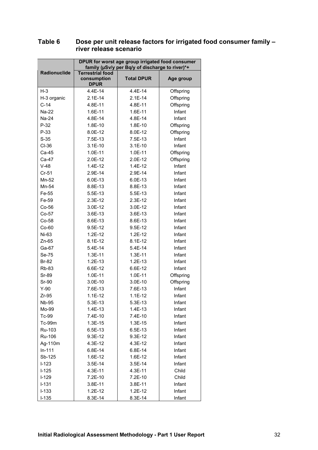|                 | DPUR for worst age group irrigated food consumer<br>family (µSv/y per Bq/y of discharge to river)*+ |                      |                  |
|-----------------|-----------------------------------------------------------------------------------------------------|----------------------|------------------|
| Radionuclide    | <b>Terrestrial food</b><br>consumption<br><b>DPUR</b>                                               | <b>Total DPUR</b>    | Age group        |
| $H-3$           | 4.4E-14                                                                                             | 4.4E-14              | Offspring        |
| H-3 organic     | $2.1E-14$                                                                                           | $2.1E-14$            | Offspring        |
| $C-14$          | 4.8E-11                                                                                             | 4.8E-11              | Offspring        |
| Na-22           | 1.6E-11                                                                                             | 1.6E-11              | Infant           |
| Na-24           | 4.8E-14                                                                                             | 4.8E-14              | Infant           |
| $P-32$          | 1.8E-10                                                                                             | 1.8E-10              | Offspring        |
| $P-33$          | 8.0E-12                                                                                             | 8.0E-12              | Offspring        |
| $S-35$          | 7.5E-13                                                                                             | 7.5E-13              | Infant           |
| CI-36           | $3.1E-10$                                                                                           | $3.1E-10$            | Infant           |
| Ca-45           | 1.0E-11                                                                                             | 1.0E-11              | Offspring        |
| Ca-47           | 2.0E-12                                                                                             | 2.0E-12              | Offspring        |
| $V-48$          | 1.4E-12                                                                                             | 1.4E-12              | Infant           |
| $Cr-51$         | 2.9E-14                                                                                             | 2.9E-14              | Infant           |
| Mn-52           | 6.0E-13                                                                                             | 6.0E-13              | Infant           |
| Mn-54           | 8.8E-13                                                                                             | 8.8E-13              | Infant           |
| Fe-55           | 5.5E-13                                                                                             | 5.5E-13              | Infant           |
| Fe-59           | $2.3E-12$                                                                                           | 2.3E-12              | Infant           |
| Co-56           | 3.0E-12                                                                                             | 3.0E-12              | Infant           |
| Co-57           | 3.6E-13                                                                                             | 3.6E-13              | Infant           |
| Co-58           | 8.6E-13                                                                                             | 8.6E-13              | Infant           |
| $Co-60$         | 9.5E-12                                                                                             | 9.5E-12              | Infant           |
| Ni-63           | $1.2E-12$                                                                                           | 1.2E-12              | Infant           |
| $Zn-65$         | 8.1E-12                                                                                             | $8.1E-12$            | Infant           |
| Ga-67           | 5.4E-14                                                                                             | 5.4E-14              | Infant           |
| Se-75           | $1.3E-11$                                                                                           | 1.3E-11              | Infant           |
| <b>Br-82</b>    | 1.2E-13                                                                                             | 1.2E-13              | Infant           |
| <b>Rb-83</b>    | 6.6E-12                                                                                             | 6.6E-12              | Infant           |
| Sr-89           | 1.0E-11                                                                                             | 1.0E-11              | Offspring        |
| Sr-90           | 3.0E-10                                                                                             | 3.0E-10              | Offspring        |
|                 |                                                                                                     |                      |                  |
| $Y-90$<br>Zr-95 | 7.6E-13<br>$1.1E-12$                                                                                | 7.6E-13<br>$1.1E-12$ | Infant<br>Infant |
|                 |                                                                                                     |                      |                  |
| Nb-95           | 5.3E-13                                                                                             | 5.3E-13              | Infant           |
| Mo-99           | 1.4E-13                                                                                             | 1.4E-13              | Infant           |
| Tc-99           | 7.4E-10                                                                                             | 7.4E-10              | Infant           |
| Tc-99m          | $1.3E-15$                                                                                           | 1.3E-15              | Infant           |
| Ru-103          | 6.5E-13                                                                                             | 6.5E-13              | Infant           |
| Ru-106          | 9.3E-12                                                                                             | $9.3E-12$            | Infant           |
| Ag-110m         | 4.3E-12                                                                                             | 4.3E-12              | Infant           |
| $In-111$        | 6.8E-14                                                                                             | 6.8E-14              | Infant           |
| Sb-125          | 1.6E-12                                                                                             | 1.6E-12              | Infant           |
| $I-123$         | 3.5E-14                                                                                             | $3.5E-14$            | Infant           |
| $I-125$         | 4.3E-11                                                                                             | 4.3E-11              | Child            |
| $I-129$         | 7.2E-10                                                                                             | 7.2E-10              | Child            |
| $I-131$         | 3.8E-11                                                                                             | 3.8E-11              | Infant           |
| $I-133$         | 1.2E-12                                                                                             | 1.2E-12              | Infant           |
| $I-135$         | 8.3E-14                                                                                             | 8.3E-14              | Infant           |

#### **Table 6 Dose per unit release factors for irrigated food consumer family – river release scenario**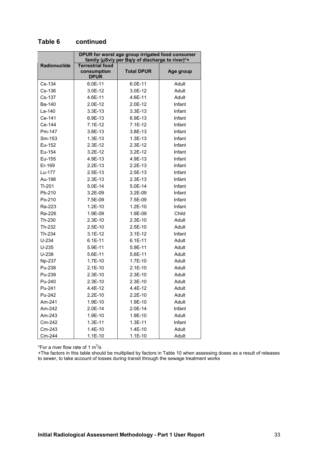|              | DPUR for worst age group irrigated food consumer<br>family (µSv/y per Bq/y of discharge to river)*+ |                   |           |  |
|--------------|-----------------------------------------------------------------------------------------------------|-------------------|-----------|--|
| Radionuclide | <b>Terrestrial food</b><br>consumption<br><b>DPUR</b>                                               | <b>Total DPUR</b> | Age group |  |
| Cs-134       | 6.0E-11                                                                                             | 6.0E-11           | Adult     |  |
| Cs-136       | 3.0E-12                                                                                             | 3.0E-12           | Adult     |  |
| Cs-137       | 4.6E-11                                                                                             | 4.6E-11           | Adult     |  |
| Ba-140       | 2.0E-12                                                                                             | 2.0E-12           | Infant    |  |
| La-140       | 3.3E-13                                                                                             | $3.3E-13$         | Infant    |  |
| Ce-141       | 6.9E-13                                                                                             | 6.9E-13           | Infant    |  |
| Ce-144       | $7.1E-12$                                                                                           | $7.1E-12$         | Infant    |  |
| Pm-147       | 3.8E-13                                                                                             | 3.8E-13           | Infant    |  |
| Sm-153       | 1.3E-13                                                                                             | $1.3E-13$         | Infant    |  |
| Eu-152       | 2.3E-12                                                                                             | 2.3E-12           | Infant    |  |
| Eu-154       | 3.2E-12                                                                                             | 3.2E-12           | Infant    |  |
| Eu-155       | 4.9E-13                                                                                             | 4.9E-13           | Infant    |  |
| Er-169       | $2.2E-13$                                                                                           | $2.2E-13$         | Infant    |  |
| Lu-177       | 2.5E-13                                                                                             | 2.5E-13           | Infant    |  |
| Au-198       | 2.3E-13                                                                                             | 2.3E-13           | Infant    |  |
| TI-201       | 5.0E-14                                                                                             | 5.0E-14           | Infant    |  |
| Pb-210       | 3.2E-09                                                                                             | 3.2E-09           | Infant    |  |
| Po-210       | 7.5E-09                                                                                             | 7.5E-09           | Infant    |  |
| Ra-223       | 1.2E-10                                                                                             | $1.2E-10$         | Infant    |  |
| Ra-226       | 1.9E-09                                                                                             | 1.9E-09           | Child     |  |
| Th-230       | 2.3E-10                                                                                             | $2.3E-10$         | Adult     |  |
| Th-232       | $2.5E-10$                                                                                           | $2.5E-10$         | Adult     |  |
| Th-234       | $3.1E-12$                                                                                           | $3.1E-12$         | Infant    |  |
| $U-234$      | $6.1E-11$                                                                                           | $6.1E-11$         | Adult     |  |
| $U-235$      | 5.9E-11                                                                                             | 5.9E-11           | Adult     |  |
| $U-238$      | 5.6E-11                                                                                             | 5.6E-11           | Adult     |  |
| Np-237       | 1.7E-10                                                                                             | $1.7E-10$         | Adult     |  |
| Pu-238       | $2.1E-10$                                                                                           | $2.1E-10$         | Adult     |  |
| Pu-239       | 2.3E-10                                                                                             | $2.3E-10$         | Adult     |  |
| Pu-240       | 2.3E-10                                                                                             | 2.3E-10           | Adult     |  |
| Pu-241       | 4.4E-12                                                                                             | 4.4E-12           | Adult     |  |
| Pu-242       | $2.2E-10$                                                                                           | $2.2E-10$         | Adult     |  |
| Am-241       | 1.9E-10                                                                                             | 1.9E-10           | Adult     |  |
| Am-242       | 2.0E-14                                                                                             | 2.0E-14           | Infant    |  |
| Am-243       | 1.9E-10                                                                                             | 1.9E-10           | Adult     |  |
| Cm-242       | $1.3E-11$                                                                                           | $1.3E-11$         | Infant    |  |
| Cm-243       | 1.4E-10                                                                                             | 1.4E-10           | Adult     |  |
| Cm-244       | $1.1E-10$                                                                                           | $1.1E-10$         | Adult     |  |

#### **Table 6 continued**

\*For a river flow rate of 1  $m^3/s$ 

+The factors in this table should be multiplied by factors in Table 10 when assessing doses as a result of releases to sewer, to take account of losses during transit through the sewage treatment works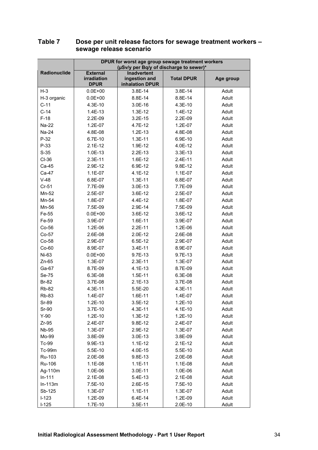|              | DPUR for worst age group sewage treatment workers<br>(µSv/y per Bq/y of discharge to sewer)* |                                                        |                   |           |
|--------------|----------------------------------------------------------------------------------------------|--------------------------------------------------------|-------------------|-----------|
| Radionuclide | <b>External</b><br><b>irradiation</b><br><b>DPUR</b>                                         | <b>Inadvertent</b><br>ingestion and<br>inhalation DPUR | <b>Total DPUR</b> | Age group |
| $H-3$        | $0.0E + 00$                                                                                  | 3.8E-14                                                | 3.8E-14           | Adult     |
| H-3 organic  | $0.0E + 00$                                                                                  | 8.8E-14                                                | 8.8E-14           | Adult     |
| $C-11$       | 4.3E-10                                                                                      | 3.0E-16                                                | 4.3E-10           | Adult     |
| $C-14$       | 1.4E-13                                                                                      | $1.3E-12$                                              | 1.4E-12           | Adult     |
| $F-18$       | 2.2E-09                                                                                      | $3.2E-15$                                              | 2.2E-09           | Adult     |
| Na-22        | 1.2E-07                                                                                      | 4.7E-12                                                | 1.2E-07           | Adult     |
| Na-24        | 4.8E-08                                                                                      | $1.2E-13$                                              | 4.8E-08           | Adult     |
| $P-32$       | 6.7E-10                                                                                      | $1.3E-11$                                              | 6.9E-10           | Adult     |
| $P-33$       | $2.1E-12$                                                                                    | 1.9E-12                                                | 4.0E-12           | Adult     |
| $S-35$       | 1.0E-13                                                                                      | $2.2E-13$                                              | 3.3E-13           | Adult     |
| CI-36        | 2.3E-11                                                                                      | 1.6E-12                                                | 2.4E-11           | Adult     |
| Ca-45        | 2.9E-12                                                                                      | 6.9E-12                                                | 9.8E-12           | Adult     |
| Ca-47        | 1.1E-07                                                                                      | 4.1E-12                                                | 1.1E-07           | Adult     |
| $V-48$       | 6.8E-07                                                                                      | $1.3E-11$                                              | 6.8E-07           | Adult     |
| $Cr-51$      | 7.7E-09                                                                                      | 3.0E-13                                                | 7.7E-09           | Adult     |
| Mn-52        | 2.5E-07                                                                                      | 3.6E-12                                                | 2.5E-07           | Adult     |
| Mn-54        | 1.8E-07                                                                                      | 4.4E-12                                                | 1.8E-07           | Adult     |
| Mn-56        | 7.5E-09                                                                                      | 2.9E-14                                                | 7.5E-09           | Adult     |
| Fe-55        | $0.0E + 00$                                                                                  | 3.6E-12                                                | 3.6E-12           | Adult     |
| Fe-59        | 3.9E-07                                                                                      | 1.6E-11                                                | 3.9E-07           | Adult     |
| $Co-56$      | 1.2E-06                                                                                      | $2.2E-11$                                              | 1.2E-06           | Adult     |
| $Co-57$      | 2.6E-08                                                                                      | 2.0E-12                                                | 2.6E-08           | Adult     |
| Co-58        | 2.9E-07                                                                                      | 6.5E-12                                                | 2.9E-07           | Adult     |
| $Co-60$      | 8.9E-07                                                                                      | 3.4E-11                                                | 8.9E-07           | Adult     |
| Ni-63        | $0.0E + 00$                                                                                  | 9.7E-13                                                | 9.7E-13           | Adult     |
| $Zn-65$      | 1.3E-07                                                                                      | 2.3E-11                                                | 1.3E-07           | Adult     |
| Ga-67        | 8.7E-09                                                                                      | 4.1E-13                                                | 8.7E-09           | Adult     |
| Se-75        | 6.3E-08                                                                                      | 1.5E-11                                                | 6.3E-08           | Adult     |
| <b>Br-82</b> | 3.7E-08                                                                                      | $2.1E-13$                                              | 3.7E-08           | Adult     |
| <b>Rb-82</b> | 4.3E-11                                                                                      | 5.5E-20                                                | 4.3E-11           | Adult     |
| <b>Rb-83</b> | 1.4E-07                                                                                      | 1.6E-11                                                | 1.4E-07           | Adult     |
| Sr-89        | 1.2E-10                                                                                      | 3.5E-12                                                | 1.2E-10           | Adult     |
| Sr-90        | 3.7E-10                                                                                      | 4.3E-11                                                | 4.1E-10           | Adult     |
| $Y-90$       | 1.2E-10                                                                                      | 1.3E-12                                                | 1.2E-10           | Adult     |
| $Zr-95$      | 2.4E-07                                                                                      | 9.8E-12                                                | 2.4E-07           | Adult     |
| <b>Nb-95</b> | 1.3E-07                                                                                      | 2.9E-12                                                | 1.3E-07           | Adult     |
| Mo-99        | 3.8E-09                                                                                      | 3.0E-13                                                | 3.8E-09           | Adult     |
| Tc-99        | 9.9E-13                                                                                      | $1.1E-12$                                              | $2.1E-12$         | Adult     |
| Tc-99m       | 5.5E-10                                                                                      | 4.0E-15                                                | 5.5E-10           | Adult     |
| Ru-103       | 2.0E-08                                                                                      | 9.8E-13                                                | 2.0E-08           | Adult     |
| Ru-106       | 1.1E-08                                                                                      | $1.1E-11$                                              | 1.1E-08           | Adult     |
| Ag-110m      | 1.0E-06                                                                                      | 3.0E-11                                                | 1.0E-06           | Adult     |
| $In-111$     | 2.1E-08                                                                                      | 5.4E-13                                                | 2.1E-08           | Adult     |
| $In-113m$    | 7.5E-10                                                                                      | 2.6E-15                                                | 7.5E-10           | Adult     |
| Sb-125       | 1.3E-07                                                                                      | $1.1E-11$                                              | 1.3E-07           | Adult     |
| $I-123$      | 1.2E-09                                                                                      | 6.4E-14                                                | 1.2E-09           | Adult     |
| $I-125$      | 1.7E-10                                                                                      | 3.5E-11                                                | 2.0E-10           | Adult     |

#### **Table 7 Dose per unit release factors for sewage treatment workers – sewage release scenario**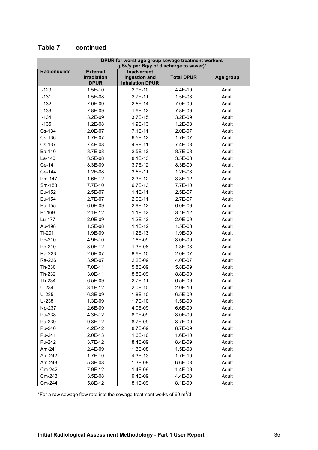|              | DPUR for worst age group sewage treatment workers<br>(µSv/y per Bq/y of discharge to sewer)* |                                                        |                   |           |
|--------------|----------------------------------------------------------------------------------------------|--------------------------------------------------------|-------------------|-----------|
| Radionuclide | <b>External</b><br>irradiation<br><b>DPUR</b>                                                | <b>Inadvertent</b><br>ingestion and<br>inhalation DPUR | <b>Total DPUR</b> | Age group |
| $I-129$      | 1.5E-10                                                                                      | 2.9E-10                                                | 4.4E-10           | Adult     |
| $I - 131$    | 1.5E-08                                                                                      | 2.7E-11                                                | 1.5E-08           | Adult     |
| $I-132$      | 7.0E-09                                                                                      | 2.5E-14                                                | 7.0E-09           | Adult     |
| $I - 133$    | 7.8E-09                                                                                      | 1.6E-12                                                | 7.8E-09           | Adult     |
| $I-134$      | 3.2E-09                                                                                      | 3.7E-15                                                | 3.2E-09           | Adult     |
| $I-135$      | 1.2E-08                                                                                      | 1.9E-13                                                | 1.2E-08           | Adult     |
| Cs-134       | 2.0E-07                                                                                      | $7.1E-11$                                              | 2.0E-07           | Adult     |
| Cs-136       | 1.7E-07                                                                                      | 6.5E-12                                                | 1.7E-07           | Adult     |
| Cs-137       | 7.4E-08                                                                                      | 4.9E-11                                                | 7.4E-08           | Adult     |
| Ba-140       | 8.7E-08                                                                                      | 2.5E-12                                                | 8.7E-08           | Adult     |
| La-140       | 3.5E-08                                                                                      | 8.1E-13                                                | 3.5E-08           | Adult     |
| Ce-141       | 8.3E-09                                                                                      | $3.7E-12$                                              | 8.3E-09           | Adult     |
| Ce-144       | 1.2E-08                                                                                      | 3.5E-11                                                | 1.2E-08           | Adult     |
| Pm-147       | 1.6E-12                                                                                      | $2.3E-12$                                              | 3.8E-12           | Adult     |
| Sm-153       | 7.7E-10                                                                                      | 6.7E-13                                                | 7.7E-10           | Adult     |
| Eu-152       | 2.5E-07                                                                                      | $1.4E-11$                                              | 2.5E-07           | Adult     |
| Eu-154       | 2.7E-07                                                                                      | 2.0E-11                                                | 2.7E-07           | Adult     |
| Eu-155       | 6.0E-09                                                                                      | 2.9E-12                                                | 6.0E-09           | Adult     |
| Er-169       | $2.1E-12$                                                                                    | $1.1E-12$                                              | $3.1E-12$         | Adult     |
| Lu-177       | 2.0E-09                                                                                      | $1.2E-12$                                              | 2.0E-09           | Adult     |
| Au-198       | 1.5E-08                                                                                      | $1.1E-12$                                              | 1.5E-08           | Adult     |
| TI-201       | 1.9E-09                                                                                      | $1.2E-13$                                              | 1.9E-09           | Adult     |
| Pb-210       | 4.9E-10                                                                                      | 7.6E-09                                                | 8.0E-09           | Adult     |
| Po-210       | 3.0E-12                                                                                      | 1.3E-08                                                | 1.3E-08           | Adult     |
| Ra-223       | 2.0E-07                                                                                      | 8.6E-10                                                | 2.0E-07           | Adult     |
| Ra-226       | 3.9E-07                                                                                      | 2.2E-09                                                | 4.0E-07           | Adult     |
| Th-230       | 7.0E-11                                                                                      | 5.8E-09                                                | 5.8E-09           | Adult     |
| Th-232       | 3.0E-11                                                                                      | 8.8E-09                                                | 8.8E-09           | Adult     |
| Th-234       | 6.5E-09                                                                                      | 2.7E-11                                                | 6.5E-09           | Adult     |
| $U-234$      | $3.1E-12$                                                                                    | $2.0E-10$                                              | $2.0E-10$         | Adult     |
| $U-235$      | 6.3E-09                                                                                      | 1.8E-10                                                | 6.5E-09           | Adult     |
| $U-238$      | 1.3E-09                                                                                      | 1.7E-10                                                | 1.5E-09           | Adult     |
| Np-237       | 2.6E-09                                                                                      | 4.0E-09                                                | 6.6E-09           | Adult     |
| Pu-238       | 4.3E-12                                                                                      | 8.0E-09                                                | 8.0E-09           | Adult     |
| Pu-239       | 9.8E-12                                                                                      | 8.7E-09                                                | 8.7E-09           | Adult     |
| Pu-240       | 4.2E-12                                                                                      | 8.7E-09                                                | 8.7E-09           | Adult     |
| Pu-241       | 2.0E-13                                                                                      | 1.6E-10                                                | 1.6E-10           | Adult     |
| Pu-242       | 3.7E-12                                                                                      | 8.4E-09                                                | 8.4E-09           | Adult     |
| Am-241       | 2.4E-09                                                                                      | 1.3E-08                                                | 1.5E-08           | Adult     |
| Am-242       | 1.7E-10                                                                                      | 4.3E-13                                                | 1.7E-10           | Adult     |
| Am-243       | 5.3E-08                                                                                      | 1.3E-08                                                | 6.6E-08           | Adult     |
| Cm-242       | 7.9E-12                                                                                      | 1.4E-09                                                | 1.4E-09           | Adult     |
| Cm-243       | 3.5E-08                                                                                      | 9.4E-09                                                | 4.4E-08           | Adult     |
| Cm-244       | 5.8E-12                                                                                      | 8.1E-09                                                | 8.1E-09           | Adult     |

#### **Table 7 continued**

\*For a raw sewage flow rate into the sewage treatment works of 60  $\mathrm{m}^3$ /d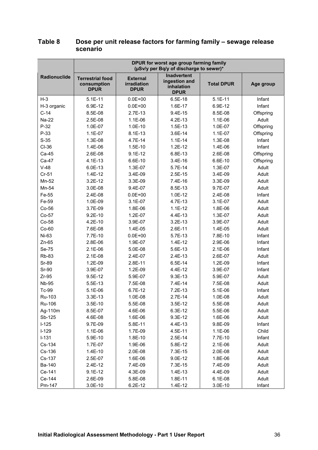|              | DPUR for worst age group farming family<br>(µSv/y per Bq/y of discharge to sewer)* |                                                      |                                                                  |                   |           |
|--------------|------------------------------------------------------------------------------------|------------------------------------------------------|------------------------------------------------------------------|-------------------|-----------|
| Radionuclide | <b>Terrestrial food</b><br>consumption<br><b>DPUR</b>                              | <b>External</b><br><b>irradiation</b><br><b>DPUR</b> | <b>Inadvertent</b><br>ingestion and<br>inhalation<br><b>DPUR</b> | <b>Total DPUR</b> | Age group |
| $H-3$        | $5.1E-11$                                                                          | $0.0E + 00$                                          | 6.5E-18                                                          | $5.1E-11$         | Infant    |
| H-3 organic  | 6.9E-12                                                                            | $0.0E + 00$                                          | 1.6E-17                                                          | 6.9E-12           | Infant    |
| $C-14$       | 8.5E-08                                                                            | 2.7E-13                                              | $9.4E-15$                                                        | 8.5E-08           | Offspring |
| <b>Na-22</b> | 2.5E-08                                                                            | 1.1E-06                                              | 4.2E-13                                                          | 1.1E-06           | Adult     |
| $P-32$       | 1.0E-07                                                                            | 1.0E-10                                              | 1.5E-13                                                          | 1.0E-07           | Offspring |
| $P-33$       | 1.1E-07                                                                            | 8.1E-13                                              | 3.6E-14                                                          | 1.1E-07           | Offspring |
| $S-35$       | 1.3E-08                                                                            | 4.7E-14                                              | $1.1E-14$                                                        | 1.3E-08           | Infant    |
| $CI-36$      | 1.4E-06                                                                            | 1.5E-10                                              | $1.2E-12$                                                        | 1.4E-06           | Infant    |
| Ca-45        | 2.6E-08                                                                            | $9.1E-12$                                            | 6.8E-13                                                          | 2.6E-08           | Offspring |
| Ca-47        | 4.1E-13                                                                            | 6.6E-10                                              | 3.4E-16                                                          | 6.6E-10           | Offspring |
| $V-48$       | 6.0E-13                                                                            | 1.3E-07                                              | 5.7E-14                                                          | 1.3E-07           | Adult     |
| $Cr-51$      | 1.4E-12                                                                            | 3.4E-09                                              | 2.5E-15                                                          | 3.4E-09           | Adult     |
| Mn-52        | 3.2E-12                                                                            | 3.3E-09                                              | 7.4E-16                                                          | 3.3E-09           | Adult     |
| Mn-54        | 3.0E-08                                                                            | 9.4E-07                                              | 8.5E-13                                                          | 9.7E-07           | Adult     |
| Fe-55        | 2.4E-08                                                                            | $0.0E + 00$                                          | 1.0E-12                                                          | 2.4E-08           | Infant    |
| Fe-59        | 1.0E-09                                                                            | 3.1E-07                                              | 4.7E-13                                                          | 3.1E-07           | Adult     |
| Co-56        | 3.7E-09                                                                            | 1.8E-06                                              | $1.1E-12$                                                        | 1.8E-06           | Adult     |
| Co-57        | $9.2E-10$                                                                          | 1.2E-07                                              | 4.4E-13                                                          | 1.3E-07           | Adult     |
| Co-58        | 4.2E-10                                                                            | 3.9E-07                                              | $3.2E-13$                                                        | 3.9E-07           | Adult     |
| $Co-60$      | 7.6E-08                                                                            | 1.4E-05                                              | 2.6E-11                                                          | 1.4E-05           | Adult     |
| Ni-63        | 7.7E-10                                                                            | $0.0E + 00$                                          | 5.7E-13                                                          | 7.8E-10           | Infant    |
| $Zn-65$      | 2.8E-06                                                                            | 1.9E-07                                              | 1.4E-12                                                          | 2.9E-06           | Infant    |
| Se-75        | $2.1E-06$                                                                          | 5.0E-08                                              | 5.6E-13                                                          | 2.1E-06           | Infant    |
| <b>Rb-83</b> | $2.1E-08$                                                                          | 2.4E-07                                              | 2.4E-13                                                          | 2.6E-07           | Adult     |
| Sr-89        | 1.2E-09                                                                            | 2.8E-11                                              | $6.5E-14$                                                        | 1.2E-09           | Infant    |
| Sr-90        | 3.9E-07                                                                            | 1.2E-09                                              | 4.4E-12                                                          | 3.9E-07           | Infant    |
| $Zr-95$      | 9.5E-12                                                                            | 5.9E-07                                              | 9.3E-13                                                          | 5.9E-07           | Adult     |
| <b>Nb-95</b> | 5.5E-13                                                                            | 7.5E-08                                              | 7.4E-14                                                          | 7.5E-08           | Adult     |
| Tc-99        | 5.1E-06                                                                            | 6.7E-12                                              | 7.2E-13                                                          | 5.1E-06           | Infant    |
| Ru-103       | 3.3E-13                                                                            | 1.0E-08                                              | 2.7E-14                                                          | 1.0E-08           | Adult     |
| Ru-106       | 3.5E-10                                                                            | 5.5E-08                                              | $3.5E-12$                                                        | 5.5E-08           | Adult     |
| Ag-110m      | 8.5E-07                                                                            | 4.6E-06                                              | 6.3E-12                                                          | 5.5E-06           | Adult     |
| Sb-125       | 4.6E-08                                                                            | 1.6E-06                                              | 9.3E-12                                                          | 1.6E-06           | Adult     |
| $I-125$      | 9.7E-09                                                                            | 5.8E-11                                              | 4.4E-13                                                          | 9.8E-09           | Infant    |
| $I-129$      | 1.1E-06                                                                            | 1.7E-09                                              | 4.5E-11                                                          | 1.1E-06           | Child     |
| $I-131$      | 5.9E-10                                                                            | 1.8E-10                                              | 2.5E-14                                                          | 7.7E-10           | Infant    |
| Cs-134       | 1.7E-07                                                                            | 1.9E-06                                              | 5.8E-12                                                          | $2.1E-06$         | Adult     |
| Cs-136       | 1.4E-10                                                                            | 2.0E-08                                              | 7.3E-15                                                          | 2.0E-08           | Adult     |
| Cs-137       | 2.5E-07                                                                            | 1.6E-06                                              | 9.0E-12                                                          | 1.8E-06           | Adult     |
| Ba-140       | 2.4E-12                                                                            | 7.4E-09                                              | 7.3E-15                                                          | 7.4E-09           | Adult     |
| Ce-141       | $9.1E-12$                                                                          | 4.3E-09                                              | 1.4E-13                                                          | 4.4E-09           | Adult     |
| Ce-144       | 2.6E-09                                                                            | 5.8E-08                                              | 1.8E-11                                                          | 6.1E-08           | Adult     |
| Pm-147       | 3.0E-10                                                                            | 6.2E-12                                              | 1.4E-12                                                          | 3.0E-10           | Infant    |

#### **Table 8 Dose per unit release factors for farming family – sewage release scenario**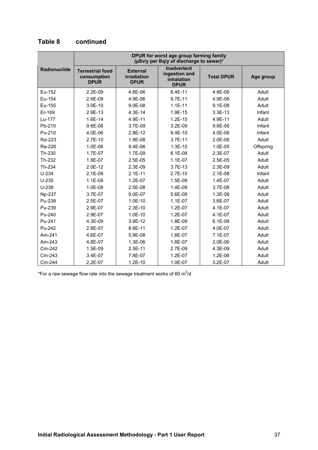|                     | DPUR for worst age group farming family<br>(µSv/y per Bq/y of discharge to sewer)* |                                               |                                                                  |                   |           |
|---------------------|------------------------------------------------------------------------------------|-----------------------------------------------|------------------------------------------------------------------|-------------------|-----------|
| <b>Radionuclide</b> | <b>Terrestrial food</b><br>consumption<br><b>DPUR</b>                              | <b>External</b><br>irradiation<br><b>DPUR</b> | <b>Inadvertent</b><br>ingestion and<br>inhalation<br><b>DPUR</b> | <b>Total DPUR</b> | Age group |
| Eu-152              | $2.2E-09$                                                                          | 4.8E-06                                       | 8.4E-11                                                          | 4.8E-06           | Adult     |
| Eu-154              | 2.6E-09                                                                            | 4.9E-06                                       | 9.7E-11                                                          | 4.9E-06           | Adult     |
| Eu-155              | $3.0E-10$                                                                          | $9.0E-08$                                     | $1.1E-11$                                                        | $9.1E-08$         | Adult     |
| Er-169              | 2.9E-13                                                                            | 4.3E-14                                       | 1.9E-15                                                          | $3.3E-13$         | Infant    |
| Lu-177              | 1.6E-14                                                                            | 4.9E-11                                       | $1.2E-15$                                                        | 4.9E-11           | Adult     |
| Pb-210              | 9.6E-06                                                                            | 3.7E-09                                       | 3.2E-09                                                          | 9.6E-06           | Infant    |
| Po-210              | 4.0E-06                                                                            | 2.8E-12                                       | 9.4E-10                                                          | 4.0E-06           | Infant    |
| Ra-223              | $2.7E-10$                                                                          | 1.9E-08                                       | $3.7E-11$                                                        | $2.0E-08$         | Adult     |
| Ra-226              | 1.0E-06                                                                            | 9.4E-06                                       | $1.3E-10$                                                        | 1.0E-05           | Offspring |
| Th-230              | 1.7E-07                                                                            | 1.7E-09                                       | $6.1E-08$                                                        | 2.3E-07           | Adult     |
| Th-232              | 1.8E-07                                                                            | 2.5E-05                                       | $1.1E-07$                                                        | $2.5E-05$         | Adult     |
| Th-234              | 2.0E-12                                                                            | 2.3E-09                                       | $3.7E-13$                                                        | $2.3E-09$         | Adult     |
| $U-234$             | $2.1E-08$                                                                          | $2.1E-11$                                     | $2.7E-10$                                                        | $2.1E-08$         | Infant    |
| $U-235$             | $1.1E-08$                                                                          | $1.2E-07$                                     | 1.5E-09                                                          | 1.4E-07           | Adult     |
| $U-238$             | 1.0E-08                                                                            | 2.5E-08                                       | 1.4E-09                                                          | 3.7E-08           | Adult     |
| Np-237              | 3.7E-07                                                                            | 9.0E-07                                       | 5.6E-08                                                          | 1.3E-06           | Adult     |
| Pu-238              | 2.5E-07                                                                            | $1.0E-10$                                     | $1.1E-07$                                                        | 3.6E-07           | Adult     |
| Pu-239              | 2.9E-07                                                                            | $2.3E-10$                                     | 1.2E-07                                                          | 4.1E-07           | Adult     |
| Pu-240              | 2.9E-07                                                                            | $1.0E-10$                                     | $1.2E-07$                                                        | $4.1E-07$         | Adult     |
| Pu-241              | 4.3E-09                                                                            | 3.9E-12                                       | 1.8E-09                                                          | $6.1E-09$         | Adult     |
| Pu-242              | 2.8E-07                                                                            | 8.8E-11                                       | 1.2E-07                                                          | 4.0E-07           | Adult     |
| Am-241              | 4.6E-07                                                                            | 5.9E-08                                       | 1.8E-07                                                          | 7.1E-07           | Adult     |
| Am-243              | 4.8E-07                                                                            | 1.3E-06                                       | 1.8E-07                                                          | 2.0E-06           | Adult     |
| Cm-242              | 1.5E-09                                                                            | $2.5E-11$                                     | 2.7E-09                                                          | 4.3E-09           | Adult     |
| Cm-243              | 3.4E-07                                                                            | 7.8E-07                                       | 1.2E-07                                                          | 1.2E-06           | Adult     |
| Cm-244              | 2.2E-07                                                                            | $1.2E-10$                                     | 1.0E-07                                                          | 3.2E-07           | Adult     |

#### **Table 8 continued**

\*For a raw sewage flow rate into the sewage treatment works of 60  $\text{m}^3$ /d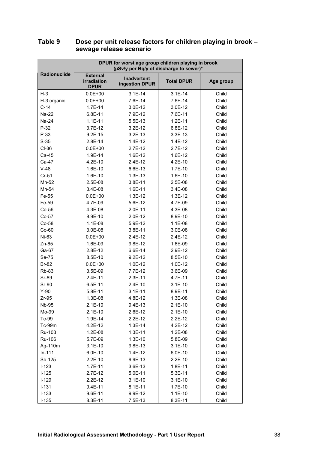|              | DPUR for worst age group children playing in brook<br>(µSv/y per Bq/y of discharge to sewer)* |                                      |                   |           |
|--------------|-----------------------------------------------------------------------------------------------|--------------------------------------|-------------------|-----------|
| Radionuclide | <b>External</b><br><b>irradiation</b><br><b>DPUR</b>                                          | <b>Inadvertent</b><br>ingestion DPUR | <b>Total DPUR</b> | Age group |
| $H-3$        | $0.0E + 00$                                                                                   | $3.1E-14$                            | $3.1E-14$         | Child     |
| H-3 organic  | $0.0E + 00$                                                                                   | 7.6E-14                              | 7.6E-14           | Child     |
| $C-14$       | $1.7E-14$                                                                                     | 3.0E-12                              | $3.0E-12$         | Child     |
| Na-22        | $6.8E-11$                                                                                     | 7.9E-12                              | 7.6E-11           | Child     |
| Na-24        | $1.1E-11$                                                                                     | 5.5E-13                              | $1.2E-11$         | Child     |
| $P-32$       | 3.7E-12                                                                                       | 3.2E-12                              | 6.8E-12           | Child     |
| $P-33$       | $9.2E-15$                                                                                     | $3.2E-13$                            | $3.3E-13$         | Child     |
| $S-35$       | 2.8E-14                                                                                       | $1.4E-12$                            | $1.4E-12$         | Child     |
| $CI-36$      | $0.0E + 00$                                                                                   | $2.7E-12$                            | $2.7E-12$         | Child     |
| Ca-45        | 1.9E-14                                                                                       | 1.6E-12                              | 1.6E-12           | Child     |
| Ca-47        | $4.2E-10$                                                                                     | $2.4E-12$                            | $4.2E-10$         | Child     |
| $V-48$       | 1.6E-10                                                                                       | 6.6E-13                              | $1.7E-10$         | Child     |
| $Cr-51$      | 1.6E-10                                                                                       | 1.3E-13                              | 1.6E-10           | Child     |
| Mn-52        | $2.5E-08$                                                                                     | 3.8E-11                              | 2.5E-08           | Child     |
| Mn-54        | 3.4E-08                                                                                       | 1.6E-11                              | 3.4E-08           | Child     |
| Fe-55        | $0.0E + 00$                                                                                   | $1.3E-12$                            | $1.3E-12$         | Child     |
| Fe-59        | 4.7E-09                                                                                       | 5.6E-12                              | 4.7E-09           | Child     |
| $Co-56$      | 4.3E-08                                                                                       | $2.0E-11$                            | 4.3E-08           | Child     |
| $Co-57$      | 8.9E-10                                                                                       | 2.0E-12                              | 8.9E-10           | Child     |
| Co-58        | 1.1E-08                                                                                       | 5.9E-12                              | $1.1E-08$         | Child     |
| $Co-60$      | 3.0E-08                                                                                       | 3.8E-11                              | 3.0E-08           | Child     |
| Ni-63        | $0.0E + 00$                                                                                   | $2.4E-12$                            | $2.4E-12$         | Child     |
| $Zn-65$      | 1.6E-09                                                                                       | 9.8E-12                              | 1.6E-09           | Child     |
| Ga-67        | 2.8E-12                                                                                       | 6.6E-14                              | 2.9E-12           | Child     |
| Se-75        | 8.5E-10                                                                                       | $9.2E-12$                            | 8.5E-10           | Child     |
| <b>Br-82</b> | $0.0E + 00$                                                                                   | 1.0E-12                              | 1.0E-12           | Child     |
| <b>Rb-83</b> | 3.5E-09                                                                                       | 7.7E-12                              | 3.6E-09           | Child     |
| Sr-89        | 2.4E-11                                                                                       | $2.3E-11$                            | 4.7E-11           | Child     |
| Sr-90        | $6.5E-11$                                                                                     | 2.4E-10                              | $3.1E-10$         | Child     |
| $Y-90$       | 5.8E-11                                                                                       | $3.1E-11$                            | 8.9E-11           | Child     |
| $Zr-95$      | 1.3E-08                                                                                       | 4.8E-12                              | 1.3E-08           | Child     |
| <b>Nb-95</b> | $2.1E-10$                                                                                     | 9.4E-13                              | $2.1E-10$         | Child     |
| Mo-99        | $2.1E-10$                                                                                     | 2.6E-12                              | $2.1E-10$         | Child     |
| Tc-99        | 1.9E-14                                                                                       | $2.2E-12$                            | $2.2E-12$         | Child     |
| Tc-99m       | 4.2E-12                                                                                       | $1.3E-14$                            | 4.2E-12           | Child     |
| Ru-103       | 1.2E-08                                                                                       | $1.3E-11$                            | 1.2E-08           | Child     |
| Ru-106       | 5.7E-09                                                                                       | 1.3E-10                              | 5.8E-09           | Child     |
| Ag-110m      | $3.1E-10$                                                                                     | 9.8E-13                              | $3.1E-10$         | Child     |
| $In-111$     | 6.0E-10                                                                                       | $1.4E-12$                            | $6.0E-10$         | Child     |
| Sb-125       | $2.2E-10$                                                                                     | 9.9E-13                              | $2.2E-10$         | Child     |
| $I-123$      | 1.7E-11                                                                                       | 3.6E-13                              | 1.8E-11           | Child     |
| $I-125$      | 2.7E-12                                                                                       | 5.0E-11                              | 5.3E-11           | Child     |
| $I-129$      | $2.2E-12$                                                                                     | $3.1E-10$                            | $3.1E-10$         | Child     |
| $I-131$      | 9.4E-11                                                                                       | 8.1E-11                              | 1.7E-10           | Child     |
| $I-133$      | 9.6E-11                                                                                       | 9.9E-12                              | $1.1E-10$         | Child     |
| $I-135$      | 8.3E-11                                                                                       | 7.5E-13                              | 8.3E-11           | Child     |

#### **Table 9 Dose per unit release factors for children playing in brook – sewage release scenario**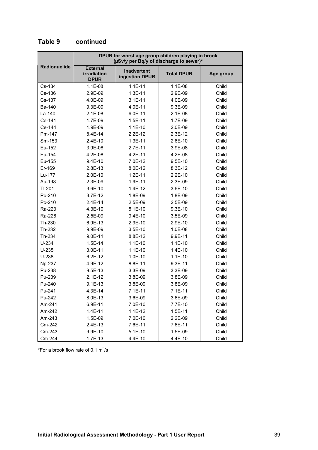|                     | DPUR for worst age group children playing in brook<br>(µSv/y per Bq/y of discharge to sewer)* |                                      |                   |           |
|---------------------|-----------------------------------------------------------------------------------------------|--------------------------------------|-------------------|-----------|
| <b>Radionuclide</b> | <b>External</b><br><b>irradiation</b><br><b>DPUR</b>                                          | <b>Inadvertent</b><br>ingestion DPUR | <b>Total DPUR</b> | Age group |
| Cs-134              | 1.1E-08                                                                                       | 4.4E-11                              | $1.1E-08$         | Child     |
| $Cs-136$            | 2.9E-09                                                                                       | $1.3E-11$                            | 2.9E-09           | Child     |
| Cs-137              | 4.0E-09                                                                                       | $3.1E-11$                            | 4.0E-09           | Child     |
| Ba-140              | 9.3E-09                                                                                       | 4.0E-11                              | 9.3E-09           | Child     |
| La-140              | $2.1E-08$                                                                                     | 6.0E-11                              | $2.1E-08$         | Child     |
| Ce-141              | 1.7E-09                                                                                       | $1.5E-11$                            | 1.7E-09           | Child     |
| Ce-144              | 1.9E-09                                                                                       | $1.1E-10$                            | 2.0E-09           | Child     |
| Pm-147              | 8.4E-14                                                                                       | $2.2E-12$                            | $2.3E-12$         | Child     |
| Sm-153              | $2.4E-10$                                                                                     | $1.3E-11$                            | 2.6E-10           | Child     |
| Eu-152              | 3.9E-08                                                                                       | $2.7E-11$                            | 3.9E-08           | Child     |
| Eu-154              | 4.2E-08                                                                                       | $4.2E - 11$                          | 4.2E-08           | Child     |
| Eu-155              | $9.4E-10$                                                                                     | 7.0E-12                              | $9.5E-10$         | Child     |
| Er-169              | 2.8E-13                                                                                       | 8.0E-12                              | 8.3E-12           | Child     |
| Lu-177              | $2.0E-10$                                                                                     | $1.2E-11$                            | $2.2E-10$         | Child     |
| Au-198              | 2.3E-09                                                                                       | 1.9E-11                              | 2.3E-09           | Child     |
| $TI-201$            | 3.6E-10                                                                                       | $1.4E-12$                            | 3.6E-10           | Child     |
| Pb-210              | $3.7E-12$                                                                                     | 1.8E-09                              | 1.8E-09           | Child     |
| Po-210              | $2.4E-14$                                                                                     | 2.5E-09                              | 2.5E-09           | Child     |
| Ra-223              | 4.3E-10                                                                                       | $5.1E-10$                            | $9.3E-10$         | Child     |
| Ra-226              | 2.5E-09                                                                                       | $9.4E-10$                            | 3.5E-09           | Child     |
| Th-230              | 6.9E-13                                                                                       | 2.9E-10                              | 2.9E-10           | Child     |
| Th-232              | 9.9E-09                                                                                       | $3.5E-10$                            | 1.0E-08           | Child     |
| Th-234              | $9.0E-11$                                                                                     | 8.8E-12                              | 9.9E-11           | Child     |
| $U-234$             | $1.5E-14$                                                                                     | $1.1E-10$                            | $1.1E-10$         | Child     |
| $U-235$             | 3.0E-11                                                                                       | $1.1E-10$                            | $1.4E-10$         | Child     |
| $U-238$             | $6.2E-12$                                                                                     | $1.0E-10$                            | $1.1E-10$         | Child     |
| Np-237              | 4.9E-12                                                                                       | 8.8E-11                              | 9.3E-11           | Child     |
| Pu-238              | 9.5E-13                                                                                       | 3.3E-09                              | 3.3E-09           | Child     |
| Pu-239              | $2.1E-12$                                                                                     | 3.8E-09                              | 3.8E-09           | Child     |
| Pu-240              | $9.1E-13$                                                                                     | 3.8E-09                              | 3.8E-09           | Child     |
| Pu-241              | 4.3E-14                                                                                       | 7.1E-11                              | 7.1E-11           | Child     |
| Pu-242              | 8.0E-13                                                                                       | 3.6E-09                              | 3.6E-09           | Child     |
| Am-241              | 6.9E-11                                                                                       | 7.0E-10                              | 7.7E-10           | Child     |
| Am-242              | $1.4E-11$                                                                                     | $1.1E-12$                            | 1.5E-11           | Child     |
| Am-243              | 1.5E-09                                                                                       | 7.0E-10                              | 2.2E-09           | Child     |
| Cm-242              | 2.4E-13                                                                                       | 7.6E-11                              | 7.6E-11           | Child     |
| Cm-243              | 9.9E-10                                                                                       | $5.1E-10$                            | 1.5E-09           | Child     |
| Cm-244              | 1.7E-13                                                                                       | 4.4E-10                              | 4.4E-10           | Child     |

#### **Table 9 continued**

\*For a brook flow rate of 0.1  $\text{m}^3\text{/s}$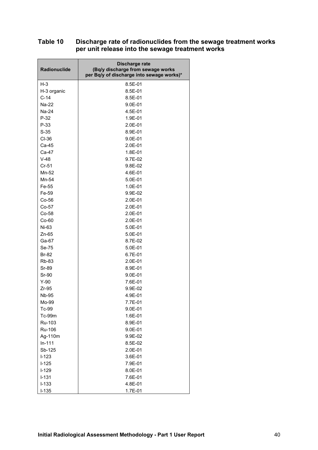#### **Table 10 Discharge rate of radionuclides from the sewage treatment works per unit release into the sewage treatment works**

| Radionuclide | Discharge rate<br>(Bq/y discharge from sewage works<br>per Bq/y of discharge into sewage works)* |
|--------------|--------------------------------------------------------------------------------------------------|
| $H-3$        | 8.5E-01                                                                                          |
| H-3 organic  | 8.5E-01                                                                                          |
| $C-14$       | 8.5E-01                                                                                          |
| Na-22        | $9.0E - 01$                                                                                      |
| Na-24        | 4.5E-01                                                                                          |
| $P-32$       | 1.9E-01                                                                                          |
| $P-33$       | 2.0E-01                                                                                          |
| $S-35$       | 8.9E-01                                                                                          |
| CI-36        | $9.0E - 01$                                                                                      |
| Ca-45        | 2.0E-01                                                                                          |
| Ca-47        | 1.8E-01                                                                                          |
| $V-48$       | 9.7E-02                                                                                          |
| $Cr-51$      | 9.8E-02                                                                                          |
| Mn-52        | 4.6E-01                                                                                          |
| Mn-54        | 5.0E-01                                                                                          |
| Fe-55        | 1.0E-01                                                                                          |
| Fe-59        | 9.9E-02                                                                                          |
| $Co-56$      | 2.0E-01                                                                                          |
| $Co-57$      | $2.0E-01$                                                                                        |
| $Co-58$      | $2.0E-01$                                                                                        |
| $Co-60$      | 2.0E-01                                                                                          |
| Ni-63        | 5.0E-01                                                                                          |
| $Zn-65$      | 5.0E-01                                                                                          |
| Ga-67        | 8.7E-02                                                                                          |
| Se-75        | 5.0E-01                                                                                          |
| <b>Br-82</b> | 6.7E-01                                                                                          |
| <b>Rb-83</b> | $2.0E-01$                                                                                        |
| Sr-89        | 8.9E-01                                                                                          |
| Sr-90        | 9.0E-01                                                                                          |
| $Y-90$       | 7.6E-01                                                                                          |
| $Zr-95$      | 9.9E-02                                                                                          |
| <b>Nb-95</b> | 4.9E-01                                                                                          |
| Mo-99        | 7.7E-01                                                                                          |
| Tc-99        | 9.0E-01                                                                                          |
| Tc-99m       | 1.6E-01                                                                                          |
| Ru-103       | 8.9E-01                                                                                          |
| Ru-106       | 9.0E-01                                                                                          |
| Ag-110m      | 9.9E-02                                                                                          |
| $In-111$     | 8.5E-02                                                                                          |
| Sb-125       | 2.0E-01                                                                                          |
| $I-123$      | 3.6E-01                                                                                          |
| $I-125$      | 7.9E-01                                                                                          |
| $I-129$      | 8.0E-01                                                                                          |
| $I - 131$    | 7.6E-01                                                                                          |
| $I - 133$    | 4.8E-01                                                                                          |
| $I-135$      | 1.7E-01                                                                                          |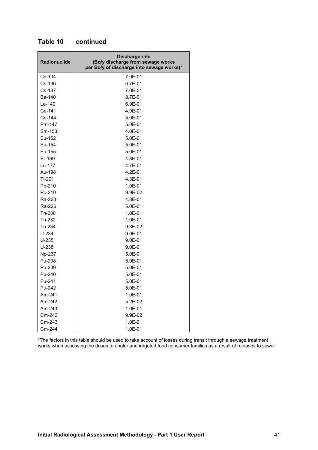| Radionuclide | Discharge rate<br>(Bq/y discharge from sewage works<br>per Bq/y of discharge into sewage works)* |
|--------------|--------------------------------------------------------------------------------------------------|
| Cs-134       | 7.0E-01                                                                                          |
| Cs-136       | 6.7E-01                                                                                          |
| Cs-137       | 7.0E-01                                                                                          |
| Ba-140       | 8.7E-01                                                                                          |
| $La-140$     | 6.9E-01                                                                                          |
| Ce-141       | 4.9E-01                                                                                          |
| Ce-144       | 5.0E-01                                                                                          |
| Pm-147       | 5.0E-01                                                                                          |
| Sm-153       | 4.0E-01                                                                                          |
| Eu-152       | 5.0E-01                                                                                          |
| Eu-154       | 5.0E-01                                                                                          |
| Eu-155       | 5.0E-01                                                                                          |
| Er-169       | 4.8E-01                                                                                          |
| Lu-177       | 4.7E-01                                                                                          |
| Au-198       | 4.2E-01                                                                                          |
| $TI-201$     | 4.3E-01                                                                                          |
| Pb-210       | 1.0E-01                                                                                          |
| Po-210       | 9.9E-02                                                                                          |
| Ra-223       | 4.8E-01                                                                                          |
| Ra-226       | 5.0E-01                                                                                          |
| Th-230       | 1.0E-01                                                                                          |
| Th-232       | 1.0E-01                                                                                          |
| Th-234       | 9.8E-02                                                                                          |
| $U-234$      | $9.0E - 01$                                                                                      |
| $U-235$      | $9.0E - 01$                                                                                      |
| U-238        | $9.0E - 01$                                                                                      |
| Np-237       | 5.0E-01                                                                                          |
| Pu-238       | 5.0E-01                                                                                          |
| Pu-239       | 5.0E-01                                                                                          |
| Pu-240       | 5.0E-01                                                                                          |
| Pu-241       | 5.0E-01                                                                                          |
| Pu-242       | 5.0E-01                                                                                          |
| Am-241       | 1.0E-01                                                                                          |
| Am-242       | 5.2E-02                                                                                          |
| Am-243       | 1.0E-01                                                                                          |
| Cm-242       | 9.9E-02                                                                                          |
| Cm-243       | 1.0E-01                                                                                          |
| Cm-244       | 1.0E-01                                                                                          |

#### **Table 10 continued**

\*The factors in this table should be used to take account of losses during transit through a sewage treatment works when assessing the doses to angler and irrigated food consumer families as a result of releases to sewer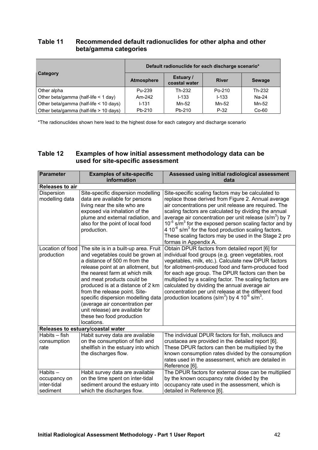#### **Table 11 Recommended default radionuclides for other alpha and other beta/gamma categories**

|                                        | Default radionuclide for each discharge scenario* |                            |              |               |  |
|----------------------------------------|---------------------------------------------------|----------------------------|--------------|---------------|--|
| Category                               | <b>Atmosphere</b>                                 | Estuary /<br>coastal water | <b>River</b> | <b>Sewage</b> |  |
| Other alpha                            | Pu-239                                            | Th-232                     | Po-210       | Th-232        |  |
| Other beta/gamma (half-life < 1 day)   | Am-242                                            | $1 - 133$                  | $1 - 133$    | Na-24         |  |
| Other beta/gamma (half-life < 10 days) | $1 - 131$                                         | Mn-52                      | Mn-52        | Mn-52         |  |
| Other beta/gamma (half-life > 10 days) | Pb-210                                            | Pb-210                     | $P-32$       | $Co-60$       |  |

\*The radionuclides shown here lead to the highest dose for each category and discharge scenario

#### **Table 12 Examples of how initial assessment methodology data can be used for site-specific assessment**

| <b>Parameter</b>                                   | <b>Examples of site-specific</b><br>information                                                                                                                                                                                                                                                                                                                                                                                             | Assessed using initial radiological assessment<br>data                                                                                                                                                                                                                                                                                                                                                                                                                                                                            |
|----------------------------------------------------|---------------------------------------------------------------------------------------------------------------------------------------------------------------------------------------------------------------------------------------------------------------------------------------------------------------------------------------------------------------------------------------------------------------------------------------------|-----------------------------------------------------------------------------------------------------------------------------------------------------------------------------------------------------------------------------------------------------------------------------------------------------------------------------------------------------------------------------------------------------------------------------------------------------------------------------------------------------------------------------------|
| <b>Releases to air</b>                             |                                                                                                                                                                                                                                                                                                                                                                                                                                             |                                                                                                                                                                                                                                                                                                                                                                                                                                                                                                                                   |
| Dispersion<br>modelling data                       | Site-specific dispersion modelling<br>data are available for persons<br>living near the site who are<br>exposed via inhalation of the<br>plume and external radiation, and<br>also for the point of local food<br>production.                                                                                                                                                                                                               | Site-specific scaling factors may be calculated to<br>replace those derived from Figure 2. Annual average<br>air concentrations per unit release are required. The<br>scaling factors are calculated by dividing the annual<br>average air concentration per unit release $(s/m3)$ by 7<br>$10^{-5}$ s/m <sup>3</sup> for the exposed person scaling factor and by<br>4 $10^{-6}$ s/m <sup>3</sup> for the food production scaling factors.<br>These scaling factors may be used in the Stage 2 pro<br>formas in Appendix A.      |
| Location of food<br>production                     | The site is in a built-up area. Fruit<br>and vegetables could be grown at<br>a distance of 500 m from the<br>release point at an allotment, but<br>the nearest farm at which milk<br>and meat products could be<br>produced is at a distance of 2 km<br>from the release point. Site-<br>specific dispersion modelling data<br>(average air concentration per<br>unit release) are available for<br>these two food production<br>locations. | Obtain DPUR factors from detailed report [6] for<br>individual food groups (e.g. green vegetables, root<br>vegetables, milk, etc.). Calculate new DPUR factors<br>for allotment-produced food and farm-produced food<br>for each age group. The DPUR factors can then be<br>multiplied by a scaling factor. The scaling factors are<br>calculated by dividing the annual average air<br>concentration per unit release at the different food<br>production locations (s/m <sup>3</sup> ) by 4 10 <sup>-6</sup> s/m <sup>3</sup> . |
|                                                    | Releases to estuary/coastal water                                                                                                                                                                                                                                                                                                                                                                                                           |                                                                                                                                                                                                                                                                                                                                                                                                                                                                                                                                   |
| Habits - fish<br>consumption<br>rate               | Habit survey data are available<br>on the consumption of fish and<br>shellfish in the estuary into which<br>the discharges flow.                                                                                                                                                                                                                                                                                                            | The individual DPUR factors for fish, molluscs and<br>crustacea are provided in the detailed report [6].<br>These DPUR factors can then be multiplied by the<br>known consumption rates divided by the consumption<br>rates used in the assessment, which are detailed in<br>Reference [6].                                                                                                                                                                                                                                       |
| Habits-<br>occupancy on<br>inter-tidal<br>sediment | Habit survey data are available<br>on the time spent on inter-tidal<br>sediment around the estuary into<br>which the discharges flow.                                                                                                                                                                                                                                                                                                       | The DPUR factors for external dose can be multiplied<br>by the known occupancy rate divided by the<br>occupancy rate used in the assessment, which is<br>detailed in Reference [6].                                                                                                                                                                                                                                                                                                                                               |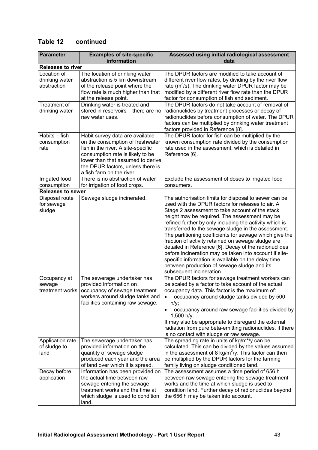#### **Table 12 continued**

| <b>Parameter</b>                             | <b>Examples of site-specific</b><br>information                                                                                                                                                                                                      | Assessed using initial radiological assessment<br>data                                                                                                                                                                                                                                                                                                                                                                                                                                                                                                                                                                                                                                                 |
|----------------------------------------------|------------------------------------------------------------------------------------------------------------------------------------------------------------------------------------------------------------------------------------------------------|--------------------------------------------------------------------------------------------------------------------------------------------------------------------------------------------------------------------------------------------------------------------------------------------------------------------------------------------------------------------------------------------------------------------------------------------------------------------------------------------------------------------------------------------------------------------------------------------------------------------------------------------------------------------------------------------------------|
| <b>Releases to river</b>                     |                                                                                                                                                                                                                                                      |                                                                                                                                                                                                                                                                                                                                                                                                                                                                                                                                                                                                                                                                                                        |
| Location of<br>drinking water<br>abstraction | The location of drinking water<br>abstraction is 5 km downstream<br>of the release point where the<br>flow rate is much higher than that<br>at the release point.                                                                                    | The DPUR factors are modified to take account of<br>different river flow rates, by dividing by the river flow<br>rate $(m^3/s)$ . The drinking water DPUR factor may be<br>modified by a different river flow rate than the DPUR<br>factor for consumption of fish and sediment.                                                                                                                                                                                                                                                                                                                                                                                                                       |
| Treatment of<br>drinking water               | Drinking water is treated and<br>stored in reservoirs - there are no<br>raw water uses.                                                                                                                                                              | The DPUR factors do not take account of removal of<br>radionuclides by treatment processes or decay of<br>radionuclides before consumption of water. The DPUR<br>factors can be multiplied by drinking water treatment<br>factors provided in Reference [8].                                                                                                                                                                                                                                                                                                                                                                                                                                           |
| Habits - fish<br>consumption<br>rate         | Habit survey data are available<br>on the consumption of freshwater<br>fish in the river. A site-specific<br>consumption rate is likely to be<br>lower than that assumed to derive<br>the DPUR factors, unless there is<br>a fish farm on the river. | The DPUR factor for fish can be multiplied by the<br>known consumption rate divided by the consumption<br>rate used in the assessment, which is detailed in<br>Reference [6].                                                                                                                                                                                                                                                                                                                                                                                                                                                                                                                          |
| Irrigated food<br>consumption                | There is no abstraction of water<br>for irrigation of food crops.                                                                                                                                                                                    | Exclude the assessment of doses to irrigated food<br>consumers.                                                                                                                                                                                                                                                                                                                                                                                                                                                                                                                                                                                                                                        |
| <b>Releases to sewer</b>                     |                                                                                                                                                                                                                                                      |                                                                                                                                                                                                                                                                                                                                                                                                                                                                                                                                                                                                                                                                                                        |
| Disposal route<br>for sewage<br>sludge       | Sewage sludge incinerated.                                                                                                                                                                                                                           | The authorisation limits for disposal to sewer can be<br>used with the DPUR factors for releases to air. A<br>Stage 2 assessment to take account of the stack<br>height may be required. The assessment may be<br>refined further by only including the activity which is<br>transferred to the sewage sludge in the assessment.<br>The partitioning coefficients for sewage which give the<br>fraction of activity retained on sewage sludge are<br>detailed in Reference [6]. Decay of the radionuclides<br>before incineration may be taken into account if site-<br>specific information is available on the delay time<br>between production of sewage sludge and its<br>subsequent incineration. |
| Occupancy at<br>sewage<br>treatment works    | The sewerage undertaker has<br>provided information on<br>occupancy of sewage treatment<br>workers around sludge tanks and<br>facilities containing raw sewage.                                                                                      | The DPUR factors for sewage treatment workers can<br>be scaled by a factor to take account of the actual<br>occupancy data. This factor is the maximum of:<br>occupancy around sludge tanks divided by 500<br>h/y;<br>occupancy around raw sewage facilities divided by<br>1,500 h/y.<br>It may also be appropriate to disregard the external<br>radiation from pure beta-emitting radionuclides, if there<br>is no contact with sludge or raw sewage.                                                                                                                                                                                                                                                 |
| Application rate<br>of sludge to<br>land     | The sewerage undertaker has<br>provided information on the<br>quantity of sewage sludge<br>produced each year and the area<br>of land over which it is spread.                                                                                       | The spreading rate in units of $kg/m^2$ /y can be<br>calculated. This can be divided by the values assumed<br>in the assessment of 8 kg/m <sup>2</sup> /y. This factor can then<br>be multiplied by the DPUR factors for the farming<br>family living on sludge conditioned land.                                                                                                                                                                                                                                                                                                                                                                                                                      |
| Decay before<br>application                  | Information has been provided on<br>the actual time between raw<br>sewage entering the sewage<br>treatment works and the time at<br>which sludge is used to condition<br>land.                                                                       | The assessment assumes a time period of 656 h<br>between raw sewage entering the sewage treatment<br>works and the time at which sludge is used to<br>condition land. Further decay of radionuclides beyond<br>the 656 h may be taken into account.                                                                                                                                                                                                                                                                                                                                                                                                                                                    |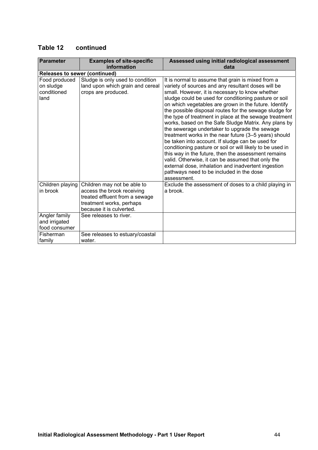#### **Table 12 continued**

| <b>Parameter</b>                                  | <b>Examples of site-specific</b><br>information                                                                                                     | Assessed using initial radiological assessment<br>data                                                                                                                                                                                                                                                                                                                                                                                                                                                                                                                                                                                                                                                                                                                                                                                                                                                            |
|---------------------------------------------------|-----------------------------------------------------------------------------------------------------------------------------------------------------|-------------------------------------------------------------------------------------------------------------------------------------------------------------------------------------------------------------------------------------------------------------------------------------------------------------------------------------------------------------------------------------------------------------------------------------------------------------------------------------------------------------------------------------------------------------------------------------------------------------------------------------------------------------------------------------------------------------------------------------------------------------------------------------------------------------------------------------------------------------------------------------------------------------------|
| <b>Releases to sewer (continued)</b>              |                                                                                                                                                     |                                                                                                                                                                                                                                                                                                                                                                                                                                                                                                                                                                                                                                                                                                                                                                                                                                                                                                                   |
| Food produced<br>on sludge<br>conditioned<br>land | Sludge is only used to condition<br>land upon which grain and cereal<br>crops are produced.                                                         | It is normal to assume that grain is mixed from a<br>variety of sources and any resultant doses will be<br>small. However, it is necessary to know whether<br>sludge could be used for conditioning pasture or soil<br>on which vegetables are grown in the future. Identify<br>the possible disposal routes for the sewage sludge for<br>the type of treatment in place at the sewage treatment<br>works, based on the Safe Sludge Matrix. Any plans by<br>the sewerage undertaker to upgrade the sewage<br>treatment works in the near future (3-5 years) should<br>be taken into account. If sludge can be used for<br>conditioning pasture or soil or will likely to be used in<br>this way in the future, then the assessment remains<br>valid. Otherwise, it can be assumed that only the<br>external dose, inhalation and inadvertent ingestion<br>pathways need to be included in the dose<br>assessment. |
| Children playing<br>in brook                      | Children may not be able to<br>access the brook receiving<br>treated effluent from a sewage<br>treatment works, perhaps<br>because it is culverted. | Exclude the assessment of doses to a child playing in<br>a brook.                                                                                                                                                                                                                                                                                                                                                                                                                                                                                                                                                                                                                                                                                                                                                                                                                                                 |
| Angler family<br>and irrigated<br>food consumer   | See releases to river.                                                                                                                              |                                                                                                                                                                                                                                                                                                                                                                                                                                                                                                                                                                                                                                                                                                                                                                                                                                                                                                                   |
| Fisherman<br>family                               | See releases to estuary/coastal<br>water.                                                                                                           |                                                                                                                                                                                                                                                                                                                                                                                                                                                                                                                                                                                                                                                                                                                                                                                                                                                                                                                   |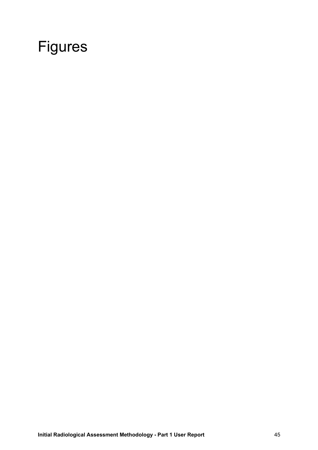# Figures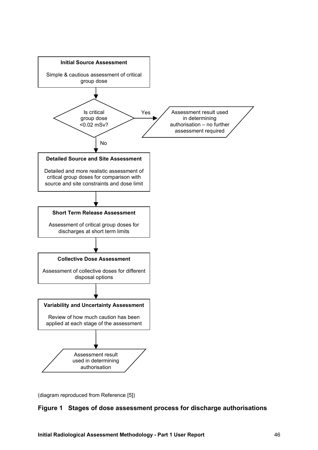

(diagram reproduced from Reference [5])

#### **Figure 1 Stages of dose assessment process for discharge authorisations**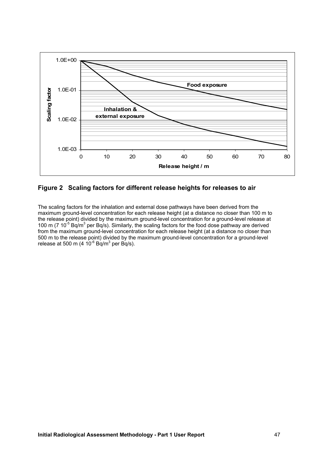

#### **Figure 2 Scaling factors for different release heights for releases to air**

The scaling factors for the inhalation and external dose pathways have been derived from the maximum ground-level concentration for each release height (at a distance no closer than 100 m to the release point) divided by the maximum ground-level concentration for a ground-level release at 100 m (7  $10^{-5}$  Bq/m<sup>3</sup> per Bq/s). Similarly, the scaling factors for the food dose pathway are derived from the maximum ground-level concentration for each release height (at a distance no closer than 500 m to the release point) divided by the maximum ground-level concentration for a ground-level release at 500 m (4  $10^{-6}$  Bq/m<sup>3</sup> per Bq/s).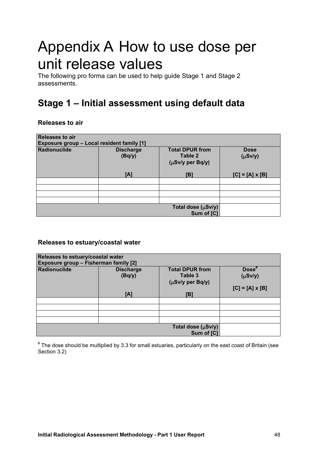# Appendix A How to use dose per unit release values

The following pro forma can be used to help guide Stage 1 and Stage 2 assessments.

## **Stage 1 – Initial assessment using default data**

#### **Releases to air**

| <b>Releases to air</b><br>Exposure group - Local resident family [1] |                            |                                                       |                             |  |  |
|----------------------------------------------------------------------|----------------------------|-------------------------------------------------------|-----------------------------|--|--|
| Radionuclide                                                         | <b>Discharge</b><br>(Bq/y) | <b>Total DPUR from</b><br>Table 2<br>(µSv/y per Bq/y) | <b>Dose</b><br>$(\mu Sv/y)$ |  |  |
|                                                                      | [A]                        | [B]                                                   | $[C] = [A] \times [B]$      |  |  |
|                                                                      |                            |                                                       |                             |  |  |
|                                                                      |                            |                                                       |                             |  |  |
|                                                                      |                            |                                                       |                             |  |  |
|                                                                      |                            |                                                       |                             |  |  |
|                                                                      |                            | Total dose (µSv/y)<br>Sum of [C]                      |                             |  |  |

#### **Releases to estuary/coastal water**

| Releases to estuary/coastal water<br>Exposure group - Fisherman family [2] |                                   |                                                              |                                                             |  |  |
|----------------------------------------------------------------------------|-----------------------------------|--------------------------------------------------------------|-------------------------------------------------------------|--|--|
| Radionuclide                                                               | <b>Discharge</b><br>(Bq/y)<br>[A] | <b>Total DPUR from</b><br>Table 3<br>(µSv/y per Bq/y)<br>[B] | Dose <sup>#</sup><br>$(\mu Sv/y)$<br>$[C] = [A] \times [B]$ |  |  |
|                                                                            |                                   |                                                              |                                                             |  |  |
|                                                                            |                                   |                                                              |                                                             |  |  |
|                                                                            |                                   |                                                              |                                                             |  |  |
|                                                                            |                                   |                                                              |                                                             |  |  |
|                                                                            |                                   | Total dose $(\mu Sv/y)$<br>Sum of [C]                        |                                                             |  |  |

# The dose should be multiplied by 3.3 for small estuaries, particularly on the east coast of Britain (see Section 3.2)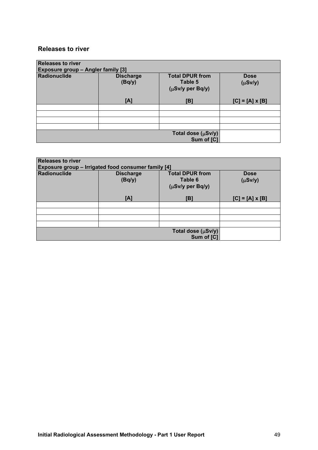#### **Releases to river**

| <b>Releases to river</b><br>Exposure group - Angler family [3] |                            |                                                       |                             |  |  |
|----------------------------------------------------------------|----------------------------|-------------------------------------------------------|-----------------------------|--|--|
| Radionuclide                                                   | <b>Discharge</b><br>(Bq/y) | <b>Total DPUR from</b><br>Table 5<br>(µSv/y per Bq/y) | <b>Dose</b><br>$(\mu Sv/y)$ |  |  |
|                                                                | [A]                        | [B]                                                   | $[C] = [A] \times [B]$      |  |  |
|                                                                |                            |                                                       |                             |  |  |
|                                                                |                            |                                                       |                             |  |  |
|                                                                |                            |                                                       |                             |  |  |
|                                                                |                            |                                                       |                             |  |  |
|                                                                |                            | Total dose (µSv/y)<br>Sum of [C]                      |                             |  |  |

| <b>Releases to river</b><br>Exposure group - Irrigated food consumer family [4] |                                                                                                                    |     |                        |  |  |
|---------------------------------------------------------------------------------|--------------------------------------------------------------------------------------------------------------------|-----|------------------------|--|--|
| Radionuclide                                                                    | <b>Total DPUR from</b><br><b>Discharge</b><br><b>Dose</b><br>Table 6<br>(Bq/y)<br>$(\mu Sv/y)$<br>(µSv/y per Bq/y) |     |                        |  |  |
|                                                                                 | [A]                                                                                                                | [B] | $[C] = [A] \times [B]$ |  |  |
|                                                                                 |                                                                                                                    |     |                        |  |  |
|                                                                                 |                                                                                                                    |     |                        |  |  |
|                                                                                 |                                                                                                                    |     |                        |  |  |
|                                                                                 |                                                                                                                    |     |                        |  |  |
| Total dose (µSv/y)<br>Sum of [C]                                                |                                                                                                                    |     |                        |  |  |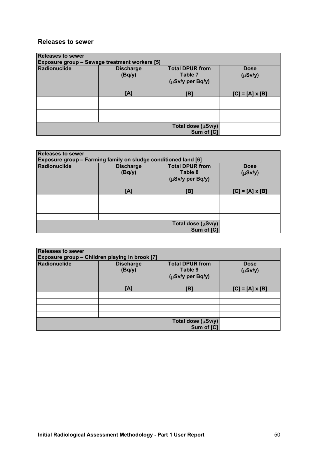#### **Releases to sewer**

| <b>Releases to sewer</b><br><b>Exposure group - Sewage treatment workers [5]</b> |                            |                                                       |                             |  |  |
|----------------------------------------------------------------------------------|----------------------------|-------------------------------------------------------|-----------------------------|--|--|
| Radionuclide                                                                     | <b>Discharge</b><br>(Bq/y) | <b>Total DPUR from</b><br>Table 7<br>(µSv/y per Bq/y) | <b>Dose</b><br>$(\mu Sv/y)$ |  |  |
|                                                                                  | [A]                        | [B]                                                   | $[C] = [A] \times [B]$      |  |  |
|                                                                                  |                            |                                                       |                             |  |  |
|                                                                                  |                            |                                                       |                             |  |  |
|                                                                                  |                            |                                                       |                             |  |  |
|                                                                                  |                            |                                                       |                             |  |  |
|                                                                                  |                            | Total dose (µSv/y)<br>Sum of [C]                      |                             |  |  |

| <b>Releases to sewer</b><br>Exposure group - Farming family on sludge conditioned land [6] |                                                                                                                    |                                  |                        |  |  |  |
|--------------------------------------------------------------------------------------------|--------------------------------------------------------------------------------------------------------------------|----------------------------------|------------------------|--|--|--|
| <b>Radionuclide</b>                                                                        | <b>Total DPUR from</b><br><b>Discharge</b><br><b>Dose</b><br>Table 8<br>(Bq/y)<br>$(\mu Sv/y)$<br>(µSv/y per Bq/y) |                                  |                        |  |  |  |
|                                                                                            | [A]                                                                                                                | [B]                              | $[C] = [A] \times [B]$ |  |  |  |
|                                                                                            |                                                                                                                    |                                  |                        |  |  |  |
|                                                                                            |                                                                                                                    |                                  |                        |  |  |  |
|                                                                                            |                                                                                                                    |                                  |                        |  |  |  |
|                                                                                            |                                                                                                                    |                                  |                        |  |  |  |
|                                                                                            |                                                                                                                    | Total dose (µSv/y)<br>Sum of [C] |                        |  |  |  |

| <b>Releases to sewer</b><br>Exposure group - Children playing in brook [7] |                            |                                                       |                             |  |  |
|----------------------------------------------------------------------------|----------------------------|-------------------------------------------------------|-----------------------------|--|--|
| Radionuclide                                                               | <b>Discharge</b><br>(Bq/y) | <b>Total DPUR from</b><br>Table 9<br>(µSv/y per Bq/y) | <b>Dose</b><br>$(\mu Sv/y)$ |  |  |
|                                                                            | [A]                        | [B]                                                   | $[C] = [A] \times [B]$      |  |  |
|                                                                            |                            |                                                       |                             |  |  |
|                                                                            |                            |                                                       |                             |  |  |
|                                                                            |                            |                                                       |                             |  |  |
|                                                                            |                            |                                                       |                             |  |  |
|                                                                            |                            | Total dose $(\mu Sv/y)$<br>Sum of [C]                 |                             |  |  |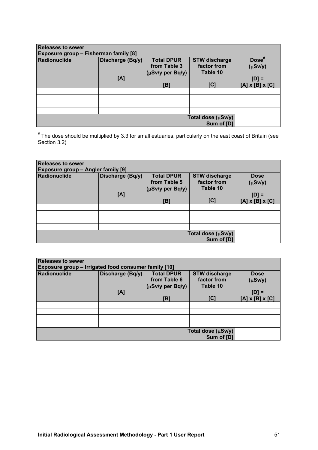| <b>Releases to sewer</b><br>Exposure group - Fisherman family [8] |                  |                   |                                  |                             |  |
|-------------------------------------------------------------------|------------------|-------------------|----------------------------------|-----------------------------|--|
| <b>Radionuclide</b>                                               | Discharge (Bq/y) | <b>Total DPUR</b> | <b>STW discharge</b>             | $Dose^*$                    |  |
|                                                                   |                  | from Table 3      | factor from<br>Table 10          | $(\mu Sv/y)$                |  |
|                                                                   | [A]              | (µSv/y per Bq/y)  |                                  | $[D] =$                     |  |
|                                                                   |                  | [B]               | [C]                              | $[A] \times [B] \times [C]$ |  |
|                                                                   |                  |                   |                                  |                             |  |
|                                                                   |                  |                   |                                  |                             |  |
|                                                                   |                  |                   |                                  |                             |  |
|                                                                   |                  |                   |                                  |                             |  |
|                                                                   |                  |                   |                                  |                             |  |
|                                                                   |                  |                   | Total dose (µSv/y)<br>Sum of [D] |                             |  |

# The dose should be multiplied by 3.3 for small estuaries, particularly on the east coast of Britain (see Section 3.2)

| <b>Releases to sewer</b><br>Exposure group - Angler family [9] |                  |                                   |                                     |                             |  |  |
|----------------------------------------------------------------|------------------|-----------------------------------|-------------------------------------|-----------------------------|--|--|
| <b>Radionuclide</b>                                            | Discharge (Bq/y) | <b>Total DPUR</b><br>from Table 5 | <b>STW discharge</b><br>factor from | <b>Dose</b>                 |  |  |
|                                                                |                  | $(\mu Sv/y$ per Bq/y)             | Table 10                            | $(\mu Sv/y)$                |  |  |
|                                                                | [A]              |                                   |                                     | $[D] =$                     |  |  |
|                                                                |                  | [B]                               | [C]                                 | $[A] \times [B] \times [C]$ |  |  |
|                                                                |                  |                                   |                                     |                             |  |  |
|                                                                |                  |                                   |                                     |                             |  |  |
|                                                                |                  |                                   |                                     |                             |  |  |
|                                                                |                  |                                   |                                     |                             |  |  |
|                                                                |                  |                                   |                                     |                             |  |  |
|                                                                |                  |                                   | Total dose (µSv/y)<br>Sum of [D]    |                             |  |  |

| <b>Releases to sewer</b>                             |                  |                                                            |                                                 |                             |  |
|------------------------------------------------------|------------------|------------------------------------------------------------|-------------------------------------------------|-----------------------------|--|
| Exposure group - Irrigated food consumer family [10] |                  |                                                            |                                                 |                             |  |
| <b>Radionuclide</b>                                  | Discharge (Bq/y) | <b>Total DPUR</b><br>from Table 6<br>$(\mu Sv/y$ per Bq/y) | <b>STW discharge</b><br>factor from<br>Table 10 | <b>Dose</b><br>$(\mu Sv/y)$ |  |
|                                                      | [A]              |                                                            |                                                 | $[D] =$                     |  |
|                                                      |                  | [B]                                                        | [C]                                             | $[A] \times [B] \times [C]$ |  |
|                                                      |                  |                                                            |                                                 |                             |  |
|                                                      |                  |                                                            |                                                 |                             |  |
|                                                      |                  |                                                            |                                                 |                             |  |
|                                                      |                  |                                                            |                                                 |                             |  |
|                                                      |                  |                                                            |                                                 |                             |  |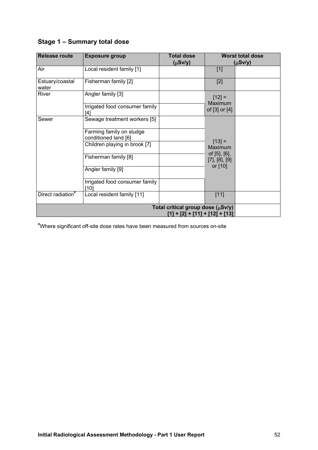|  |  | Stage 1 - Summary total dose |  |  |
|--|--|------------------------------|--|--|
|--|--|------------------------------|--|--|

| <b>Release route</b>          | <b>Exposure group</b>                            | <b>Total dose</b><br>$(\mu Sv/y)$                                     | <b>Worst total dose</b><br>$(\mu Sv/y)$ |  |
|-------------------------------|--------------------------------------------------|-----------------------------------------------------------------------|-----------------------------------------|--|
| Air                           | Local resident family [1]                        |                                                                       | $[1]$                                   |  |
| Estuary/coastal<br>water      | Fisherman family [2]                             |                                                                       | $[2]$                                   |  |
| River                         | Angler family [3]                                |                                                                       | $[12] =$<br>Maximum                     |  |
|                               | Irrigated food consumer family<br>[4]            |                                                                       | of [3] or [4]                           |  |
| Sewer                         | Sewage treatment workers [5]                     |                                                                       |                                         |  |
|                               | Farming family on sludge<br>conditioned land [6] |                                                                       |                                         |  |
|                               | Children playing in brook [7]                    |                                                                       | $[13] =$<br>Maximum                     |  |
|                               | Fisherman family [8]                             |                                                                       | of [5], [6],<br>[7], [8], [9]           |  |
|                               | Angler family [9]                                |                                                                       | or [10]                                 |  |
|                               | Irrigated food consumer family<br>[10]           |                                                                       |                                         |  |
| Direct radiation <sup>#</sup> | Local resident family [11]                       |                                                                       | $[11]$                                  |  |
|                               |                                                  | Total critical group dose (µSv/y)<br>$[1] + [2] + [11] + [12] + [13]$ |                                         |  |

# Where significant off-site dose rates have been measured from sources on-site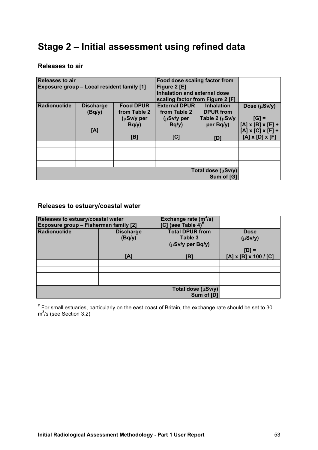## **Stage 2 – Initial assessment using refined data**

#### **Releases to air**

| <b>Releases to air</b>  |                                            |                                     | Food dose scaling factor from    |                      |                               |
|-------------------------|--------------------------------------------|-------------------------------------|----------------------------------|----------------------|-------------------------------|
|                         | Exposure group - Local resident family [1] |                                     | Figure 2 [E]                     |                      |                               |
|                         |                                            | <b>Inhalation and external dose</b> |                                  |                      |                               |
|                         |                                            |                                     |                                  |                      |                               |
|                         |                                            |                                     | scaling factor from Figure 2 [F] |                      |                               |
| <b>Radionuclide</b>     | <b>Discharge</b>                           | <b>Food DPUR</b>                    | <b>External DPUR</b>             | <b>Inhalation</b>    | Dose (µSv/y)                  |
|                         | (Bq/y)                                     | from Table 2                        | from Table 2                     | <b>DPUR from</b>     |                               |
|                         |                                            | (µSv/y per                          | $(\mu Sv/y)$ per                 | Table 2 $(\mu Sv/y)$ | $[G] =$                       |
|                         |                                            | Bq/y                                | Bq/y                             | per Bq/y)            | $[A] \times [B] \times [E] +$ |
|                         | [A]                                        |                                     |                                  |                      | $[A] \times [C] \times [F] +$ |
|                         |                                            |                                     |                                  |                      |                               |
|                         |                                            | [B]                                 | [C]                              | וסז                  | $[A] \times [D] \times [F]$   |
|                         |                                            |                                     |                                  |                      |                               |
|                         |                                            |                                     |                                  |                      |                               |
|                         |                                            |                                     |                                  |                      |                               |
|                         |                                            |                                     |                                  |                      |                               |
| Total dose $(\mu Sv/y)$ |                                            |                                     |                                  |                      |                               |
|                         |                                            |                                     |                                  | Sum of [G]           |                               |

#### **Releases to estuary/coastal water**

| Releases to estuary/coastal water<br>Exposure group - Fisherman family [2] |                            | Exchange rate $(m^3/s)$<br>$[C]$ (see Table 4) <sup>#</sup> |                                        |
|----------------------------------------------------------------------------|----------------------------|-------------------------------------------------------------|----------------------------------------|
| <b>Radionuclide</b>                                                        | <b>Discharge</b><br>(Bq/y) | <b>Total DPUR from</b><br>Table 3<br>(µSv/y per Bq/y)       | <b>Dose</b><br>$(\mu Sv/y)$<br>$[D] =$ |
| [A]                                                                        |                            | [B]                                                         | $[A] \times [B] \times 100 / [C]$      |
|                                                                            |                            |                                                             |                                        |
|                                                                            |                            |                                                             |                                        |
|                                                                            |                            |                                                             |                                        |
|                                                                            |                            |                                                             |                                        |
|                                                                            |                            | Total dose (µSv/y)<br>Sum of [D]                            |                                        |

# For small estuaries, particularly on the east coast of Britain, the exchange rate should be set to 30  $m^3$ /s (see Section 3.2)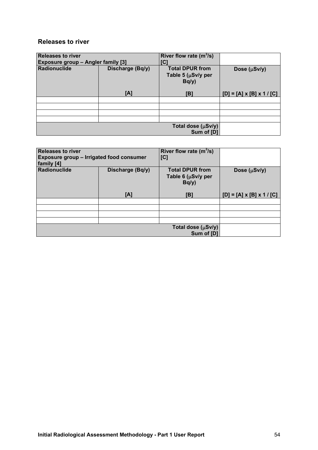#### **Releases to river**

| <b>Releases to river</b><br>Exposure group - Angler family [3] |     | River flow rate $(m^3/s)$<br>'C٦                           |                                       |  |
|----------------------------------------------------------------|-----|------------------------------------------------------------|---------------------------------------|--|
| Radionuclide<br>Discharge (Bq/y)                               |     | <b>Total DPUR from</b><br>Table 5 ( $\mu$ Sv/y per<br>Bq/y | Dose (µSv/y)                          |  |
|                                                                | [A] | [B]                                                        | $[D] = [A] \times [B] \times 1 / [C]$ |  |
|                                                                |     |                                                            |                                       |  |
|                                                                |     |                                                            |                                       |  |
|                                                                |     |                                                            |                                       |  |
|                                                                |     |                                                            |                                       |  |
|                                                                |     | Total dose $(\mu Sv/y)$<br>Sum of [D]                      |                                       |  |

| <b>Releases to river</b><br>Exposure group - Irrigated food consumer<br>family [4] |                  | River flow rate $(m^3/s)$<br>[C]                          |                                       |
|------------------------------------------------------------------------------------|------------------|-----------------------------------------------------------|---------------------------------------|
| <b>Radionuclide</b>                                                                | Discharge (Bq/y) | <b>Total DPUR from</b><br>Table 6 $(\mu Sv/y$ per<br>Bq/y | Dose $(\mu Sv/y)$                     |
|                                                                                    | [A]              | [B]                                                       | $[D] = [A] \times [B] \times 1 / [C]$ |
|                                                                                    |                  |                                                           |                                       |
|                                                                                    |                  |                                                           |                                       |
|                                                                                    |                  |                                                           |                                       |
|                                                                                    |                  |                                                           |                                       |
|                                                                                    |                  | Total dose (µSv/y)<br>Sum of [D]                          |                                       |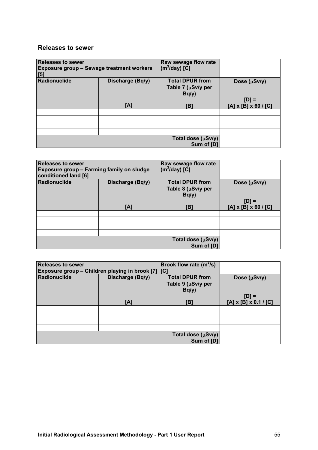#### **Releases to sewer**

| <b>Releases to sewer</b><br><b>Exposure group - Sewage treatment workers</b><br>[5] |                  | Raw sewage flow rate<br>$(m^3$ /day) [C]             |                                  |
|-------------------------------------------------------------------------------------|------------------|------------------------------------------------------|----------------------------------|
| <b>Radionuclide</b>                                                                 | Discharge (Bq/y) | <b>Total DPUR from</b><br>Table 7 (µSv/y per<br>Bq/y | Dose $(\mu Sv/y)$                |
|                                                                                     |                  |                                                      | $[D] =$                          |
|                                                                                     | [A]              | [B]                                                  | $[A] \times [B] \times 60 / [C]$ |
|                                                                                     |                  |                                                      |                                  |
|                                                                                     |                  |                                                      |                                  |
|                                                                                     |                  |                                                      |                                  |
|                                                                                     |                  |                                                      |                                  |
|                                                                                     |                  | Total dose (µSv/y)<br>Sum of [D]                     |                                  |

| <b>Releases to sewer</b><br>Exposure group - Farming family on sludge<br>conditioned land [6] |                  | Raw sewage flow rate<br>$(m^3$ /day) [C]                   |                                             |
|-----------------------------------------------------------------------------------------------|------------------|------------------------------------------------------------|---------------------------------------------|
| Radionuclide                                                                                  | Discharge (Bq/y) | <b>Total DPUR from</b><br>Table 8 ( $\mu$ Sv/y per<br>Bq/y | Dose $(\mu Sv/y)$                           |
|                                                                                               | [A]              | [B]                                                        | $[D] =$<br>$[A] \times [B] \times 60 / [C]$ |
|                                                                                               |                  |                                                            |                                             |
|                                                                                               |                  |                                                            |                                             |
|                                                                                               |                  |                                                            |                                             |
|                                                                                               |                  |                                                            |                                             |
|                                                                                               |                  | Total dose $(\mu Sv/y)$<br>Sum of [D]                      |                                             |

| <b>Releases to sewer</b>                           |                  | Brook flow rate $(m^3/s)$ |                                   |
|----------------------------------------------------|------------------|---------------------------|-----------------------------------|
| Exposure group - Children playing in brook [7] [C] |                  |                           |                                   |
| <b>Radionuclide</b>                                | Discharge (Bq/y) | <b>Total DPUR from</b>    | Dose (µSv/y)                      |
|                                                    |                  | Table 9 $(\mu Sv/y$ per   |                                   |
|                                                    |                  | Bq/y                      |                                   |
|                                                    |                  |                           | $[D] =$                           |
|                                                    | [A]              | [B]                       | $[A] \times [B] \times 0.1 / [C]$ |
|                                                    |                  |                           |                                   |
|                                                    |                  |                           |                                   |
|                                                    |                  |                           |                                   |
|                                                    |                  |                           |                                   |
|                                                    |                  | Total dose (µSv/y)        |                                   |
|                                                    |                  | Sum of [D]                |                                   |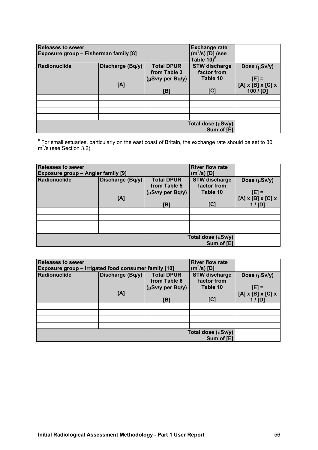| <b>Releases to sewer</b><br>Exposure group - Fisherman family [8] |                         |                                                                   | <b>Exchange rate</b><br>$(m^3/s)$ [D] (see<br>Table 10) <sup>#</sup> |                                                                                 |
|-------------------------------------------------------------------|-------------------------|-------------------------------------------------------------------|----------------------------------------------------------------------|---------------------------------------------------------------------------------|
| <b>Radionuclide</b>                                               | Discharge (Bq/y)<br>[A] | <b>Total DPUR</b><br>from Table 3<br>$(\mu Sv/y$ per Bq/y)<br>[B] | <b>STW discharge</b><br>factor from<br>Table 10<br>[C]               | Dose $(\mu Sv/y)$<br>$[E] =$<br>$[A] \times [B] \times [C] \times$<br>100 / [D] |
|                                                                   |                         |                                                                   |                                                                      |                                                                                 |
|                                                                   |                         |                                                                   |                                                                      |                                                                                 |
|                                                                   |                         |                                                                   |                                                                      |                                                                                 |
|                                                                   |                         |                                                                   |                                                                      |                                                                                 |
|                                                                   |                         |                                                                   |                                                                      |                                                                                 |

# For small estuaries, particularly on the east coast of Britain, the exchange rate should be set to 30  $m^3$ /s (see Section 3.2)

| <b>Releases to sewer</b><br>Exposure group - Angler family [9] |                  | <b>River flow rate</b><br>(m $^3$ /s) [D] |                                     |                                                |
|----------------------------------------------------------------|------------------|-------------------------------------------|-------------------------------------|------------------------------------------------|
| Radionuclide                                                   | Discharge (Bq/y) | <b>Total DPUR</b><br>from Table 5         | <b>STW discharge</b><br>factor from | Dose (µSv/y)                                   |
|                                                                |                  | $(\mu Sv/y$ per Bq/y)                     | Table 10                            | $[E] =$                                        |
|                                                                | [A]              | [B]                                       | [C]                                 | $[A] \times [B] \times [C] \times$<br>$1/$ [D] |
|                                                                |                  |                                           |                                     |                                                |
|                                                                |                  |                                           |                                     |                                                |
|                                                                |                  |                                           |                                     |                                                |
|                                                                |                  |                                           |                                     |                                                |
|                                                                |                  |                                           |                                     |                                                |

| <b>Releases to sewer</b>                             |                  | <b>River flow rate</b>            |                                     |                                    |
|------------------------------------------------------|------------------|-----------------------------------|-------------------------------------|------------------------------------|
| Exposure group – Irrigated food consumer family [10] |                  | (m $^3$ /s) [D]                   |                                     |                                    |
| Radionuclide                                         | Discharge (Bq/y) | <b>Total DPUR</b><br>from Table 6 | <b>STW discharge</b><br>factor from | Dose $(\mu Sv/y)$                  |
|                                                      |                  | $(\mu Sv/y$ per Bq/y)             | Table 10                            | [E] =                              |
|                                                      | [A]              |                                   |                                     | $[A] \times [B] \times [C] \times$ |
|                                                      |                  | [B]                               | [C]                                 | $1/$ [D]                           |
|                                                      |                  |                                   |                                     |                                    |
|                                                      |                  |                                   |                                     |                                    |
|                                                      |                  |                                   |                                     |                                    |
|                                                      |                  |                                   |                                     |                                    |
|                                                      |                  |                                   |                                     |                                    |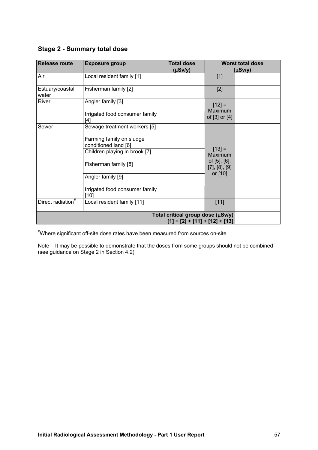#### **Stage 2 - Summary total dose**

| <b>Release route</b>          | <b>Exposure group</b>                            | <b>Total dose</b><br>$(\mu Sv/y)$                                   |                                       | <b>Worst total dose</b><br>$(\mu Sv/y)$ |
|-------------------------------|--------------------------------------------------|---------------------------------------------------------------------|---------------------------------------|-----------------------------------------|
| Air                           | Local resident family [1]                        |                                                                     | $[1]$                                 |                                         |
| Estuary/coastal<br>water      | Fisherman family [2]                             |                                                                     | $[2]$                                 |                                         |
| River                         | Angler family [3]                                |                                                                     | $[12] =$<br>Maximum                   |                                         |
|                               | Irrigated food consumer family<br>[4]            |                                                                     | of [3] or [4]                         |                                         |
| Sewer                         | Sewage treatment workers [5]                     |                                                                     |                                       |                                         |
|                               | Farming family on sludge<br>conditioned land [6] |                                                                     |                                       |                                         |
|                               | Children playing in brook [7]                    |                                                                     | $[13] =$<br>Maximum                   |                                         |
|                               | Fisherman family [8]                             |                                                                     | of [5], [6],<br>$[7]$ , $[8]$ , $[9]$ |                                         |
|                               | Angler family [9]                                |                                                                     | or [10]                               |                                         |
|                               | Irrigated food consumer family<br>[10]           |                                                                     |                                       |                                         |
| Direct radiation <sup>#</sup> | Local resident family [11]                       |                                                                     | $[11]$                                |                                         |
|                               |                                                  | Total critical group dose (µSv/y)<br>[1] + [2] + [11] + [12] + [13] |                                       |                                         |

# Where significant off-site dose rates have been measured from sources on-site

Note – It may be possible to demonstrate that the doses from some groups should not be combined (see guidance on Stage 2 in Section 4.2)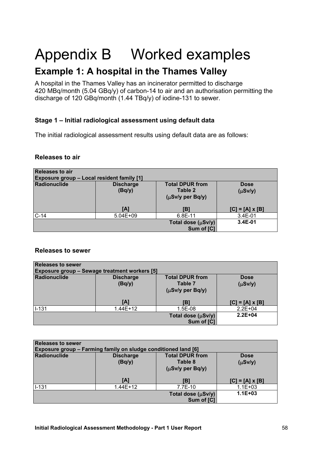# Appendix B Worked examples

## **Example 1: A hospital in the Thames Valley**

A hospital in the Thames Valley has an incinerator permitted to discharge 420 MBq/month (5.04 GBq/y) of carbon-14 to air and an authorisation permitting the discharge of 120 GBq/month (1.44 TBq/y) of iodine-131 to sewer.

#### **Stage 1 – Initial radiological assessment using default data**

The initial radiological assessment results using default data are as follows:

#### **Releases to air**

| Releases to air<br><b>Exposure group - Local resident family [1]</b> |                            |                                                            |                             |  |  |  |
|----------------------------------------------------------------------|----------------------------|------------------------------------------------------------|-----------------------------|--|--|--|
| Radionuclide                                                         | <b>Discharge</b><br>(Bq/y) | <b>Total DPUR from</b><br>Table 2<br>$(\mu Sv/y$ per Bq/y) | <b>Dose</b><br>$(\mu Sv/y)$ |  |  |  |
|                                                                      | [A]                        | [B]                                                        | $[C] = [A] \times [B]$      |  |  |  |
| $C-14$                                                               | $5.04E + 09$               | 6.8E-11                                                    | $3.4E-01$                   |  |  |  |
|                                                                      |                            | Total dose (µSv/y)<br>Sum of [C]                           | $3.4E-01$                   |  |  |  |

#### **Releases to sewer**

| <b>Releases to sewer</b><br><b>Exposure group - Sewage treatment workers [5]</b> |                            |                                                                         |                             |  |  |  |
|----------------------------------------------------------------------------------|----------------------------|-------------------------------------------------------------------------|-----------------------------|--|--|--|
| Radionuclide                                                                     | <b>Discharge</b><br>(Bq/y) | <b>Total DPUR from</b><br>Table 7<br>$(\mu S \nu / y \rho e r B q / y)$ | <b>Dose</b><br>$(\mu Sv/y)$ |  |  |  |
|                                                                                  | [A]                        | [B]                                                                     | $[C] = [A] \times [B]$      |  |  |  |
| $I - 131$                                                                        | $1.44E+12$                 | 1.5E-08                                                                 | $2.2E + 04$                 |  |  |  |
|                                                                                  |                            | Total dose (µSv/y)<br>Sum of [C]                                        | $2.2E + 04$                 |  |  |  |

| Releases to sewer<br><b>Exposure group - Farming family on sludge conditioned land [6]</b> |                                                                                                                         |         |                        |  |  |  |
|--------------------------------------------------------------------------------------------|-------------------------------------------------------------------------------------------------------------------------|---------|------------------------|--|--|--|
| Radionuclide                                                                               | <b>Total DPUR from</b><br><b>Discharge</b><br><b>Dose</b><br>(Bq/y)<br>Table 8<br>$(\mu Sv/y)$<br>$(\mu Sv/y$ per Bq/y) |         |                        |  |  |  |
|                                                                                            | [A]                                                                                                                     | IB1     | $[C] = [A] \times [B]$ |  |  |  |
| $1 - 131$                                                                                  | $1.44E+12$                                                                                                              | 7.7E-10 | $1.1E + 03$            |  |  |  |
| $1.1E + 03$<br>Total dose $(\mu Sv/y)$<br>Sum of [C]                                       |                                                                                                                         |         |                        |  |  |  |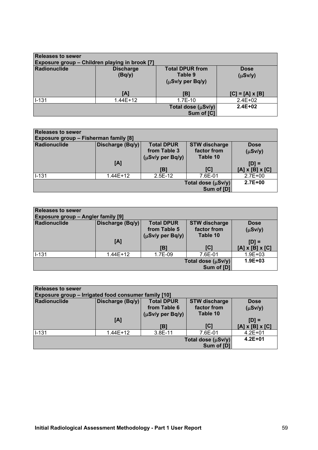| <b>Releases to sewer</b><br><b>Exposure group - Children playing in brook [7]</b> |                            |                                                            |                             |  |  |  |
|-----------------------------------------------------------------------------------|----------------------------|------------------------------------------------------------|-----------------------------|--|--|--|
| Radionuclide                                                                      | <b>Discharge</b><br>(Bq/y) | <b>Total DPUR from</b><br>Table 9<br>$(\mu Sv/y$ per Bq/y) | <b>Dose</b><br>$(\mu Sv/y)$ |  |  |  |
|                                                                                   | [A]                        | [B]                                                        | $[C] = [A] \times [B]$      |  |  |  |
| $1 - 131$                                                                         | $1.44E + 12$               | $1.7E-10$                                                  | $2.4E + 02$                 |  |  |  |
|                                                                                   |                            | Total dose (µSv/y)<br>Sum of [C]                           | $2.4E + 02$                 |  |  |  |

| Releases to sewer                            |                  |                       |                      |                             |  |
|----------------------------------------------|------------------|-----------------------|----------------------|-----------------------------|--|
| <b>Exposure group - Fisherman family [8]</b> |                  |                       |                      |                             |  |
| Radionuclide                                 | Discharge (Bq/y) | <b>Total DPUR</b>     | <b>STW discharge</b> | <b>Dose</b>                 |  |
|                                              |                  | from Table 3          | factor from          | $(\mu Sv/y)$                |  |
|                                              |                  | $(\mu Sv/y$ per Bq/y) | Table 10             |                             |  |
|                                              | [A]              |                       |                      | $[D] =$                     |  |
|                                              |                  | [B]                   | [C]                  | $[A] \times [B] \times [C]$ |  |
| $1 - 131$                                    | $1.44E + 12$     | $2.5E-12$             | 7.6E-01              | $2.7E + 00$                 |  |
|                                              | $2.7E + 00$      |                       |                      |                             |  |
|                                              |                  |                       | Sum of [D]           |                             |  |

| <b>Releases to sewer</b><br><b>Exposure group - Angler family [9]</b> |                  |                                                            |                                                 |                                        |  |
|-----------------------------------------------------------------------|------------------|------------------------------------------------------------|-------------------------------------------------|----------------------------------------|--|
| Radionuclide                                                          | Discharge (Bq/y) | <b>Total DPUR</b><br>from Table 5<br>$(\mu Sv/y$ per Bq/y) | <b>STW discharge</b><br>factor from<br>Table 10 | <b>Dose</b><br>$(\mu Sv/y)$            |  |
|                                                                       | [A]              | [B]                                                        | [C]                                             | $[D] =$<br>$[A] \times [B] \times [C]$ |  |
| $1 - 131$                                                             | 1.44E+12         | 1.7E-09                                                    | 7.6E-01                                         | $1.9E + 03$                            |  |
| $1.9E + 03$<br>Total dose $(\mu Sv/y)$<br>Sum of [D]                  |                  |                                                            |                                                 |                                        |  |

| <b>Releases to sewer</b><br>Exposure group - Irrigated food consumer family [10] |                                                                                                                             |                                     |          |                             |  |  |
|----------------------------------------------------------------------------------|-----------------------------------------------------------------------------------------------------------------------------|-------------------------------------|----------|-----------------------------|--|--|
| Radionuclide                                                                     | <b>Total DPUR</b><br><b>STW discharge</b><br>Discharge (Bq/y)<br><b>Dose</b><br>from Table 6<br>factor from<br>$(\mu Sv/y)$ |                                     |          |                             |  |  |
|                                                                                  | [A]                                                                                                                         | $(\mu S \nu / y \text{ per } Bq/y)$ | Table 10 | $[D] =$                     |  |  |
|                                                                                  |                                                                                                                             | [B]                                 | [C]      | $[A] \times [B] \times [C]$ |  |  |
| $I - 131$                                                                        | $1.44E+12$                                                                                                                  | 3.8E-11                             | 7.6E-01  | $4.2E + 01$                 |  |  |
| $4.2E + 01$<br>Total dose $(\mu Sv/y)$<br>Sum of [D]                             |                                                                                                                             |                                     |          |                             |  |  |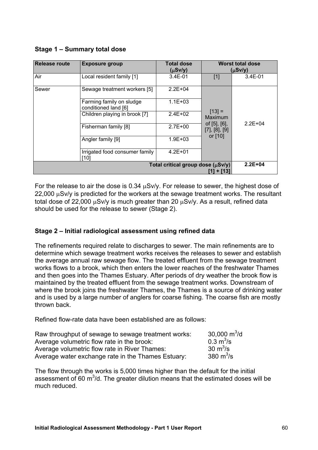|  | Stage 1 - Summary total dose |  |  |
|--|------------------------------|--|--|
|--|------------------------------|--|--|

| Release route | <b>Exposure group</b>                            | <b>Total dose</b><br>$(\mu Sv/y)$ |                                             | <b>Worst total dose</b><br>$(\mu Sv/y)$ |
|---------------|--------------------------------------------------|-----------------------------------|---------------------------------------------|-----------------------------------------|
| Air           | Local resident family [1]                        | $3.4E-01$                         | $[1]$                                       | 3.4E-01                                 |
| Sewer         | Sewage treatment workers [5]                     | $2.2E + 04$                       |                                             |                                         |
|               | Farming family on sludge<br>conditioned land [6] | $1.1E + 03$                       |                                             |                                         |
|               | Children playing in brook [7]                    | $2.4E + 02$                       | $[13] =$<br>Maximum                         |                                         |
|               | Fisherman family [8]                             | $2.7E+00$                         | of $[5]$ , $[6]$ ,<br>$[7]$ , $[8]$ , $[9]$ | $2.2E + 04$                             |
|               | Angler family [9]                                | $1.9E + 03$                       | or [10]                                     |                                         |
|               | Irrigated food consumer family<br>[10]           | $4.2E + 01$                       |                                             |                                         |
|               | $2.2E + 04$                                      |                                   |                                             |                                         |

For the release to air the dose is 0.34 µSv/y. For release to sewer, the highest dose of  $22,000 \mu$ Sv/y is predicted for the workers at the sewage treatment works. The resultant total dose of 22,000  $\mu$ Sv/y is much greater than 20  $\mu$ Sv/y. As a result, refined data should be used for the release to sewer (Stage 2).

#### **Stage 2 – Initial radiological assessment using refined data**

The refinements required relate to discharges to sewer. The main refinements are to determine which sewage treatment works receives the releases to sewer and establish the average annual raw sewage flow. The treated effluent from the sewage treatment works flows to a brook, which then enters the lower reaches of the freshwater Thames and then goes into the Thames Estuary. After periods of dry weather the brook flow is maintained by the treated effluent from the sewage treatment works. Downstream of where the brook joins the freshwater Thames, the Thames is a source of drinking water and is used by a large number of anglers for coarse fishing. The coarse fish are mostly thrown back.

Refined flow-rate data have been established are as follows:

| Raw throughput of sewage to sewage treatment works: | 30,000 $\mathrm{m}^3/\mathrm{d}$ |
|-----------------------------------------------------|----------------------------------|
| Average volumetric flow rate in the brook:          | $0.3 \text{ m}^3/\text{s}$       |
| Average volumetric flow rate in River Thames:       | 30 $m^3/s$                       |
| Average water exchange rate in the Thames Estuary:  | 380 $m^3$ /s                     |

The flow through the works is 5,000 times higher than the default for the initial assessment of 60  $m^3$ /d. The greater dilution means that the estimated doses will be much reduced.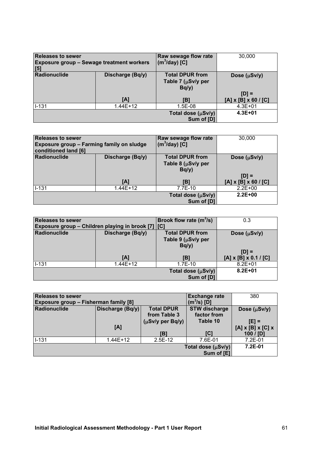| <b>Releases to sewer</b><br><b>Exposure group - Sewage treatment workers</b><br>[5] |                  | Raw sewage flow rate<br>$(m^3$ /day) [C]             | 30,000                                      |
|-------------------------------------------------------------------------------------|------------------|------------------------------------------------------|---------------------------------------------|
| Radionuclide                                                                        | Discharge (Bq/y) | <b>Total DPUR from</b><br>Table 7 (µSv/y per<br>Bq/y | Dose (µSv/y)                                |
|                                                                                     | [A]              | IB1                                                  | $[D] =$<br>$[A] \times [B] \times 60 / [C]$ |
| $1 - 131$                                                                           | 1.44E+12         | 1.5E-08                                              | $4.3E + 01$                                 |
|                                                                                     |                  | Total dose (µSv/y)<br>Sum of [D]                     | $4.3E + 01$                                 |

| Releases to sewer<br><b>Exposure group - Farming family on sludge</b><br>conditioned land [6] |              | Raw sewage flow rate<br>$(m^3$ /day) [C]                   | 30,000                                      |  |
|-----------------------------------------------------------------------------------------------|--------------|------------------------------------------------------------|---------------------------------------------|--|
| Radionuclide<br>Discharge (Bq/y)                                                              |              | <b>Total DPUR from</b><br>Table 8 ( $\mu$ Sv/y per<br>Bq/y | Dose $(\mu Sv/y)$                           |  |
|                                                                                               | [A]          | [B]                                                        | $[D] =$<br>$[A] \times [B] \times 60 / [C]$ |  |
| $1 - 131$                                                                                     | $1.44E + 12$ | 7.7E-10                                                    | $2.2E+00$                                   |  |
| Total dose $(\mu Sv/y)$<br>Sum of [D]                                                         |              |                                                            | $2.2E + 00$                                 |  |

| <b>Releases to sewer</b><br>Exposure group – Children playing in brook [7] [C] |              | Brook flow rate $(m^3/s)$                            | 0.3                                          |
|--------------------------------------------------------------------------------|--------------|------------------------------------------------------|----------------------------------------------|
| Radionuclide<br>Discharge (Bq/y)                                               |              | <b>Total DPUR from</b><br>Table 9 (µSv/y per<br>Bq/y | Dose $(\mu Sv/y)$                            |
|                                                                                | [A]          | [B]                                                  | $[D] =$<br>$[A] \times [B] \times 0.1 / [C]$ |
| $I - 131$                                                                      | $1.44E + 12$ | $1.7E-10$                                            | $8.2E + 01$                                  |
|                                                                                |              | Total dose (µSv/y)<br>Sum of [D]                     | $8.2E + 01$                                  |

| <b>Releases to sewer</b>              |                  |                   | <b>Exchange rate</b> | 380                                |
|---------------------------------------|------------------|-------------------|----------------------|------------------------------------|
| Exposure group - Fisherman family [8] |                  |                   | (m $^3$ /s) [D]      |                                    |
| Radionuclide                          | Discharge (Bq/y) | <b>Total DPUR</b> | <b>STW discharge</b> | Dose $(\mu Sv/y)$                  |
|                                       |                  | from Table 3      | factor from          |                                    |
| $(\mu Sv/y$ per Bq/y)                 |                  |                   | Table 10             | $[E] =$                            |
|                                       | [A]              |                   |                      | $[A] \times [B] \times [C] \times$ |
|                                       |                  | [B]               | [C]                  | 100 / [D]                          |
| $I-131$                               | $1.44E+12$       | $2.5E-12$         | 7.6E-01              | 7.2E-01                            |
|                                       | $7.2E-01$        |                   |                      |                                    |
|                                       |                  |                   | Sum of [E]           |                                    |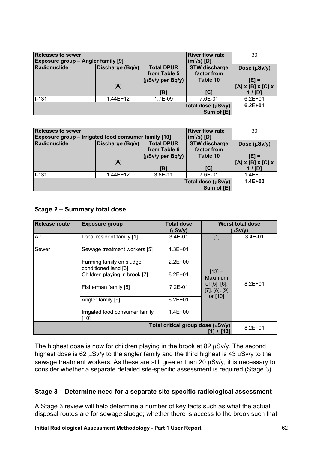| <b>Releases to sewer</b><br><b>Exposure group - Angler family [9]</b> |                  |                                   | <b>River flow rate</b><br>(m $^{3}$ /s) [D] | 30                                  |
|-----------------------------------------------------------------------|------------------|-----------------------------------|---------------------------------------------|-------------------------------------|
| Radionuclide                                                          | Discharge (Bq/y) | <b>Total DPUR</b><br>from Table 5 | <b>STW discharge</b><br>factor from         | Dose $(\mu Sv/y)$                   |
|                                                                       |                  | $(\mu Sv/y$ per Bq/y)             | Table 10                                    | $[E] =$                             |
|                                                                       | [A]              | [B]                               | [C]                                         | $[A]$ x $[B]$ x $[C]$ x<br>$1/$ [D] |
| $1 - 131$                                                             | $1.44E + 12$     | 1.7E-09                           | 7.6E-01                                     | $6.2E + 01$                         |
|                                                                       | $6.2E + 01$      |                                   |                                             |                                     |

| <b>Releases to sewer</b>                                    |              |                       | <b>River flow rate</b> | 30                                 |
|-------------------------------------------------------------|--------------|-----------------------|------------------------|------------------------------------|
| <b>Exposure group – Irrigated food consumer family [10]</b> |              | (m $^{3}$ /s) [D]     |                        |                                    |
| Radionuclide<br><b>Total DPUR</b><br>Discharge (Bq/y)       |              | <b>STW discharge</b>  | Dose $(\mu Sv/y)$      |                                    |
|                                                             |              | from Table 6          | factor from            |                                    |
|                                                             |              | $(\mu Sv/y$ per Bq/y) | Table 10               | $[E] =$                            |
|                                                             | [A]          |                       |                        | $[A] \times [B] \times [C] \times$ |
|                                                             |              | IB1                   | [C]                    | 1 / $ID1$                          |
| $1 - 131$                                                   | $1.44E + 12$ | 3.8E-11               | 7.6E-01                | $1.4E + 00$                        |
|                                                             | $1.4E + 00$  |                       |                        |                                    |
|                                                             |              |                       | Sum of [E]             |                                    |

#### **Stage 2 – Summary total dose**

| <b>Release route</b>                            | <b>Total dose</b><br><b>Exposure group</b>       |              |                                             | <b>Worst total dose</b> |
|-------------------------------------------------|--------------------------------------------------|--------------|---------------------------------------------|-------------------------|
|                                                 |                                                  | $(\mu Sv/y)$ | $(\mu Sv/y)$                                |                         |
| Air                                             | Local resident family [1]                        | $3.4E-01$    | $[1]$                                       | 3.4E-01                 |
| Sewer                                           | Sewage treatment workers [5]                     | $4.3E + 01$  |                                             |                         |
|                                                 | Farming family on sludge<br>conditioned land [6] | $2.2E + 00$  |                                             | $8.2E + 01$             |
|                                                 | Children playing in brook [7]                    | $8.2E + 01$  | $[13] =$<br>Maximum                         |                         |
|                                                 | Fisherman family [8]                             | $7.2E-01$    | of $[5]$ , $[6]$ ,<br>$[7]$ , $[8]$ , $[9]$ |                         |
|                                                 | Angler family [9]                                | $6.2E + 01$  | or [10]                                     |                         |
|                                                 | Irrigated food consumer family<br>$[10]$         | $1.4E + 00$  |                                             |                         |
| Total critical group dose (µSv/y)<br>[1] + [13] |                                                  |              |                                             | $8.2E + 01$             |

The highest dose is now for children playing in the brook at 82  $\mu$ Sv/y. The second highest dose is 62  $\mu$ Sv/y to the angler family and the third highest is 43  $\mu$ Sv/y to the sewage treatment workers. As these are still greater than 20  $\mu$ Sv/y, it is necessary to consider whether a separate detailed site-specific assessment is required (Stage 3).

#### **Stage 3 – Determine need for a separate site-specific radiological assessment**

A Stage 3 review will help determine a number of key facts such as what the actual disposal routes are for sewage sludge; whether there is access to the brook such that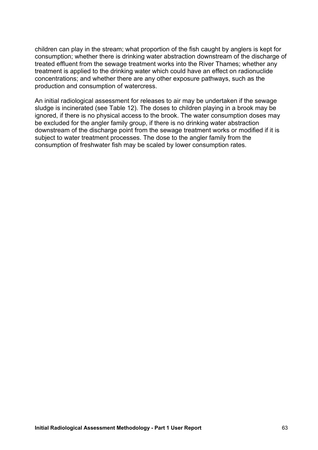children can play in the stream; what proportion of the fish caught by anglers is kept for consumption; whether there is drinking water abstraction downstream of the discharge of treated effluent from the sewage treatment works into the River Thames; whether any treatment is applied to the drinking water which could have an effect on radionuclide concentrations; and whether there are any other exposure pathways, such as the production and consumption of watercress.

An initial radiological assessment for releases to air may be undertaken if the sewage sludge is incinerated (see Table 12). The doses to children playing in a brook may be ignored, if there is no physical access to the brook. The water consumption doses may be excluded for the angler family group, if there is no drinking water abstraction downstream of the discharge point from the sewage treatment works or modified if it is subject to water treatment processes. The dose to the angler family from the consumption of freshwater fish may be scaled by lower consumption rates.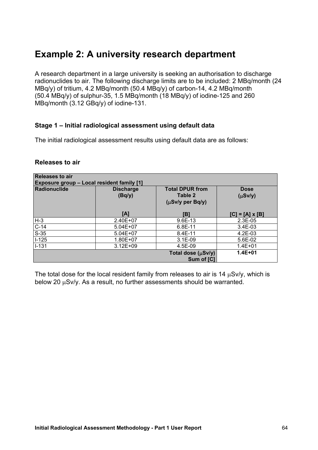## **Example 2: A university research department**

A research department in a large university is seeking an authorisation to discharge radionuclides to air. The following discharge limits are to be included: 2 MBq/month (24 MBq/y) of tritium, 4.2 MBq/month (50.4 MBq/y) of carbon-14, 4.2 MBq/month (50.4 MBq/y) of sulphur-35, 1.5 MBq/month (18 MBq/y) of iodine-125 and 260 MBq/month (3.12 GBq/y) of iodine-131.

#### **Stage 1 – Initial radiological assessment using default data**

The initial radiological assessment results using default data are as follows:

#### **Releases to air**

| <b>Releases to air</b><br><b>Exposure group - Local resident family [1]</b> |                                                                                          |                                  |                        |  |  |  |
|-----------------------------------------------------------------------------|------------------------------------------------------------------------------------------|----------------------------------|------------------------|--|--|--|
| Radionuclide                                                                | <b>Total DPUR from</b><br><b>Discharge</b><br>Table 2<br>(Bq/y)<br>$(\mu Sv/y$ per Bq/y) |                                  |                        |  |  |  |
|                                                                             | [A]                                                                                      | [B]                              | $[C] = [A] \times [B]$ |  |  |  |
| H-3                                                                         | 2.40E+07                                                                                 | 9.6E-13                          | $2.3E-05$              |  |  |  |
| $C-14$                                                                      | $5.04E + 07$                                                                             | 6.8E-11                          | 3.4E-03                |  |  |  |
| $S-35$                                                                      | $5.04E + 07$                                                                             | 8.4E-11                          | $4.2E-03$              |  |  |  |
| $1-125$                                                                     | 1.80E+07                                                                                 | $3.1E-09$                        | 5.6E-02                |  |  |  |
| ll-131                                                                      | $3.12E + 09$                                                                             | 4.5E-09                          | $1.4E + 01$            |  |  |  |
|                                                                             |                                                                                          | Total dose (µSv/y)<br>Sum of [C] | $1.4E + 01$            |  |  |  |

The total dose for the local resident family from releases to air is 14  $\mu$ Sv/y, which is below 20  $\mu$ Sv/y. As a result, no further assessments should be warranted.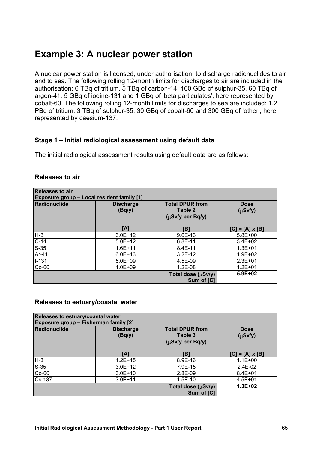## **Example 3: A nuclear power station**

A nuclear power station is licensed, under authorisation, to discharge radionuclides to air and to sea. The following rolling 12-month limits for discharges to air are included in the authorisation: 6 TBq of tritium, 5 TBq of carbon-14, 160 GBq of sulphur-35, 60 TBq of argon-41, 5 GBq of iodine-131 and 1 GBq of 'beta particulates', here represented by cobalt-60. The following rolling 12-month limits for discharges to sea are included: 1.2 PBq of tritium, 3 TBq of sulphur-35, 30 GBq of cobalt-60 and 300 GBq of 'other', here represented by caesium-137.

#### **Stage 1 – Initial radiological assessment using default data**

The initial radiological assessment results using default data are as follows:

| <b>Releases to air</b> |  |  |
|------------------------|--|--|
|------------------------|--|--|

| Releases to air<br><b>Exposure group - Local resident family [1]</b> |                            |                                                            |                             |  |  |  |
|----------------------------------------------------------------------|----------------------------|------------------------------------------------------------|-----------------------------|--|--|--|
| Radionuclide                                                         | <b>Discharge</b><br>(Bq/y) | <b>Total DPUR from</b><br>Table 2<br>$(\mu Sv/y$ per Bq/y) | <b>Dose</b><br>$(\mu Sv/y)$ |  |  |  |
|                                                                      | [A]                        | IB1                                                        | [C] = [A] x [B]             |  |  |  |
| $H-3$                                                                | $6.0E + 12$                | 9.6E-13                                                    | $5.8E + 00$                 |  |  |  |
| $C-14$                                                               | $5.0E+12$                  | 6.8E-11                                                    | $3.4E + 02$                 |  |  |  |
| $S-35$                                                               | $1.6E + 11$                | 8.4E-11                                                    | $1.3E + 01$                 |  |  |  |
| Ar-41                                                                | $6.0E + 13$                | $3.2E-12$                                                  | $1.9E + 02$                 |  |  |  |
| $1 - 131$                                                            | $5.0E + 09$                | 4.5E-09                                                    | $2.3E + 01$                 |  |  |  |
| Co-60                                                                | $1.0E + 09$                | $1.2E-08$                                                  | $1.2E + 01$                 |  |  |  |
|                                                                      |                            | Total dose (µSv/y)<br>Sum of [C]                           | $5.9E + 02$                 |  |  |  |

#### **Releases to estuary/coastal water**

| Releases to estuary/coastal water<br>Exposure group - Fisherman family [2] |                            |                             |                        |  |  |
|----------------------------------------------------------------------------|----------------------------|-----------------------------|------------------------|--|--|
| <b>Radionuclide</b>                                                        | <b>Discharge</b><br>(Bq/y) | <b>Dose</b><br>$(\mu Sv/y)$ |                        |  |  |
|                                                                            | [A]                        | IB1                         | $[C] = [A] \times [B]$ |  |  |
| $H-3$                                                                      | $1.2E + 15$                | 8.9E-16                     | $1.1E + 00$            |  |  |
| $S-35$                                                                     | $3.0E+12$                  | 7.9E-15                     | 2.4E-02                |  |  |
| $Co-60$                                                                    | $3.0E+10$                  | 2.8E-09                     | $8.4E + 01$            |  |  |
| Cs-137                                                                     | $3.0E + 11$                | $1.5E-10$                   | $4.5E + 01$            |  |  |
|                                                                            | $1.3E + 02$                |                             |                        |  |  |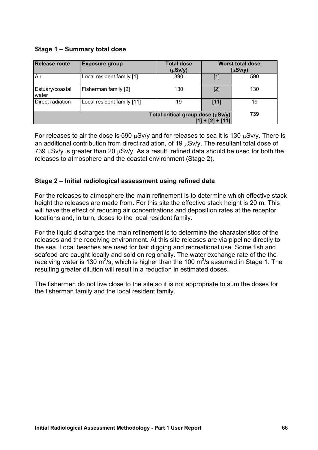#### **Stage 1 – Summary total dose**

| <b>Release route</b>                                         | <b>Exposure group</b>      | <b>Total dose</b><br>$(\mu Sv/y)$ |       | <b>Worst total dose</b><br>$(\mu Sv/y)$ |
|--------------------------------------------------------------|----------------------------|-----------------------------------|-------|-----------------------------------------|
| Air                                                          | Local resident family [1]  | 390                               | $[1]$ | 590                                     |
| Estuary/coastal<br>water                                     | Fisherman family [2]       | 130                               | $[2]$ | 130                                     |
| Direct radiation                                             | Local resident family [11] | 19                                | [11]  | 19                                      |
| Total critical group dose $(\mu Sv/y)$<br>$[1] + [2] + [11]$ |                            |                                   |       | 739                                     |

For releases to air the dose is 590  $\mu$ Sv/y and for releases to sea it is 130  $\mu$ Sv/y. There is an additional contribution from direct radiation, of 19 µSv/y. The resultant total dose of 739  $\mu$ Sv/y is greater than 20  $\mu$ Sv/y. As a result, refined data should be used for both the releases to atmosphere and the coastal environment (Stage 2).

#### **Stage 2 – Initial radiological assessment using refined data**

For the releases to atmosphere the main refinement is to determine which effective stack height the releases are made from. For this site the effective stack height is 20 m. This will have the effect of reducing air concentrations and deposition rates at the receptor locations and, in turn, doses to the local resident family.

For the liquid discharges the main refinement is to determine the characteristics of the releases and the receiving environment. At this site releases are via pipeline directly to the sea. Local beaches are used for bait digging and recreational use. Some fish and seafood are caught locally and sold on regionally. The water exchange rate of the the receiving water is 130 m<sup>3</sup>/s, which is higher than the 100 m<sup>3</sup>/s assumed in Stage 1. The resulting greater dilution will result in a reduction in estimated doses.

The fishermen do not live close to the site so it is not appropriate to sum the doses for the fisherman family and the local resident family.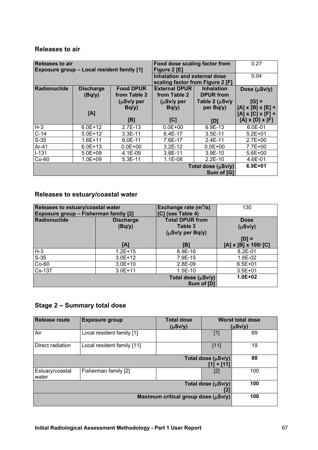#### **Releases to air**

| <b>Releases to air</b><br>Exposure group - Local resident family [1] |                            |                                  | Food dose scaling factor from<br>Figure 2 [E]                           |                   | 0.27                                     |
|----------------------------------------------------------------------|----------------------------|----------------------------------|-------------------------------------------------------------------------|-------------------|------------------------------------------|
|                                                                      |                            |                                  | <b>Inhalation and external dose</b><br>scaling factor from Figure 2 [F] |                   | 0.04                                     |
| Radionuclide                                                         | <b>Discharge</b><br>(Bq/y) | <b>Food DPUR</b><br>from Table 2 | <b>External DPUR</b><br>from Table 2                                    | Dose $(\mu Sv/y)$ |                                          |
|                                                                      |                            | $(\mu Sv/y)$ per<br>Bq/y         | Table 2 $(\mu Sv/y)$<br>$(\mu Sv/y)$ per<br>per Bq/y)<br>Bq/y           |                   | $[G] =$<br>$[A] \times [B] \times [E] +$ |
|                                                                      | [A]                        |                                  |                                                                         |                   | $[A] \times [C] \times [F] +$            |
|                                                                      |                            | [B]                              | [C]                                                                     | [D]               | $[A] \times [D] \times [F]$              |
| $H-3$                                                                | $6.0E + 12$                | $2.7E-13$                        | $0.0E + 00$                                                             | 6.9E-13           | 6.0E-01                                  |
| $C-14$                                                               | $5.0E+12$                  | $3.3E-11$                        | 6.4E-17                                                                 | $3.5E-11$         | $5.2E + 01$                              |
| $S-35$                                                               | $1.6E + 11$                | 6.0E-11                          | 7.6E-17                                                                 | $2.4E-11$         | $2.7E + 00$                              |
| Ar-41                                                                | $6.0E + 13$                | $0.0E + 00$                      | $3.2E-12$                                                               | $0.0E + 00$       | 7.7E+00                                  |
| $I-131$                                                              | $5.0E + 09$                | 4.1E-09                          | 3.8E-11                                                                 | $3.9E-10$         | $5.6E + 00$                              |
| $Co-60$                                                              | $1.0E + 09$                | 5.3E-11                          | $1.1E-08$<br>$2.2E-10$                                                  |                   | 4.6E-01                                  |
| Total dose (µSv/y)<br>Sum of [G]                                     |                            |                                  |                                                                         |                   | $6.9E + 01$                              |

#### **Releases to estuary/coastal water**

| Releases to estuary/coastal water<br><b>Exposure group - Fisherman family [2]</b> |                            | Exchange rate $(m^3/s)$<br>[C] (see Table 4) | 130                                        |
|-----------------------------------------------------------------------------------|----------------------------|----------------------------------------------|--------------------------------------------|
| Radionuclide                                                                      | <b>Discharge</b><br>(Bq/y) | <b>Total DPUR from</b><br>Table 3            | <b>Dose</b><br>$(\mu Sv/y)$                |
|                                                                                   | [A]                        | $(\mu S \nu / y \rho e r B q / y)$<br>[B]    | $[D] =$<br>$[A] \times [B] \times 100/[C]$ |
| $H-3$                                                                             | $1.2E + 15$                | 8.9E-16                                      | $8.2E - 01$                                |
| $S-35$                                                                            | $3.0E+12$                  | 7.9E-15                                      | 1.8E-02                                    |
| $Co-60$                                                                           | $3.0E+10$                  | 2.8E-09                                      | $6.5E + 01$                                |
| $Cs-137$                                                                          | $3.0E + 11$                | $1.5E-10$                                    | $3.5E + 01$                                |
|                                                                                   |                            | Total dose (µSv/y)<br>Sum of [D]             | $1.0E + 02$                                |

#### **Stage 2 – Summary total dose**

| <b>Release route</b>                | <b>Exposure group</b>      | <b>Total dose</b><br>$(\mu Sv/y)$ | <b>Worst total dose</b><br>$(\mu Sv/y)$ |     |
|-------------------------------------|----------------------------|-----------------------------------|-----------------------------------------|-----|
| Air                                 | Local resident family [1]  |                                   | $[1]$                                   | 69  |
| Direct radiation                    | Local resident family [11] |                                   | [11]                                    | 19  |
| Total dose (µSv/y)<br>[1] + [11]    |                            |                                   |                                         | 88  |
| Estuary/coastal<br>water            | Fisherman family [2]       |                                   | $[2]$                                   | 100 |
|                                     | 100<br>Total dose (µSv/y)  |                                   |                                         |     |
| Maximum critical group dose (µSv/y) |                            |                                   |                                         | 100 |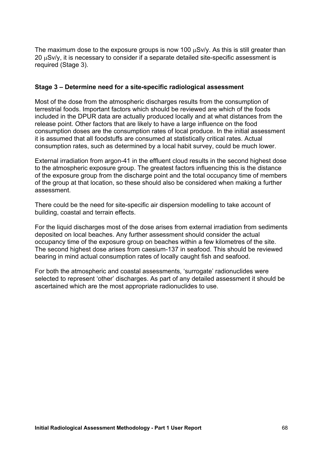The maximum dose to the exposure groups is now 100  $\mu$ Sv/y. As this is still greater than 20 µSv/y, it is necessary to consider if a separate detailed site-specific assessment is required (Stage 3).

#### **Stage 3 – Determine need for a site-specific radiological assessment**

Most of the dose from the atmospheric discharges results from the consumption of terrestrial foods. Important factors which should be reviewed are which of the foods included in the DPUR data are actually produced locally and at what distances from the release point. Other factors that are likely to have a large influence on the food consumption doses are the consumption rates of local produce. In the initial assessment it is assumed that all foodstuffs are consumed at statistically critical rates. Actual consumption rates, such as determined by a local habit survey, could be much lower.

External irradiation from argon-41 in the effluent cloud results in the second highest dose to the atmospheric exposure group. The greatest factors influencing this is the distance of the exposure group from the discharge point and the total occupancy time of members of the group at that location, so these should also be considered when making a further assessment.

There could be the need for site-specific air dispersion modelling to take account of building, coastal and terrain effects.

For the liquid discharges most of the dose arises from external irradiation from sediments deposited on local beaches. Any further assessment should consider the actual occupancy time of the exposure group on beaches within a few kilometres of the site. The second highest dose arises from caesium-137 in seafood. This should be reviewed bearing in mind actual consumption rates of locally caught fish and seafood.

For both the atmospheric and coastal assessments, 'surrogate' radionuclides were selected to represent 'other' discharges. As part of any detailed assessment it should be ascertained which are the most appropriate radionuclides to use.